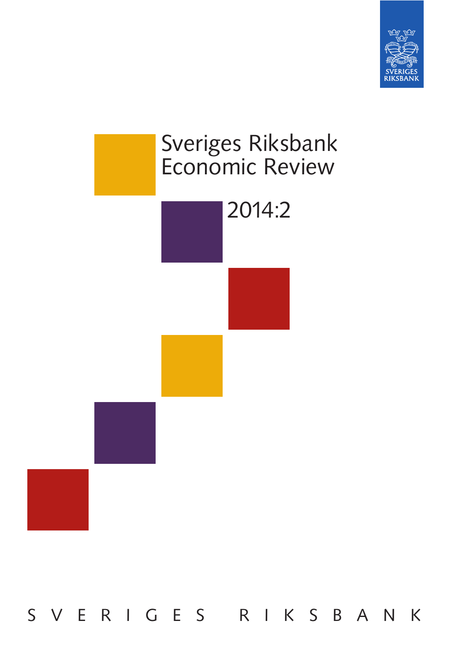



S V E R I G E S R I K S B A N K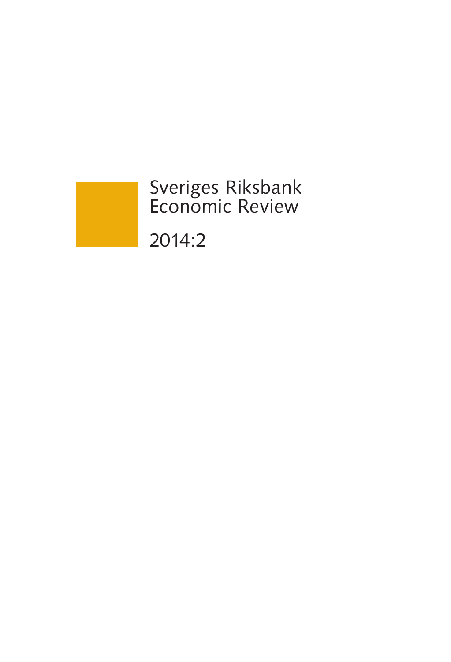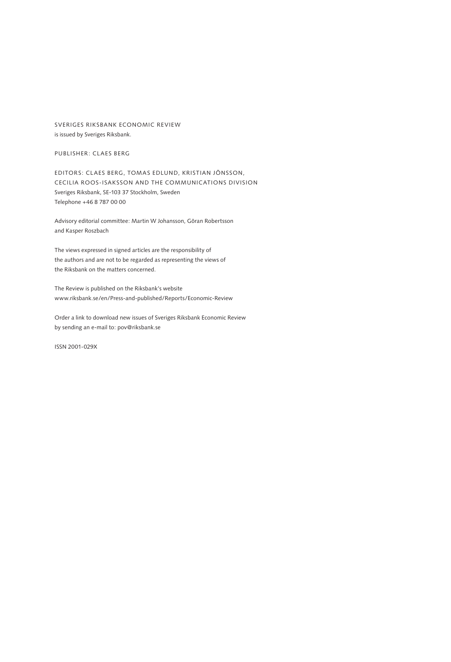SVERIGES RIKSBANK ECONOMIC REVIEW is issued by Sveriges Riksbank.

PUBLISHER: CLAES BERG

EDITORS: Claes Berg, Tomas Edlund, Kristian Jönsson, Cecilia Roos-Isaksson AND THE COMMUNICATIONS division Sveriges Riksbank, SE-103 37 Stockholm, Sweden Telephone +46 8 787 00 00

Advisory editorial committee: Martin W Johansson, Göran Robertsson and Kasper Roszbach

The views expressed in signed articles are the responsibility of the authors and are not to be regarded as representing the views of the Riksbank on the matters concerned.

The Review is published on the Riksbank's website www.riksbank.se/en/Press-and-published/Reports/Economic-Review

Order a link to download new issues of Sveriges Riksbank Economic Review by sending an e-mail to: pov@riksbank.se

ISSN 2001-029X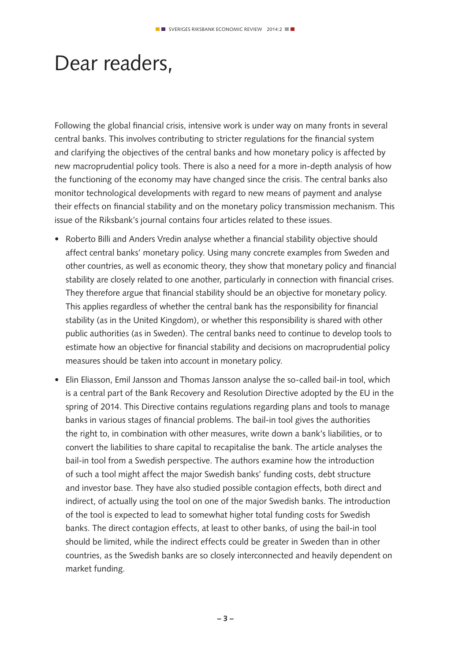## Dear readers,

Following the global financial crisis, intensive work is under way on many fronts in several central banks. This involves contributing to stricter regulations for the financial system and clarifying the objectives of the central banks and how monetary policy is affected by new macroprudential policy tools. There is also a need for a more in-depth analysis of how the functioning of the economy may have changed since the crisis. The central banks also monitor technological developments with regard to new means of payment and analyse their effects on financial stability and on the monetary policy transmission mechanism. This issue of the Riksbank's journal contains four articles related to these issues.

- Roberto Billi and Anders Vredin analyse whether a financial stability objective should affect central banks' monetary policy. Using many concrete examples from Sweden and other countries, as well as economic theory, they show that monetary policy and financial stability are closely related to one another, particularly in connection with financial crises. They therefore argue that financial stability should be an objective for monetary policy. This applies regardless of whether the central bank has the responsibility for financial stability (as in the United Kingdom), or whether this responsibility is shared with other public authorities (as in Sweden). The central banks need to continue to develop tools to estimate how an objective for financial stability and decisions on macroprudential policy measures should be taken into account in monetary policy.
- Elin Eliasson, Emil Jansson and Thomas Jansson analyse the so-called bail-in tool, which is a central part of the Bank Recovery and Resolution Directive adopted by the EU in the spring of 2014. This Directive contains regulations regarding plans and tools to manage banks in various stages of financial problems. The bail-in tool gives the authorities the right to, in combination with other measures, write down a bank's liabilities, or to convert the liabilities to share capital to recapitalise the bank. The article analyses the bail-in tool from a Swedish perspective. The authors examine how the introduction of such a tool might affect the major Swedish banks' funding costs, debt structure and investor base. They have also studied possible contagion effects, both direct and indirect, of actually using the tool on one of the major Swedish banks. The introduction of the tool is expected to lead to somewhat higher total funding costs for Swedish banks. The direct contagion effects, at least to other banks, of using the bail-in tool should be limited, while the indirect effects could be greater in Sweden than in other countries, as the Swedish banks are so closely interconnected and heavily dependent on market funding.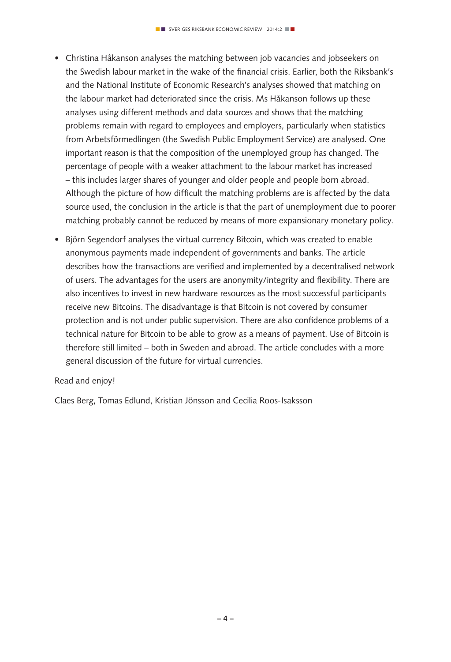- Christina Håkanson analyses the matching between job vacancies and jobseekers on the Swedish labour market in the wake of the financial crisis. Earlier, both the Riksbank's and the National Institute of Economic Research's analyses showed that matching on the labour market had deteriorated since the crisis. Ms Håkanson follows up these analyses using different methods and data sources and shows that the matching problems remain with regard to employees and employers, particularly when statistics from Arbetsförmedlingen (the Swedish Public Employment Service) are analysed. One important reason is that the composition of the unemployed group has changed. The percentage of people with a weaker attachment to the labour market has increased – this includes larger shares of younger and older people and people born abroad. Although the picture of how difficult the matching problems are is affected by the data source used, the conclusion in the article is that the part of unemployment due to poorer matching probably cannot be reduced by means of more expansionary monetary policy.
- Björn Segendorf analyses the virtual currency Bitcoin, which was created to enable anonymous payments made independent of governments and banks. The article describes how the transactions are verified and implemented by a decentralised network of users. The advantages for the users are anonymity/integrity and flexibility. There are also incentives to invest in new hardware resources as the most successful participants receive new Bitcoins. The disadvantage is that Bitcoin is not covered by consumer protection and is not under public supervision. There are also confidence problems of a technical nature for Bitcoin to be able to grow as a means of payment. Use of Bitcoin is therefore still limited – both in Sweden and abroad. The article concludes with a more general discussion of the future for virtual currencies.

### Read and enjoy!

Claes Berg, Tomas Edlund, Kristian Jönsson and Cecilia Roos-Isaksson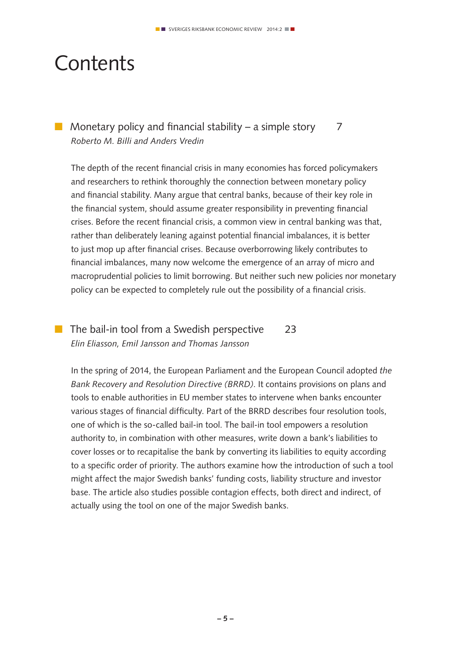## **Contents**

## **n** Monetary policy and financial stability – a simple story  $\overline{7}$ *Roberto M. Billi and Anders Vredin*

The depth of the recent financial crisis in many economies has forced policymakers and researchers to rethink thoroughly the connection between monetary policy and financial stability. Many argue that central banks, because of their key role in the financial system, should assume greater responsibility in preventing financial crises. Before the recent financial crisis, a common view in central banking was that, rather than deliberately leaning against potential financial imbalances, it is better to just mop up after financial crises. Because overborrowing likely contributes to financial imbalances, many now welcome the emergence of an array of micro and macroprudential policies to limit borrowing. But neither such new policies nor monetary policy can be expected to completely rule out the possibility of a financial crisis.

## $\blacksquare$  The bail-in tool from a Swedish perspective 23 *Elin Eliasson, Emil Jansson and Thomas Jansson*

In the spring of 2014, the European Parliament and the European Council adopted *the Bank Recovery and Resolution Directive (BRRD)*. It contains provisions on plans and tools to enable authorities in EU member states to intervene when banks encounter various stages of financial difficulty. Part of the BRRD describes four resolution tools, one of which is the so-called bail-in tool. The bail-in tool empowers a resolution authority to, in combination with other measures, write down a bank's liabilities to cover losses or to recapitalise the bank by converting its liabilities to equity according to a specific order of priority. The authors examine how the introduction of such a tool might affect the major Swedish banks' funding costs, liability structure and investor base. The article also studies possible contagion effects, both direct and indirect, of actually using the tool on one of the major Swedish banks.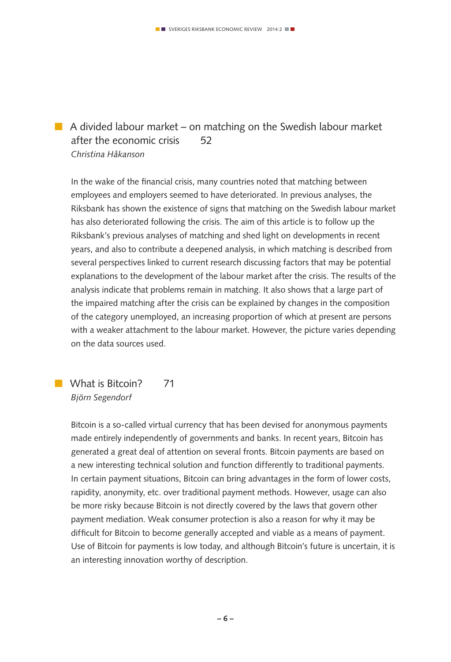## $\blacksquare$  A divided labour market – on matching on the Swedish labour market after the economic crisis 52 *Christina Håkanson*

In the wake of the financial crisis, many countries noted that matching between employees and employers seemed to have deteriorated. In previous analyses, the Riksbank has shown the existence of signs that matching on the Swedish labour market has also deteriorated following the crisis. The aim of this article is to follow up the Riksbank's previous analyses of matching and shed light on developments in recent years, and also to contribute a deepened analysis, in which matching is described from several perspectives linked to current research discussing factors that may be potential explanations to the development of the labour market after the crisis. The results of the analysis indicate that problems remain in matching. It also shows that a large part of the impaired matching after the crisis can be explained by changes in the composition of the category unemployed, an increasing proportion of which at present are persons with a weaker attachment to the labour market. However, the picture varies depending on the data sources used.

**No. 31 What is Bitcoin?** 71 *Björn Segendorf*

> Bitcoin is a so-called virtual currency that has been devised for anonymous payments made entirely independently of governments and banks. In recent years, Bitcoin has generated a great deal of attention on several fronts. Bitcoin payments are based on a new interesting technical solution and function differently to traditional payments. In certain payment situations, Bitcoin can bring advantages in the form of lower costs, rapidity, anonymity, etc. over traditional payment methods. However, usage can also be more risky because Bitcoin is not directly covered by the laws that govern other payment mediation. Weak consumer protection is also a reason for why it may be difficult for Bitcoin to become generally accepted and viable as a means of payment. Use of Bitcoin for payments is low today, and although Bitcoin's future is uncertain, it is an interesting innovation worthy of description.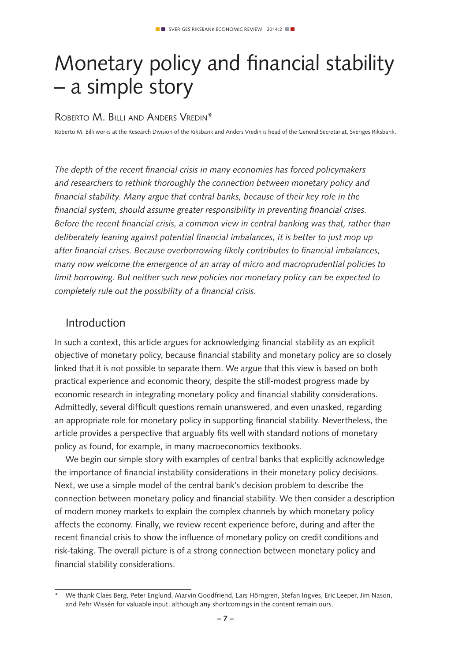# Monetary policy and financial stability – a simple story

### ROBERTO M. BILLI AND ANDERS VREDIN<sup>\*</sup>

Roberto M. Billi works at the Research Division of the Riksbank and Anders Vredin is head of the General Secretariat, Sveriges Riksbank.

*The depth of the recent financial crisis in many economies has forced policymakers and researchers to rethink thoroughly the connection between monetary policy and financial stability. Many argue that central banks, because of their key role in the financial system, should assume greater responsibility in preventing financial crises. Before the recent financial crisis, a common view in central banking was that, rather than deliberately leaning against potential financial imbalances, it is better to just mop up after financial crises. Because overborrowing likely contributes to financial imbalances, many now welcome the emergence of an array of micro and macroprudential policies to limit borrowing. But neither such new policies nor monetary policy can be expected to completely rule out the possibility of a financial crisis.*

### Introduction

In such a context, this article argues for acknowledging financial stability as an explicit objective of monetary policy, because financial stability and monetary policy are so closely linked that it is not possible to separate them. We argue that this view is based on both practical experience and economic theory, despite the still-modest progress made by economic research in integrating monetary policy and financial stability considerations. Admittedly, several difficult questions remain unanswered, and even unasked, regarding an appropriate role for monetary policy in supporting financial stability. Nevertheless, the article provides a perspective that arguably fits well with standard notions of monetary policy as found, for example, in many macroeconomics textbooks.

We begin our simple story with examples of central banks that explicitly acknowledge the importance of financial instability considerations in their monetary policy decisions. Next, we use a simple model of the central bank's decision problem to describe the connection between monetary policy and financial stability. We then consider a description of modern money markets to explain the complex channels by which monetary policy affects the economy. Finally, we review recent experience before, during and after the recent financial crisis to show the influence of monetary policy on credit conditions and risk-taking. The overall picture is of a strong connection between monetary policy and financial stability considerations.

<sup>\*</sup> We thank Claes Berg, Peter Englund, Marvin Goodfriend, Lars Hörngren, Stefan Ingves, Eric Leeper, Jim Nason, and Pehr Wissén for valuable input, although any shortcomings in the content remain ours.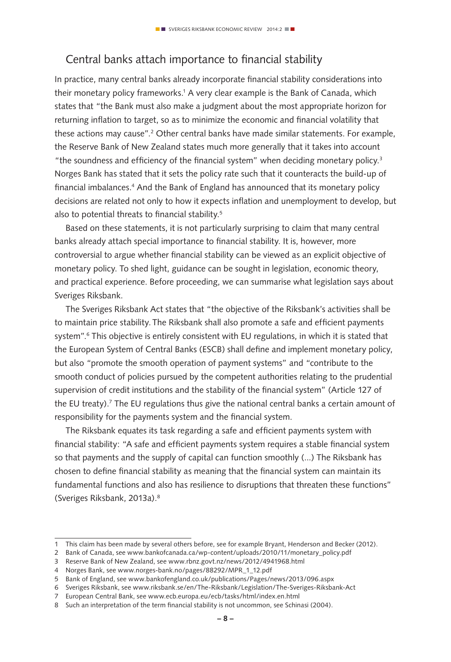## Central banks attach importance to financial stability

In practice, many central banks already incorporate financial stability considerations into their monetary policy frameworks.<sup>1</sup> A very clear example is the Bank of Canada, which states that "the Bank must also make a judgment about the most appropriate horizon for returning inflation to target, so as to minimize the economic and financial volatility that these actions may cause".<sup>2</sup> Other central banks have made similar statements. For example, the Reserve Bank of New Zealand states much more generally that it takes into account "the soundness and efficiency of the financial system" when deciding monetary policy. $3$ Norges Bank has stated that it sets the policy rate such that it counteracts the build-up of financial imbalances.4 And the Bank of England has announced that its monetary policy decisions are related not only to how it expects inflation and unemployment to develop, but also to potential threats to financial stability.<sup>5</sup>

Based on these statements, it is not particularly surprising to claim that many central banks already attach special importance to financial stability. It is, however, more controversial to argue whether financial stability can be viewed as an explicit objective of monetary policy. To shed light, guidance can be sought in legislation, economic theory, and practical experience. Before proceeding, we can summarise what legislation says about Sveriges Riksbank.

The Sveriges Riksbank Act states that "the objective of the Riksbank's activities shall be to maintain price stability. The Riksbank shall also promote a safe and efficient payments system".<sup>6</sup> This objective is entirely consistent with EU regulations, in which it is stated that the European System of Central Banks (ESCB) shall define and implement monetary policy, but also "promote the smooth operation of payment systems" and "contribute to the smooth conduct of policies pursued by the competent authorities relating to the prudential supervision of credit institutions and the stability of the financial system" (Article 127 of the EU treaty).<sup>7</sup> The EU regulations thus give the national central banks a certain amount of responsibility for the payments system and the financial system.

The Riksbank equates its task regarding a safe and efficient payments system with financial stability: "A safe and efficient payments system requires a stable financial system so that payments and the supply of capital can function smoothly (...) The Riksbank has chosen to define financial stability as meaning that the financial system can maintain its fundamental functions and also has resilience to disruptions that threaten these functions" (Sveriges Riksbank, 2013a).8

<sup>1</sup> This claim has been made by several others before, see for example Bryant, Henderson and Becker (2012).

<sup>2</sup> Bank of Canada, see www.bankofcanada.ca/wp-content/uploads/2010/11/monetary\_policy.pdf

<sup>3</sup> Reserve Bank of New Zealand, see www.rbnz.govt.nz/news/2012/4941968.html

<sup>4</sup> Norges Bank, see www.norges-bank.no/pages/88292/MPR\_1\_12.pdf

<sup>5</sup> Bank of England, see www.bankofengland.co.uk/publications/Pages/news/2013/096.aspx

<sup>6</sup> Sveriges Riksbank, see www.riksbank.se/en/The-Riksbank/Legislation/The-Sveriges-Riksbank-Act

<sup>7</sup> European Central Bank, see www.ecb.europa.eu/ecb/tasks/html/index.en.html

<sup>8</sup> Such an interpretation of the term financial stability is not uncommon, see Schinasi (2004).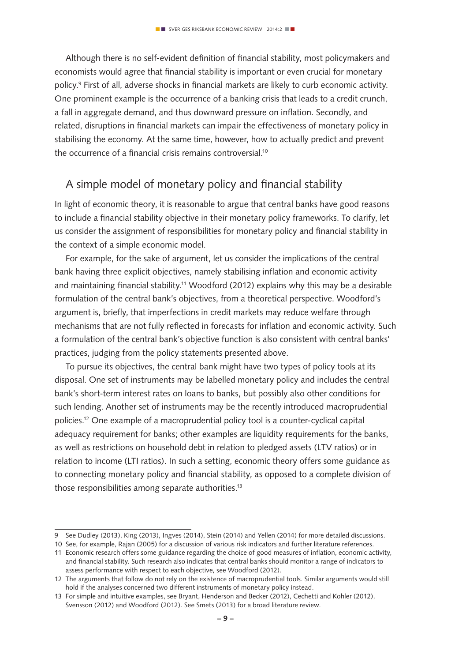Although there is no self-evident definition of financial stability, most policymakers and economists would agree that financial stability is important or even crucial for monetary policy.9 First of all, adverse shocks in financial markets are likely to curb economic activity. One prominent example is the occurrence of a banking crisis that leads to a credit crunch, a fall in aggregate demand, and thus downward pressure on inflation. Secondly, and related, disruptions in financial markets can impair the effectiveness of monetary policy in stabilising the economy. At the same time, however, how to actually predict and prevent the occurrence of a financial crisis remains controversial.10

## A simple model of monetary policy and financial stability

In light of economic theory, it is reasonable to argue that central banks have good reasons to include a financial stability objective in their monetary policy frameworks. To clarify, let us consider the assignment of responsibilities for monetary policy and financial stability in the context of a simple economic model.

For example, for the sake of argument, let us consider the implications of the central bank having three explicit objectives, namely stabilising inflation and economic activity and maintaining financial stability.11 Woodford (2012) explains why this may be a desirable formulation of the central bank's objectives, from a theoretical perspective. Woodford's argument is, briefly, that imperfections in credit markets may reduce welfare through mechanisms that are not fully reflected in forecasts for inflation and economic activity. Such a formulation of the central bank's objective function is also consistent with central banks' practices, judging from the policy statements presented above.

To pursue its objectives, the central bank might have two types of policy tools at its disposal. One set of instruments may be labelled monetary policy and includes the central bank's short-term interest rates on loans to banks, but possibly also other conditions for such lending. Another set of instruments may be the recently introduced macroprudential policies.12 One example of a macroprudential policy tool is a counter-cyclical capital adequacy requirement for banks; other examples are liquidity requirements for the banks, as well as restrictions on household debt in relation to pledged assets (LTV ratios) or in relation to income (LTI ratios). In such a setting, economic theory offers some guidance as to connecting monetary policy and financial stability, as opposed to a complete division of those responsibilities among separate authorities.<sup>13</sup>

<sup>9</sup> See Dudley (2013), King (2013), Ingves (2014), Stein (2014) and Yellen (2014) for more detailed discussions.

<sup>10</sup> See, for example, Rajan (2005) for a discussion of various risk indicators and further literature references.

<sup>11</sup> Economic research offers some guidance regarding the choice of good measures of inflation, economic activity, and financial stability. Such research also indicates that central banks should monitor a range of indicators to assess performance with respect to each objective, see Woodford (2012).

<sup>12</sup> The arguments that follow do not rely on the existence of macroprudential tools. Similar arguments would still hold if the analyses concerned two different instruments of monetary policy instead.

<sup>13</sup> For simple and intuitive examples, see Bryant, Henderson and Becker (2012), Cechetti and Kohler (2012), Svensson (2012) and Woodford (2012). See Smets (2013) for a broad literature review.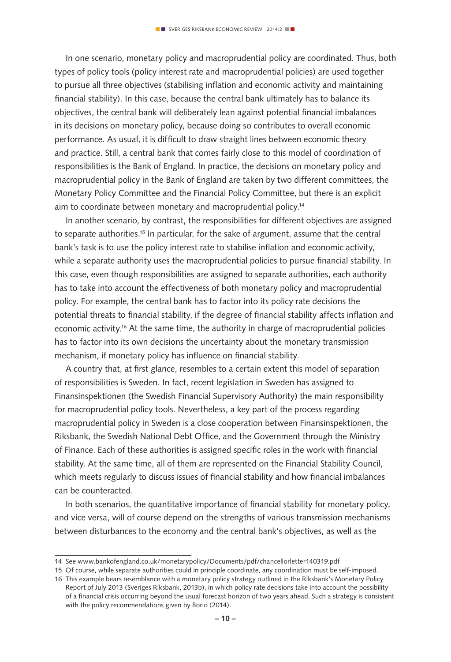In one scenario, monetary policy and macroprudential policy are coordinated. Thus, both types of policy tools (policy interest rate and macroprudential policies) are used together to pursue all three objectives (stabilising inflation and economic activity and maintaining financial stability). In this case, because the central bank ultimately has to balance its objectives, the central bank will deliberately lean against potential financial imbalances in its decisions on monetary policy, because doing so contributes to overall economic performance. As usual, it is difficult to draw straight lines between economic theory and practice. Still, a central bank that comes fairly close to this model of coordination of responsibilities is the Bank of England. In practice, the decisions on monetary policy and macroprudential policy in the Bank of England are taken by two different committees, the Monetary Policy Committee and the Financial Policy Committee, but there is an explicit aim to coordinate between monetary and macroprudential policy.14

In another scenario, by contrast, the responsibilities for different objectives are assigned to separate authorities.<sup>15</sup> In particular, for the sake of argument, assume that the central bank's task is to use the policy interest rate to stabilise inflation and economic activity, while a separate authority uses the macroprudential policies to pursue financial stability. In this case, even though responsibilities are assigned to separate authorities, each authority has to take into account the effectiveness of both monetary policy and macroprudential policy. For example, the central bank has to factor into its policy rate decisions the potential threats to financial stability, if the degree of financial stability affects inflation and economic activity.16 At the same time, the authority in charge of macroprudential policies has to factor into its own decisions the uncertainty about the monetary transmission mechanism, if monetary policy has influence on financial stability.

A country that, at first glance, resembles to a certain extent this model of separation of responsibilities is Sweden. In fact, recent legislation in Sweden has assigned to Finansinspektionen (the Swedish Financial Supervisory Authority) the main responsibility for macroprudential policy tools. Nevertheless, a key part of the process regarding macroprudential policy in Sweden is a close cooperation between Finansinspektionen, the Riksbank, the Swedish National Debt Office, and the Government through the Ministry of Finance. Each of these authorities is assigned specific roles in the work with financial stability. At the same time, all of them are represented on the Financial Stability Council, which meets regularly to discuss issues of financial stability and how financial imbalances can be counteracted.

In both scenarios, the quantitative importance of financial stability for monetary policy, and vice versa, will of course depend on the strengths of various transmission mechanisms between disturbances to the economy and the central bank's objectives, as well as the

<sup>14</sup> See www.bankofengland.co.uk/monetarypolicy/Documents/pdf/chancellorletter140319.pdf

<sup>15</sup> Of course, while separate authorities could in principle coordinate, any coordination must be self-imposed.

<sup>16</sup> This example bears resemblance with a monetary policy strategy outlined in the Riksbank's Monetary Policy Report of July 2013 (Sveriges Riksbank, 2013b), in which policy rate decisions take into account the possibility of a financial crisis occurring beyond the usual forecast horizon of two years ahead. Such a strategy is consistent with the policy recommendations given by Borio (2014).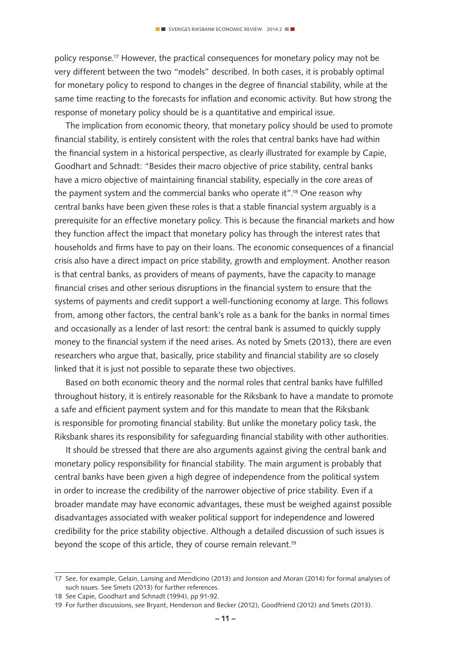policy response.17 However, the practical consequences for monetary policy may not be very different between the two "models" described. In both cases, it is probably optimal for monetary policy to respond to changes in the degree of financial stability, while at the same time reacting to the forecasts for inflation and economic activity. But how strong the response of monetary policy should be is a quantitative and empirical issue.

The implication from economic theory, that monetary policy should be used to promote financial stability, is entirely consistent with the roles that central banks have had within the financial system in a historical perspective, as clearly illustrated for example by Capie, Goodhart and Schnadt: "Besides their macro objective of price stability, central banks have a micro objective of maintaining financial stability, especially in the core areas of the payment system and the commercial banks who operate it".<sup>18</sup> One reason why central banks have been given these roles is that a stable financial system arguably is a prerequisite for an effective monetary policy. This is because the financial markets and how they function affect the impact that monetary policy has through the interest rates that households and firms have to pay on their loans. The economic consequences of a financial crisis also have a direct impact on price stability, growth and employment. Another reason is that central banks, as providers of means of payments, have the capacity to manage financial crises and other serious disruptions in the financial system to ensure that the systems of payments and credit support a well-functioning economy at large. This follows from, among other factors, the central bank's role as a bank for the banks in normal times and occasionally as a lender of last resort: the central bank is assumed to quickly supply money to the financial system if the need arises. As noted by Smets (2013), there are even researchers who argue that, basically, price stability and financial stability are so closely linked that it is just not possible to separate these two objectives.

Based on both economic theory and the normal roles that central banks have fulfilled throughout history, it is entirely reasonable for the Riksbank to have a mandate to promote a safe and efficient payment system and for this mandate to mean that the Riksbank is responsible for promoting financial stability. But unlike the monetary policy task, the Riksbank shares its responsibility for safeguarding financial stability with other authorities.

It should be stressed that there are also arguments against giving the central bank and monetary policy responsibility for financial stability. The main argument is probably that central banks have been given a high degree of independence from the political system in order to increase the credibility of the narrower objective of price stability. Even if a broader mandate may have economic advantages, these must be weighed against possible disadvantages associated with weaker political support for independence and lowered credibility for the price stability objective. Although a detailed discussion of such issues is beyond the scope of this article, they of course remain relevant.<sup>19</sup>

<sup>17</sup> See, for example, Gelain, Lansing and Mendicino (2013) and Jonsson and Moran (2014) for formal analyses of such issues. See Smets (2013) for further references.

<sup>18</sup> See Capie, Goodhart and Schnadt (1994), pp 91-92.

<sup>19</sup> For further discussions, see Bryant, Henderson and Becker (2012), Goodfriend (2012) and Smets (2013).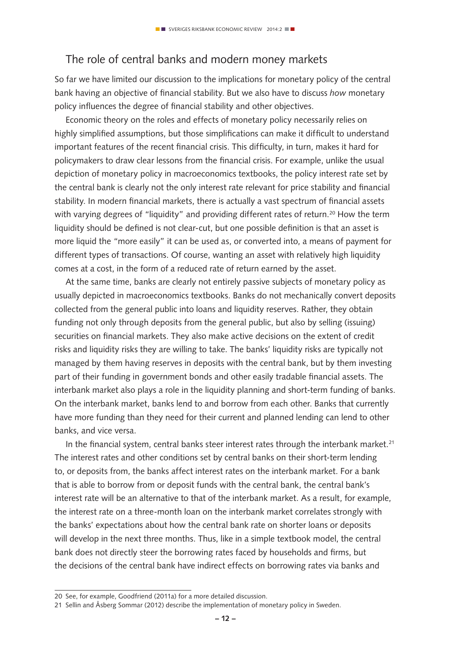## The role of central banks and modern money markets

So far we have limited our discussion to the implications for monetary policy of the central bank having an objective of financial stability. But we also have to discuss *how* monetary policy influences the degree of financial stability and other objectives.

Economic theory on the roles and effects of monetary policy necessarily relies on highly simplified assumptions, but those simplifications can make it difficult to understand important features of the recent financial crisis. This difficulty, in turn, makes it hard for policymakers to draw clear lessons from the financial crisis. For example, unlike the usual depiction of monetary policy in macroeconomics textbooks, the policy interest rate set by the central bank is clearly not the only interest rate relevant for price stability and financial stability. In modern financial markets, there is actually a vast spectrum of financial assets with varying degrees of "liquidity" and providing different rates of return.<sup>20</sup> How the term liquidity should be defined is not clear-cut, but one possible definition is that an asset is more liquid the "more easily" it can be used as, or converted into, a means of payment for different types of transactions. Of course, wanting an asset with relatively high liquidity comes at a cost, in the form of a reduced rate of return earned by the asset.

At the same time, banks are clearly not entirely passive subjects of monetary policy as usually depicted in macroeconomics textbooks. Banks do not mechanically convert deposits collected from the general public into loans and liquidity reserves. Rather, they obtain funding not only through deposits from the general public, but also by selling (issuing) securities on financial markets. They also make active decisions on the extent of credit risks and liquidity risks they are willing to take. The banks' liquidity risks are typically not managed by them having reserves in deposits with the central bank, but by them investing part of their funding in government bonds and other easily tradable financial assets. The interbank market also plays a role in the liquidity planning and short-term funding of banks. On the interbank market, banks lend to and borrow from each other. Banks that currently have more funding than they need for their current and planned lending can lend to other banks, and vice versa.

In the financial system, central banks steer interest rates through the interbank market.<sup>21</sup> The interest rates and other conditions set by central banks on their short-term lending to, or deposits from, the banks affect interest rates on the interbank market. For a bank that is able to borrow from or deposit funds with the central bank, the central bank's interest rate will be an alternative to that of the interbank market. As a result, for example, the interest rate on a three-month loan on the interbank market correlates strongly with the banks' expectations about how the central bank rate on shorter loans or deposits will develop in the next three months. Thus, like in a simple textbook model, the central bank does not directly steer the borrowing rates faced by households and firms, but the decisions of the central bank have indirect effects on borrowing rates via banks and

<sup>20</sup> See, for example, Goodfriend (2011a) for a more detailed discussion.

<sup>21</sup> Sellin and Åsberg Sommar (2012) describe the implementation of monetary policy in Sweden.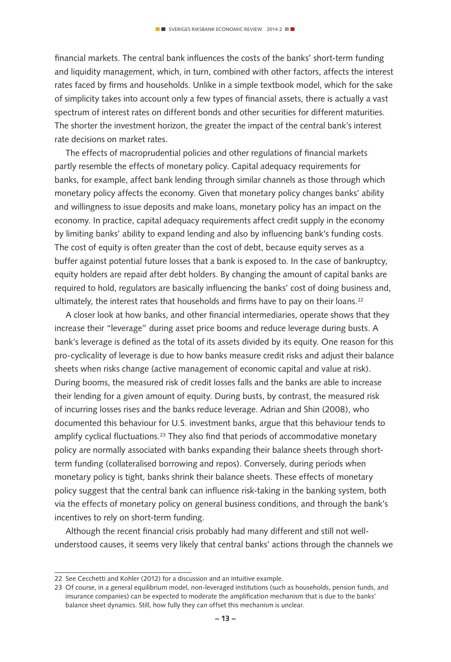financial markets. The central bank influences the costs of the banks' short-term funding and liquidity management, which, in turn, combined with other factors, affects the interest rates faced by firms and households. Unlike in a simple textbook model, which for the sake of simplicity takes into account only a few types of financial assets, there is actually a vast spectrum of interest rates on different bonds and other securities for different maturities. The shorter the investment horizon, the greater the impact of the central bank's interest rate decisions on market rates.

The effects of macroprudential policies and other regulations of financial markets partly resemble the effects of monetary policy. Capital adequacy requirements for banks, for example, affect bank lending through similar channels as those through which monetary policy affects the economy. Given that monetary policy changes banks' ability and willingness to issue deposits and make loans, monetary policy has an impact on the economy. In practice, capital adequacy requirements affect credit supply in the economy by limiting banks' ability to expand lending and also by influencing bank's funding costs. The cost of equity is often greater than the cost of debt, because equity serves as a buffer against potential future losses that a bank is exposed to. In the case of bankruptcy, equity holders are repaid after debt holders. By changing the amount of capital banks are required to hold, regulators are basically influencing the banks' cost of doing business and, ultimately, the interest rates that households and firms have to pay on their loans.<sup>22</sup>

A closer look at how banks, and other financial intermediaries, operate shows that they increase their "leverage" during asset price booms and reduce leverage during busts. A bank's leverage is defined as the total of its assets divided by its equity. One reason for this pro-cyclicality of leverage is due to how banks measure credit risks and adjust their balance sheets when risks change (active management of economic capital and value at risk). During booms, the measured risk of credit losses falls and the banks are able to increase their lending for a given amount of equity. During busts, by contrast, the measured risk of incurring losses rises and the banks reduce leverage. Adrian and Shin (2008), who documented this behaviour for U.S. investment banks, argue that this behaviour tends to amplify cyclical fluctuations.<sup>23</sup> They also find that periods of accommodative monetary policy are normally associated with banks expanding their balance sheets through shortterm funding (collateralised borrowing and repos). Conversely, during periods when monetary policy is tight, banks shrink their balance sheets. These effects of monetary policy suggest that the central bank can influence risk-taking in the banking system, both via the effects of monetary policy on general business conditions, and through the bank's incentives to rely on short-term funding.

Although the recent financial crisis probably had many different and still not wellunderstood causes, it seems very likely that central banks' actions through the channels we

<sup>22</sup> See Cecchetti and Kohler (2012) for a discussion and an intuitive example.

<sup>23</sup> Of course, in a general equilibrium model, non-leveraged institutions (such as households, pension funds, and insurance companies) can be expected to moderate the amplification mechanism that is due to the banks' balance sheet dynamics. Still, how fully they can offset this mechanism is unclear.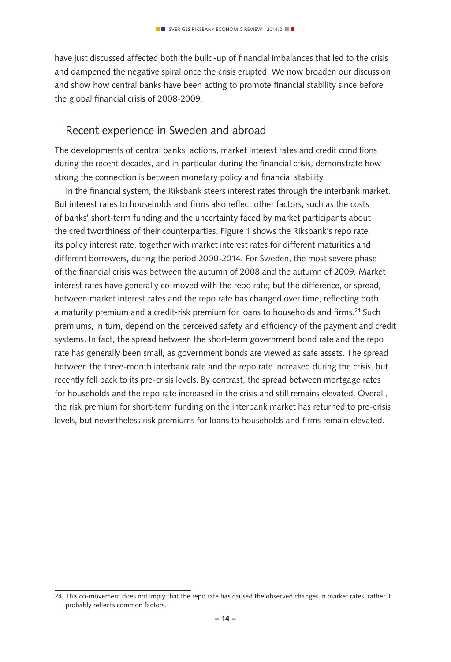have just discussed affected both the build-up of financial imbalances that led to the crisis and dampened the negative spiral once the crisis erupted. We now broaden our discussion and show how central banks have been acting to promote financial stability since before the global financial crisis of 2008-2009.

### Recent experience in Sweden and abroad

The developments of central banks' actions, market interest rates and credit conditions during the recent decades, and in particular during the financial crisis, demonstrate how strong the connection is between monetary policy and financial stability.

In the financial system, the Riksbank steers interest rates through the interbank market. But interest rates to households and firms also reflect other factors, such as the costs of banks' short-term funding and the uncertainty faced by market participants about the creditworthiness of their counterparties. Figure 1 shows the Riksbank's repo rate, its policy interest rate, together with market interest rates for different maturities and different borrowers, during the period 2000-2014. For Sweden, the most severe phase of the financial crisis was between the autumn of 2008 and the autumn of 2009. Market interest rates have generally co-moved with the repo rate; but the difference, or spread, between market interest rates and the repo rate has changed over time, reflecting both a maturity premium and a credit-risk premium for loans to households and firms.24 Such premiums, in turn, depend on the perceived safety and efficiency of the payment and credit systems. In fact, the spread between the short-term government bond rate and the repo rate has generally been small, as government bonds are viewed as safe assets. The spread between the three-month interbank rate and the repo rate increased during the crisis, but recently fell back to its pre-crisis levels. By contrast, the spread between mortgage rates for households and the repo rate increased in the crisis and still remains elevated. Overall, the risk premium for short-term funding on the interbank market has returned to pre-crisis levels, but nevertheless risk premiums for loans to households and firms remain elevated.

<sup>24</sup> This co-movement does not imply that the repo rate has caused the observed changes in market rates, rather it probably reflects common factors.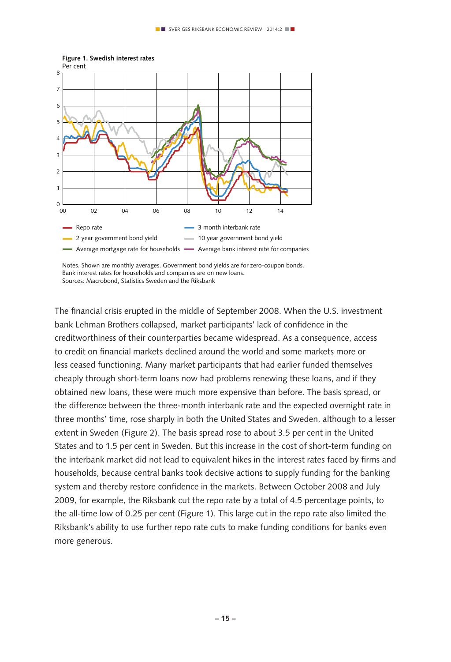

**Figure 1. Swedish interest rates**

Notes. Shown are monthly averages. Government bond yields are for zero-coupon bonds. Bank interest rates for households and companies are on new loans. Sources: Macrobond, Statistics Sweden and the Riksbank

The financial crisis erupted in the middle of September 2008. When the U.S. investment bank Lehman Brothers collapsed, market participants' lack of confidence in the creditworthiness of their counterparties became widespread. As a consequence, access to credit on financial markets declined around the world and some markets more or less ceased functioning. Many market participants that had earlier funded themselves cheaply through short-term loans now had problems renewing these loans, and if they obtained new loans, these were much more expensive than before. The basis spread, or the difference between the three-month interbank rate and the expected overnight rate in three months' time, rose sharply in both the United States and Sweden, although to a lesser extent in Sweden (Figure 2). The basis spread rose to about 3.5 per cent in the United States and to 1.5 per cent in Sweden. But this increase in the cost of short-term funding on the interbank market did not lead to equivalent hikes in the interest rates faced by firms and households, because central banks took decisive actions to supply funding for the banking system and thereby restore confidence in the markets. Between October 2008 and July 2009, for example, the Riksbank cut the repo rate by a total of 4.5 percentage points, to the all-time low of 0.25 per cent (Figure 1). This large cut in the repo rate also limited the Riksbank's ability to use further repo rate cuts to make funding conditions for banks even more generous.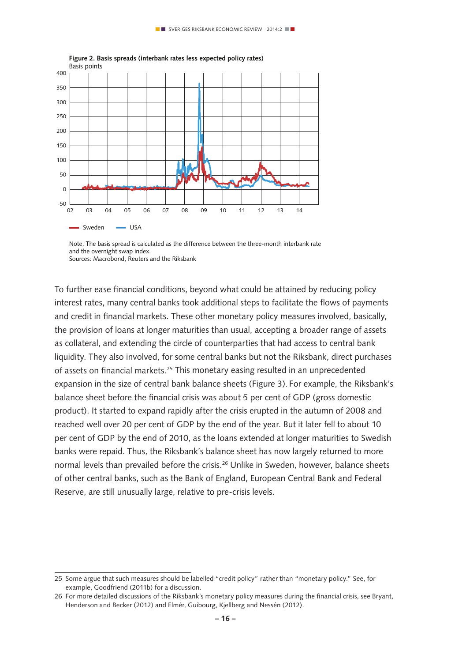

Note. The basis spread is calculated as the difference between the three-month interbank rate and the overnight swap index. Sources: Macrobond, Reuters and the Riksbank

To further ease financial conditions, beyond what could be attained by reducing policy interest rates, many central banks took additional steps to facilitate the flows of payments and credit in financial markets. These other monetary policy measures involved, basically, the provision of loans at longer maturities than usual, accepting a broader range of assets as collateral, and extending the circle of counterparties that had access to central bank liquidity. They also involved, for some central banks but not the Riksbank, direct purchases of assets on financial markets.<sup>25</sup> This monetary easing resulted in an unprecedented expansion in the size of central bank balance sheets (Figure 3). For example, the Riksbank's balance sheet before the financial crisis was about 5 per cent of GDP (gross domestic product). It started to expand rapidly after the crisis erupted in the autumn of 2008 and reached well over 20 per cent of GDP by the end of the year. But it later fell to about 10 per cent of GDP by the end of 2010, as the loans extended at longer maturities to Swedish banks were repaid. Thus, the Riksbank's balance sheet has now largely returned to more normal levels than prevailed before the crisis.<sup>26</sup> Unlike in Sweden, however, balance sheets of other central banks, such as the Bank of England, European Central Bank and Federal Reserve, are still unusually large, relative to pre-crisis levels.

<sup>25</sup> Some argue that such measures should be labelled "credit policy" rather than "monetary policy." See, for example, Goodfriend (2011b) for a discussion.

<sup>26</sup> For more detailed discussions of the Riksbank's monetary policy measures during the financial crisis, see Bryant, Henderson and Becker (2012) and Elmér, Guibourg, Kjellberg and Nessén (2012).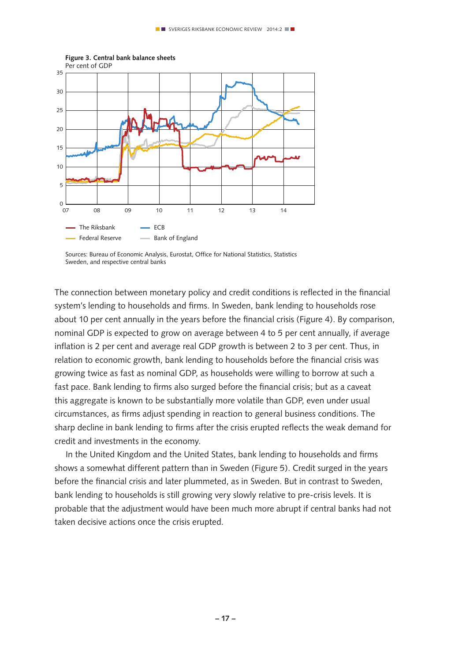

**Figure 3. Central bank balance sheets**

Sources: Bureau of Economic Analysis, Eurostat, Office for National Statistics, Statistics Sweden, and respective central banks

The connection between monetary policy and credit conditions is reflected in the financial system's lending to households and firms. In Sweden, bank lending to households rose about 10 per cent annually in the years before the financial crisis (Figure 4). By comparison, nominal GDP is expected to grow on average between 4 to 5 per cent annually, if average inflation is 2 per cent and average real GDP growth is between 2 to 3 per cent. Thus, in relation to economic growth, bank lending to households before the financial crisis was growing twice as fast as nominal GDP, as households were willing to borrow at such a fast pace. Bank lending to firms also surged before the financial crisis; but as a caveat this aggregate is known to be substantially more volatile than GDP, even under usual circumstances, as firms adjust spending in reaction to general business conditions. The sharp decline in bank lending to firms after the crisis erupted reflects the weak demand for credit and investments in the economy.

In the United Kingdom and the United States, bank lending to households and firms shows a somewhat different pattern than in Sweden (Figure 5). Credit surged in the years before the financial crisis and later plummeted, as in Sweden. But in contrast to Sweden, bank lending to households is still growing very slowly relative to pre-crisis levels. It is probable that the adjustment would have been much more abrupt if central banks had not taken decisive actions once the crisis erupted.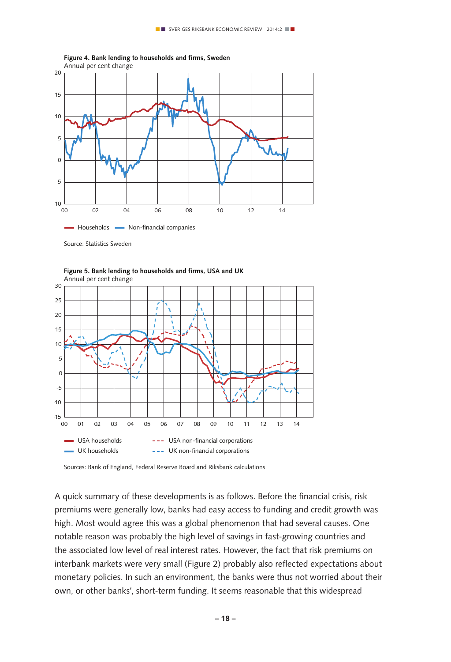



Source: Statistics Sweden



**Figure 5. Bank lending to households and firms, USA and UK**

Sources: Bank of England, Federal Reserve Board and Riksbank calculations

A quick summary of these developments is as follows. Before the financial crisis, risk premiums were generally low, banks had easy access to funding and credit growth was high. Most would agree this was a global phenomenon that had several causes. One notable reason was probably the high level of savings in fast-growing countries and the associated low level of real interest rates. However, the fact that risk premiums on interbank markets were very small (Figure 2) probably also reflected expectations about monetary policies. In such an environment, the banks were thus not worried about their own, or other banks', short-term funding. It seems reasonable that this widespread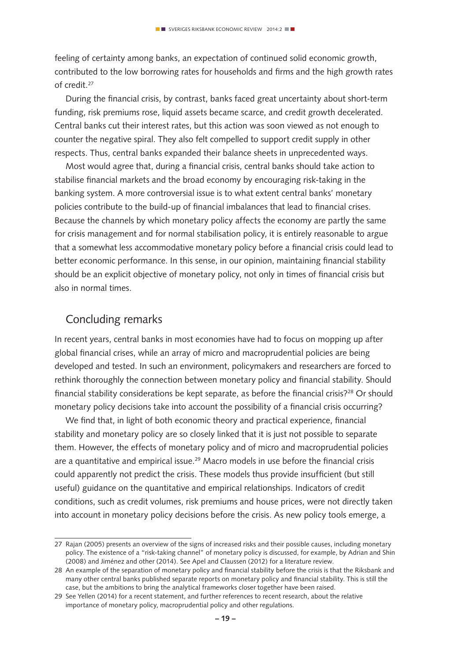feeling of certainty among banks, an expectation of continued solid economic growth, contributed to the low borrowing rates for households and firms and the high growth rates of credit.<sup>27</sup>

During the financial crisis, by contrast, banks faced great uncertainty about short-term funding, risk premiums rose, liquid assets became scarce, and credit growth decelerated. Central banks cut their interest rates, but this action was soon viewed as not enough to counter the negative spiral. They also felt compelled to support credit supply in other respects. Thus, central banks expanded their balance sheets in unprecedented ways.

Most would agree that, during a financial crisis, central banks should take action to stabilise financial markets and the broad economy by encouraging risk-taking in the banking system. A more controversial issue is to what extent central banks' monetary policies contribute to the build-up of financial imbalances that lead to financial crises. Because the channels by which monetary policy affects the economy are partly the same for crisis management and for normal stabilisation policy, it is entirely reasonable to argue that a somewhat less accommodative monetary policy before a financial crisis could lead to better economic performance. In this sense, in our opinion, maintaining financial stability should be an explicit objective of monetary policy, not only in times of financial crisis but also in normal times.

## Concluding remarks

In recent years, central banks in most economies have had to focus on mopping up after global financial crises, while an array of micro and macroprudential policies are being developed and tested. In such an environment, policymakers and researchers are forced to rethink thoroughly the connection between monetary policy and financial stability. Should financial stability considerations be kept separate, as before the financial crisis? $28$  Or should monetary policy decisions take into account the possibility of a financial crisis occurring?

We find that, in light of both economic theory and practical experience, financial stability and monetary policy are so closely linked that it is just not possible to separate them. However, the effects of monetary policy and of micro and macroprudential policies are a quantitative and empirical issue.<sup>29</sup> Macro models in use before the financial crisis could apparently not predict the crisis. These models thus provide insufficient (but still useful) guidance on the quantitative and empirical relationships. Indicators of credit conditions, such as credit volumes, risk premiums and house prices, were not directly taken into account in monetary policy decisions before the crisis. As new policy tools emerge, a

<sup>27</sup> Rajan (2005) presents an overview of the signs of increased risks and their possible causes, including monetary policy. The existence of a "risk-taking channel" of monetary policy is discussed, for example, by Adrian and Shin (2008) and Jiménez and other (2014). See Apel and Claussen (2012) for a literature review.

<sup>28</sup> An example of the separation of monetary policy and financial stability before the crisis is that the Riksbank and many other central banks published separate reports on monetary policy and financial stability. This is still the case, but the ambitions to bring the analytical frameworks closer together have been raised.

<sup>29</sup> See Yellen (2014) for a recent statement, and further references to recent research, about the relative importance of monetary policy, macroprudential policy and other regulations.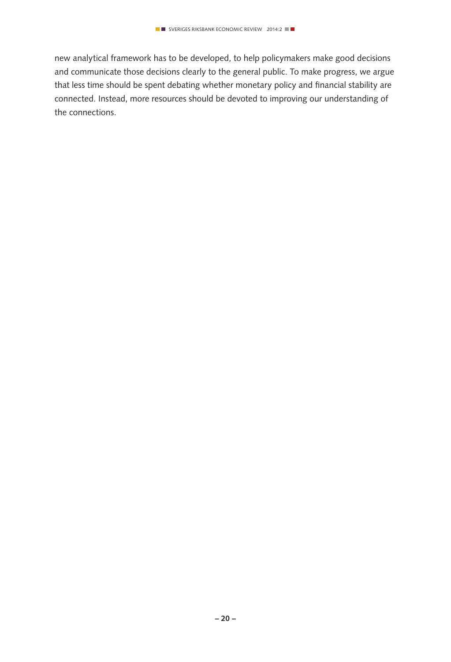new analytical framework has to be developed, to help policymakers make good decisions and communicate those decisions clearly to the general public. To make progress, we argue that less time should be spent debating whether monetary policy and financial stability are connected. Instead, more resources should be devoted to improving our understanding of the connections.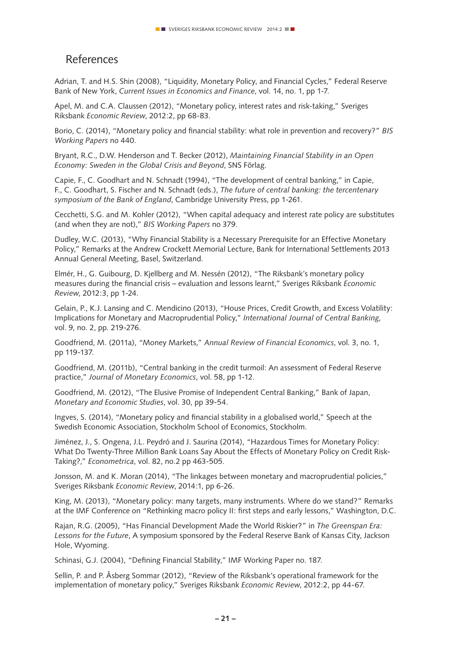### References

Adrian, T. and H.S. Shin (2008), "Liquidity, Monetary Policy, and Financial Cycles," Federal Reserve Bank of New York, *Current Issues in Economics and Finance*, vol. 14, no. 1, pp 1-7.

Apel, M. and C.A. Claussen (2012), "Monetary policy, interest rates and risk-taking," Sveriges Riksbank *Economic Review*, 2012:2, pp 68-83.

Borio, C. (2014), "Monetary policy and financial stability: what role in prevention and recovery?" *BIS Working Papers* no 440.

Bryant, R.C., D.W. Henderson and T. Becker (2012), *Maintaining Financial Stability in an Open Economy: Sweden in the Global Crisis and Beyond*, SNS Förlag.

Capie, F., C. Goodhart and N. Schnadt (1994), "The development of central banking," in Capie, F., C. Goodhart, S. Fischer and N. Schnadt (eds.), *The future of central banking: the tercentenary symposium of the Bank of England*, Cambridge University Press, pp 1-261.

Cecchetti, S.G. and M. Kohler (2012), "When capital adequacy and interest rate policy are substitutes (and when they are not)," *BIS Working Papers* no 379.

Dudley, W.C. (2013), "Why Financial Stability is a Necessary Prerequisite for an Effective Monetary Policy," Remarks at the Andrew Crockett Memorial Lecture, Bank for International Settlements 2013 Annual General Meeting, Basel, Switzerland.

Elmér, H., G. Guibourg, D. Kjellberg and M. Nessén (2012), "The Riksbank's monetary policy measures during the financial crisis – evaluation and lessons learnt," Sveriges Riksbank *Economic Review*, 2012:3, pp 1-24.

Gelain, P., K.J. Lansing and C. Mendicino (2013), "House Prices, Credit Growth, and Excess Volatility: Implications for Monetary and Macroprudential Policy," *International Journal of Central Banking*, vol. 9, no. 2, pp. 219-276.

Goodfriend, M. (2011a), "Money Markets," *Annual Review of Financial Economics*, vol. 3, no. 1, pp 119-137.

Goodfriend, M. (2011b), "Central banking in the credit turmoil: An assessment of Federal Reserve practice," *Journal of Monetary Economics*, vol. 58, pp 1-12.

Goodfriend, M. (2012), "The Elusive Promise of Independent Central Banking," Bank of Japan, *Monetary and Economic Studies*, vol. 30, pp 39-54.

Ingves, S. (2014), "Monetary policy and financial stability in a globalised world," Speech at the Swedish Economic Association, Stockholm School of Economics, Stockholm.

Jiménez, J., S. Ongena, J.L. Peydró and J. Saurina (2014), "Hazardous Times for Monetary Policy: What Do Twenty-Three Million Bank Loans Say About the Effects of Monetary Policy on Credit Risk-Taking?," *Econometrica*, vol. 82, no.2 pp 463-505.

Jonsson, M. and K. Moran (2014), "The linkages between monetary and macroprudential policies," Sveriges Riksbank *Economic Review*, 2014:1, pp 6-26.

King, M. (2013), "Monetary policy: many targets, many instruments. Where do we stand?" Remarks at the IMF Conference on "Rethinking macro policy II: first steps and early lessons," Washington, D.C.

Rajan, R.G. (2005), "Has Financial Development Made the World Riskier?" in *The Greenspan Era: Lessons for the Future*, A symposium sponsored by the Federal Reserve Bank of Kansas City, Jackson Hole, Wyoming.

Schinasi, G.J. (2004), "Defining Financial Stability," IMF Working Paper no. 187.

Sellin, P. and P. Åsberg Sommar (2012), "Review of the Riksbank's operational framework for the implementation of monetary policy," Sveriges Riksbank *Economic Review*, 2012:2, pp 44-67.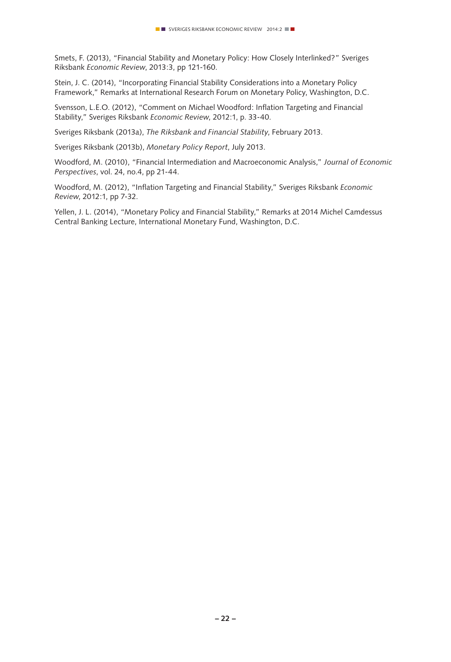Smets, F. (2013), "Financial Stability and Monetary Policy: How Closely Interlinked?" Sveriges Riksbank *Economic Review*, 2013:3, pp 121-160.

Stein, J. C. (2014), "Incorporating Financial Stability Considerations into a Monetary Policy Framework," Remarks at International Research Forum on Monetary Policy, Washington, D.C.

Svensson, L.E.O. (2012), "Comment on Michael Woodford: Inflation Targeting and Financial Stability," Sveriges Riksbank *Economic Review*, 2012:1, p. 33-40.

Sveriges Riksbank (2013a), *The Riksbank and Financial Stability*, February 2013.

Sveriges Riksbank (2013b), *Monetary Policy Report*, July 2013.

Woodford, M. (2010), "Financial Intermediation and Macroeconomic Analysis," *Journal of Economic Perspectives*, vol. 24, no.4, pp 21-44.

Woodford, M. (2012), "Inflation Targeting and Financial Stability," Sveriges Riksbank *Economic Review*, 2012:1, pp 7-32.

Yellen, J. L. (2014), "Monetary Policy and Financial Stability," Remarks at 2014 Michel Camdessus Central Banking Lecture, International Monetary Fund, Washington, D.C.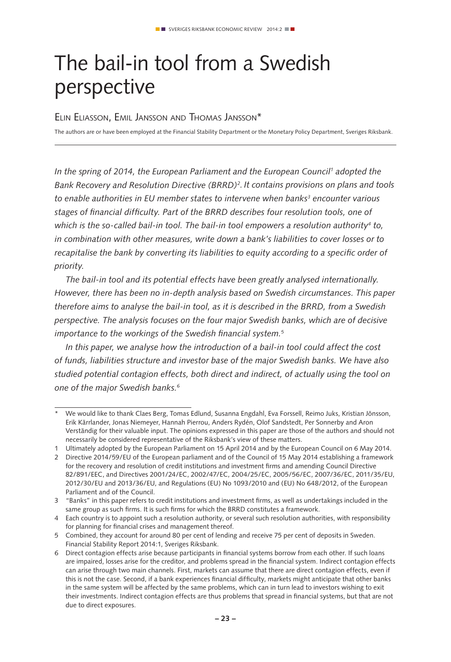## The bail-in tool from a Swedish perspective

### Elin Eliasson, Emil Jansson and Thomas Jansson\*

The authors are or have been employed at the Financial Stability Department or the Monetary Policy Department, Sveriges Riksbank.

*In the spring of 2014, the European Parliament and the European Council1 adopted the Bank Recovery and Resolution Directive (BRRD)2. It contains provisions on plans and tools*  to enable authorities in EU member states to intervene when banks<sup>3</sup> encounter various *stages of financial difficulty. Part of the BRRD describes four resolution tools, one of*  which is the so-called bail-in tool. The bail-in tool empowers a resolution authority<sup>4</sup> to, *in combination with other measures, write down a bank's liabilities to cover losses or to recapitalise the bank by converting its liabilities to equity according to a specific order of priority.*

*The bail-in tool and its potential effects have been greatly analysed internationally. However, there has been no in-depth analysis based on Swedish circumstances. This paper therefore aims to analyse the bail-in tool, as it is described in the BRRD, from a Swedish perspective. The analysis focuses on the four major Swedish banks, which are of decisive importance to the workings of the Swedish financial system.5*

*In this paper, we analyse how the introduction of a bail-in tool could affect the cost of funds, liabilities structure and investor base of the major Swedish banks. We have also studied potential contagion effects, both direct and indirect, of actually using the tool on one of the major Swedish banks.6*

<sup>\*</sup> We would like to thank Claes Berg, Tomas Edlund, Susanna Engdahl, Eva Forssell, Reimo Juks, Kristian Jönsson, Erik Kärrlander, Jonas Niemeyer, Hannah Pierrou, Anders Rydén, Olof Sandstedt, Per Sonnerby and Aron Verständig for their valuable input. The opinions expressed in this paper are those of the authors and should not necessarily be considered representative of the Riksbank's view of these matters.

<sup>1</sup> Ultimately adopted by the European Parliament on 15 April 2014 and by the European Council on 6 May 2014.

<sup>2</sup> Directive 2014/59/EU of the European parliament and of the Council of 15 May 2014 establishing a framework for the recovery and resolution of credit institutions and investment firms and amending Council Directive 82/891/EEC, and Directives 2001/24/EC, 2002/47/EC, 2004/25/EC, 2005/56/EC, 2007/36/EC, 2011/35/EU, 2012/30/EU and 2013/36/EU, and Regulations (EU) No 1093/2010 and (EU) No 648/2012, of the European Parliament and of the Council.

<sup>3</sup> "Banks" in this paper refers to credit institutions and investment firms, as well as undertakings included in the same group as such firms. It is such firms for which the BRRD constitutes a framework.

<sup>4</sup> Each country is to appoint such a resolution authority, or several such resolution authorities, with responsibility for planning for financial crises and management thereof.

<sup>5</sup> Combined, they account for around 80 per cent of lending and receive 75 per cent of deposits in Sweden. Financial Stability Report 2014:1, Sveriges Riksbank.

<sup>6</sup> Direct contagion effects arise because participants in financial systems borrow from each other. If such loans are impaired, losses arise for the creditor, and problems spread in the financial system. Indirect contagion effects can arise through two main channels. First, markets can assume that there are direct contagion effects, even if this is not the case. Second, if a bank experiences financial difficulty, markets might anticipate that other banks in the same system will be affected by the same problems, which can in turn lead to investors wishing to exit their investments. Indirect contagion effects are thus problems that spread in financial systems, but that are not due to direct exposures.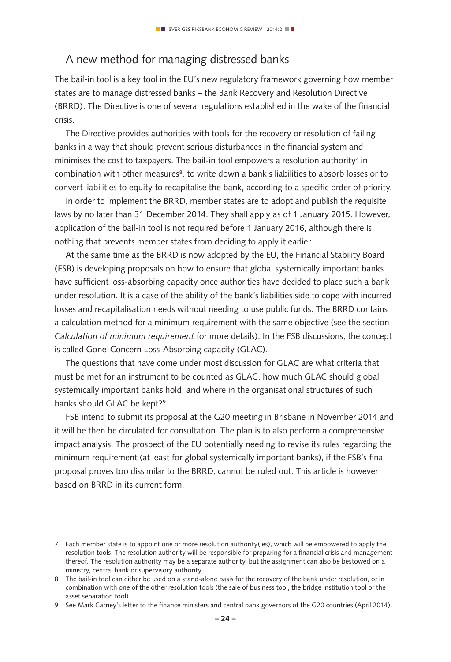## A new method for managing distressed banks

The bail-in tool is a key tool in the EU's new regulatory framework governing how member states are to manage distressed banks – the Bank Recovery and Resolution Directive (BRRD). The Directive is one of several regulations established in the wake of the financial crisis.

The Directive provides authorities with tools for the recovery or resolution of failing banks in a way that should prevent serious disturbances in the financial system and minimises the cost to taxpayers. The bail-in tool empowers a resolution authority<sup>7</sup> in combination with other measures<sup>8</sup>, to write down a bank's liabilities to absorb losses or to convert liabilities to equity to recapitalise the bank, according to a specific order of priority.

In order to implement the BRRD, member states are to adopt and publish the requisite laws by no later than 31 December 2014. They shall apply as of 1 January 2015. However, application of the bail-in tool is not required before 1 January 2016, although there is nothing that prevents member states from deciding to apply it earlier.

At the same time as the BRRD is now adopted by the EU, the Financial Stability Board (FSB) is developing proposals on how to ensure that global systemically important banks have sufficient loss-absorbing capacity once authorities have decided to place such a bank under resolution. It is a case of the ability of the bank's liabilities side to cope with incurred losses and recapitalisation needs without needing to use public funds. The BRRD contains a calculation method for a minimum requirement with the same objective (see the section *Calculation of minimum requirement* for more details). In the FSB discussions, the concept is called Gone-Concern Loss-Absorbing capacity (GLAC).

The questions that have come under most discussion for GLAC are what criteria that must be met for an instrument to be counted as GLAC, how much GLAC should global systemically important banks hold, and where in the organisational structures of such banks should GLAC be kept?<sup>9</sup>

FSB intend to submit its proposal at the G20 meeting in Brisbane in November 2014 and it will be then be circulated for consultation. The plan is to also perform a comprehensive impact analysis. The prospect of the EU potentially needing to revise its rules regarding the minimum requirement (at least for global systemically important banks), if the FSB's final proposal proves too dissimilar to the BRRD, cannot be ruled out. This article is however based on BRRD in its current form.

<sup>7</sup> Each member state is to appoint one or more resolution authority(ies), which will be empowered to apply the resolution tools. The resolution authority will be responsible for preparing for a financial crisis and management thereof. The resolution authority may be a separate authority, but the assignment can also be bestowed on a ministry, central bank or supervisory authority.

<sup>8</sup> The bail-in tool can either be used on a stand-alone basis for the recovery of the bank under resolution, or in combination with one of the other resolution tools (the sale of business tool, the bridge institution tool or the asset separation tool).

<sup>9</sup> See Mark Carney's letter to the finance ministers and central bank governors of the G20 countries (April 2014).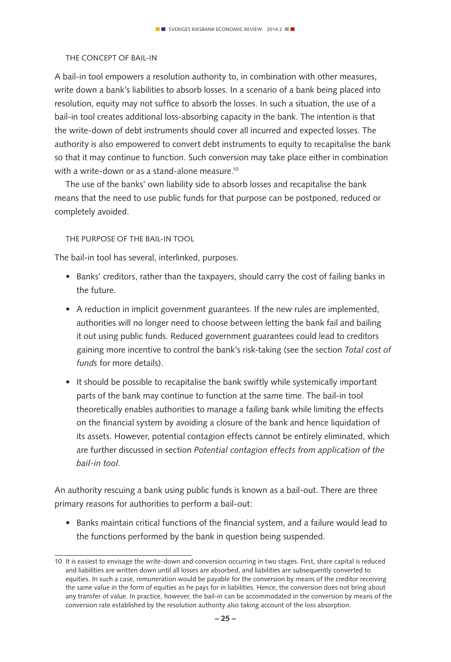### The concept of bail-in

A bail-in tool empowers a resolution authority to, in combination with other measures, write down a bank's liabilities to absorb losses. In a scenario of a bank being placed into resolution, equity may not suffice to absorb the losses. In such a situation, the use of a bail-in tool creates additional loss-absorbing capacity in the bank. The intention is that the write-down of debt instruments should cover all incurred and expected losses. The authority is also empowered to convert debt instruments to equity to recapitalise the bank so that it may continue to function. Such conversion may take place either in combination with a write-down or as a stand-alone measure.<sup>10</sup>

The use of the banks' own liability side to absorb losses and recapitalise the bank means that the need to use public funds for that purpose can be postponed, reduced or completely avoided.

The purpose of the bail-in tool

The bail-in tool has several, interlinked, purposes.

- Banks' creditors, rather than the taxpayers, should carry the cost of failing banks in the future.
- A reduction in implicit government guarantees. If the new rules are implemented, authorities will no longer need to choose between letting the bank fail and bailing it out using public funds. Reduced government guarantees could lead to creditors gaining more incentive to control the bank's risk-taking (see the section *Total cost of funds* for more details).
- It should be possible to recapitalise the bank swiftly while systemically important parts of the bank may continue to function at the same time. The bail-in tool theoretically enables authorities to manage a failing bank while limiting the effects on the financial system by avoiding a closure of the bank and hence liquidation of its assets. However, potential contagion effects cannot be entirely eliminated, which are further discussed in section *Potential contagion effects from application of the bail-in tool*.

An authority rescuing a bank using public funds is known as a bail-out. There are three primary reasons for authorities to perform a bail-out:

• Banks maintain critical functions of the financial system, and a failure would lead to the functions performed by the bank in question being suspended.

<sup>10</sup> It is easiest to envisage the write-down and conversion occurring in two stages. First, share capital is reduced and liabilities are written down until all losses are absorbed, and liabilities are subsequently converted to equities. In such a case, remuneration would be payable for the conversion by means of the creditor receiving the same value in the form of equities as he pays for in liabilities. Hence, the conversion does not bring about any transfer of value. In practice, however, the bail-in can be accommodated in the conversion by means of the conversion rate established by the resolution authority also taking account of the loss absorption.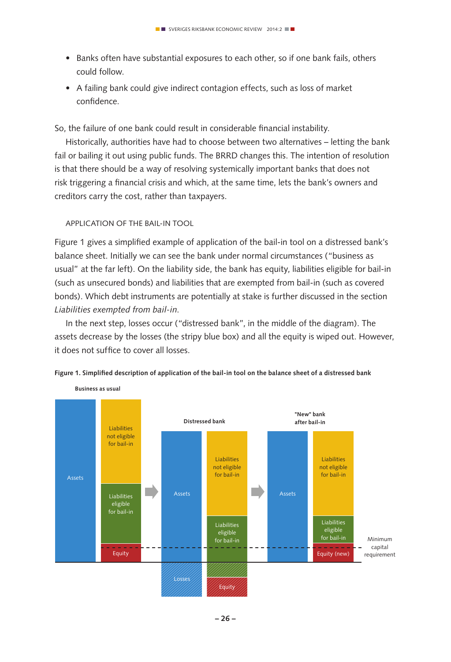- Banks often have substantial exposures to each other, so if one bank fails, others could follow.
- A failing bank could give indirect contagion effects, such as loss of market confidence.

So, the failure of one bank could result in considerable financial instability.

Historically, authorities have had to choose between two alternatives – letting the bank fail or bailing it out using public funds. The BRRD changes this. The intention of resolution is that there should be a way of resolving systemically important banks that does not risk triggering a financial crisis and which, at the same time, lets the bank's owners and creditors carry the cost, rather than taxpayers.

### APPLICATION OF THE BAIL-IN TOOL

Figure 1 gives a simplified example of application of the bail-in tool on a distressed bank's balance sheet. Initially we can see the bank under normal circumstances ("business as usual" at the far left). On the liability side, the bank has equity, liabilities eligible for bail-in (such as unsecured bonds) and liabilities that are exempted from bail-in (such as covered bonds). Which debt instruments are potentially at stake is further discussed in the section *Liabilities exempted from bail-in*.

In the next step, losses occur ("distressed bank", in the middle of the diagram). The assets decrease by the losses (the stripy blue box) and all the equity is wiped out. However, it does not suffice to cover all losses.



Figure 1. Simplified description of application of the bail-in tool on the balance sheet of a distressed bank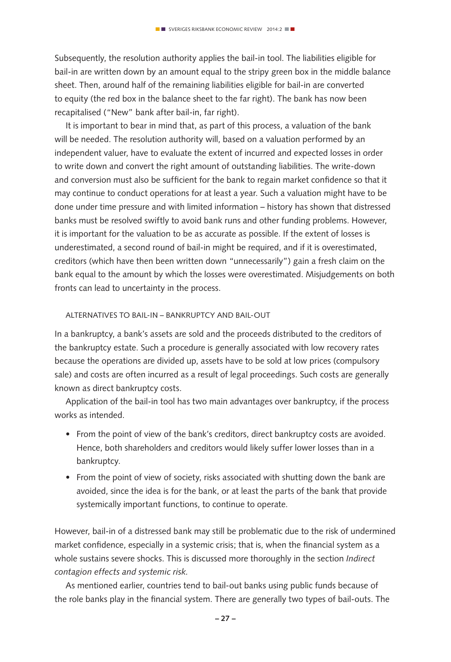Subsequently, the resolution authority applies the bail-in tool. The liabilities eligible for bail-in are written down by an amount equal to the stripy green box in the middle balance sheet. Then, around half of the remaining liabilities eligible for bail-in are converted to equity (the red box in the balance sheet to the far right). The bank has now been recapitalised ("New" bank after bail-in, far right).

It is important to bear in mind that, as part of this process, a valuation of the bank will be needed. The resolution authority will, based on a valuation performed by an independent valuer, have to evaluate the extent of incurred and expected losses in order to write down and convert the right amount of outstanding liabilities. The write-down and conversion must also be sufficient for the bank to regain market confidence so that it may continue to conduct operations for at least a year. Such a valuation might have to be done under time pressure and with limited information – history has shown that distressed banks must be resolved swiftly to avoid bank runs and other funding problems. However, it is important for the valuation to be as accurate as possible. If the extent of losses is underestimated, a second round of bail-in might be required, and if it is overestimated, creditors (which have then been written down "unnecessarily") gain a fresh claim on the bank equal to the amount by which the losses were overestimated. Misjudgements on both fronts can lead to uncertainty in the process.

### Alternatives to bail-in – bankruptcy and bail-out

In a bankruptcy, a bank's assets are sold and the proceeds distributed to the creditors of the bankruptcy estate. Such a procedure is generally associated with low recovery rates because the operations are divided up, assets have to be sold at low prices (compulsory sale) and costs are often incurred as a result of legal proceedings. Such costs are generally known as direct bankruptcy costs.

Application of the bail-in tool has two main advantages over bankruptcy, if the process works as intended.

- From the point of view of the bank's creditors, direct bankruptcy costs are avoided. Hence, both shareholders and creditors would likely suffer lower losses than in a bankruptcy.
- From the point of view of society, risks associated with shutting down the bank are avoided, since the idea is for the bank, or at least the parts of the bank that provide systemically important functions, to continue to operate.

However, bail-in of a distressed bank may still be problematic due to the risk of undermined market confidence, especially in a systemic crisis; that is, when the financial system as a whole sustains severe shocks. This is discussed more thoroughly in the section *Indirect contagion effects and systemic risk.* 

As mentioned earlier, countries tend to bail-out banks using public funds because of the role banks play in the financial system. There are generally two types of bail-outs. The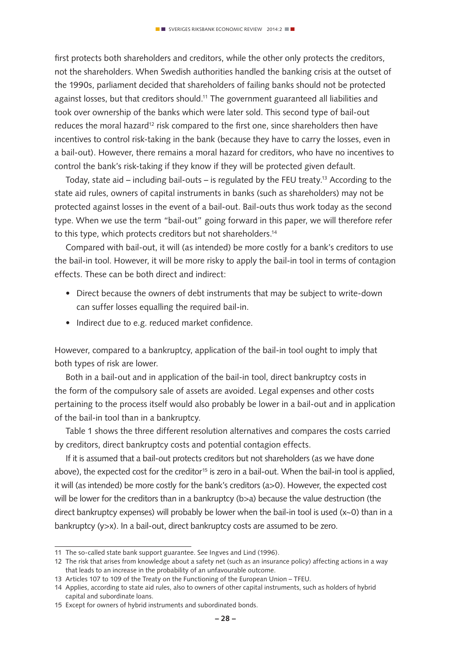first protects both shareholders and creditors, while the other only protects the creditors, not the shareholders. When Swedish authorities handled the banking crisis at the outset of the 1990s, parliament decided that shareholders of failing banks should not be protected against losses, but that creditors should.11 The government guaranteed all liabilities and took over ownership of the banks which were later sold. This second type of bail-out reduces the moral hazard<sup>12</sup> risk compared to the first one, since shareholders then have incentives to control risk-taking in the bank (because they have to carry the losses, even in a bail-out). However, there remains a moral hazard for creditors, who have no incentives to control the bank's risk-taking if they know if they will be protected given default.

Today, state aid – including bail-outs – is regulated by the FEU treaty.<sup>13</sup> According to the state aid rules, owners of capital instruments in banks (such as shareholders) may not be protected against losses in the event of a bail-out. Bail-outs thus work today as the second type. When we use the term "bail-out" going forward in this paper, we will therefore refer to this type, which protects creditors but not shareholders.<sup>14</sup>

Compared with bail-out, it will (as intended) be more costly for a bank's creditors to use the bail-in tool. However, it will be more risky to apply the bail-in tool in terms of contagion effects. These can be both direct and indirect:

- Direct because the owners of debt instruments that may be subject to write-down can suffer losses equalling the required bail-in.
- Indirect due to e.g. reduced market confidence.

However, compared to a bankruptcy, application of the bail-in tool ought to imply that both types of risk are lower.

Both in a bail-out and in application of the bail-in tool, direct bankruptcy costs in the form of the compulsory sale of assets are avoided. Legal expenses and other costs pertaining to the process itself would also probably be lower in a bail-out and in application of the bail-in tool than in a bankruptcy.

Table 1 shows the three different resolution alternatives and compares the costs carried by creditors, direct bankruptcy costs and potential contagion effects.

If it is assumed that a bail-out protects creditors but not shareholders (as we have done above), the expected cost for the creditor<sup>15</sup> is zero in a bail-out. When the bail-in tool is applied, it will (as intended) be more costly for the bank's creditors (a>0). However, the expected cost will be lower for the creditors than in a bankruptcy (b>a) because the value destruction (the direct bankruptcy expenses) will probably be lower when the bail-in tool is used (x~0) than in a bankruptcy (y>x). In a bail-out, direct bankruptcy costs are assumed to be zero.

<sup>11</sup> The so-called state bank support guarantee. See Ingves and Lind (1996).

<sup>12</sup> The risk that arises from knowledge about a safety net (such as an insurance policy) affecting actions in a way that leads to an increase in the probability of an unfavourable outcome.

<sup>13</sup> Articles 107 to 109 of the Treaty on the Functioning of the European Union – TFEU.

<sup>14</sup> Applies, according to state aid rules, also to owners of other capital instruments, such as holders of hybrid capital and subordinate loans.

<sup>15</sup> Except for owners of hybrid instruments and subordinated bonds.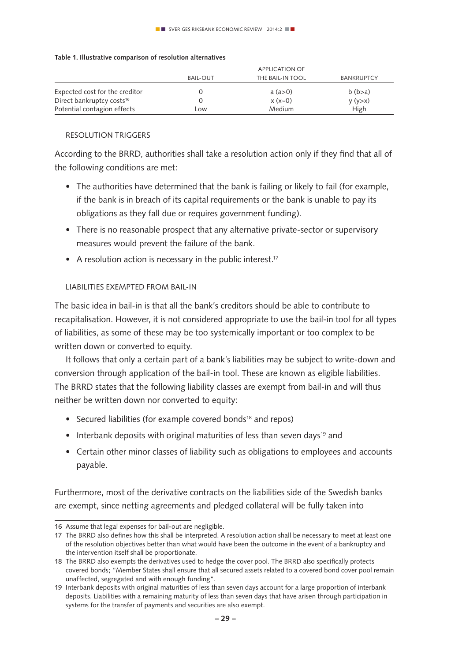### **Table 1. Illustrative comparison of resolution alternatives**

|                                       | <b>APPLICATION OF</b> |                  |                   |
|---------------------------------------|-----------------------|------------------|-------------------|
|                                       | <b>BAIL-OUT</b>       | THE BAIL-IN TOOL | <b>BANKRUPTCY</b> |
| Expected cost for the creditor        |                       | a (a > 0)        | $b$ ( $b > a$ )   |
| Direct bankruptcy costs <sup>16</sup> |                       | $x (x - 0)$      | y (y > x)         |
| Potential contagion effects           | Low                   | Medium           | High              |

### Resolution triggers

According to the BRRD, authorities shall take a resolution action only if they find that all of the following conditions are met:

- The authorities have determined that the bank is failing or likely to fail (for example, if the bank is in breach of its capital requirements or the bank is unable to pay its obligations as they fall due or requires government funding).
- There is no reasonable prospect that any alternative private-sector or supervisory measures would prevent the failure of the bank.
- A resolution action is necessary in the public interest.<sup>17</sup>

### Liabilities exempted from bail-in

The basic idea in bail-in is that all the bank's creditors should be able to contribute to recapitalisation. However, it is not considered appropriate to use the bail-in tool for all types of liabilities, as some of these may be too systemically important or too complex to be written down or converted to equity.

It follows that only a certain part of a bank's liabilities may be subject to write-down and conversion through application of the bail-in tool. These are known as eligible liabilities. The BRRD states that the following liability classes are exempt from bail-in and will thus neither be written down nor converted to equity:

- Secured liabilities (for example covered bonds<sup>18</sup> and repos)
- Interbank deposits with original maturities of less than seven days<sup>19</sup> and
- Certain other minor classes of liability such as obligations to employees and accounts payable.

Furthermore, most of the derivative contracts on the liabilities side of the Swedish banks are exempt, since netting agreements and pledged collateral will be fully taken into

<sup>16</sup> Assume that legal expenses for bail-out are negligible.

<sup>17</sup> The BRRD also defines how this shall be interpreted. A resolution action shall be necessary to meet at least one of the resolution objectives better than what would have been the outcome in the event of a bankruptcy and the intervention itself shall be proportionate.

<sup>18</sup> The BRRD also exempts the derivatives used to hedge the cover pool. The BRRD also specifically protects covered bonds; "Member States shall ensure that all secured assets related to a covered bond cover pool remain unaffected, segregated and with enough funding".

<sup>19</sup> Interbank deposits with original maturities of less than seven days account for a large proportion of interbank deposits. Liabilities with a remaining maturity of less than seven days that have arisen through participation in systems for the transfer of payments and securities are also exempt.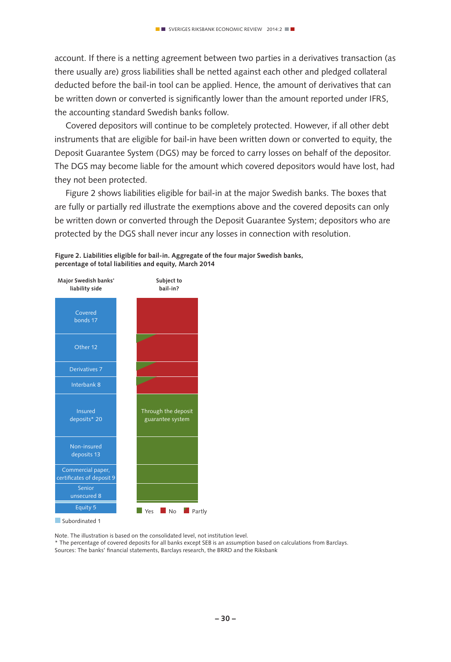account. If there is a netting agreement between two parties in a derivatives transaction (as there usually are) gross liabilities shall be netted against each other and pledged collateral deducted before the bail-in tool can be applied. Hence, the amount of derivatives that can be written down or converted is significantly lower than the amount reported under IFRS, the accounting standard Swedish banks follow.

Covered depositors will continue to be completely protected. However, if all other debt instruments that are eligible for bail-in have been written down or converted to equity, the Deposit Guarantee System (DGS) may be forced to carry losses on behalf of the depositor. The DGS may become liable for the amount which covered depositors would have lost, had they not been protected.

Figure 2 shows liabilities eligible for bail-in at the major Swedish banks. The boxes that are fully or partially red illustrate the exemptions above and the covered deposits can only be written down or converted through the Deposit Guarantee System; depositors who are protected by the DGS shall never incur any losses in connection with resolution.



**Figure 2. Liabilities eligible for bail-in. Aggregate of the four major Swedish banks, percentage of total liabilities and equity, March 2014**

Subordinated 1

Note. The illustration is based on the consolidated level, not institution level.

\* The percentage of covered deposits for all banks except SEB is an assumption based on calculations from Barclays. Sources: The banks' financial statements, Barclays research, the BRRD and the Riksbank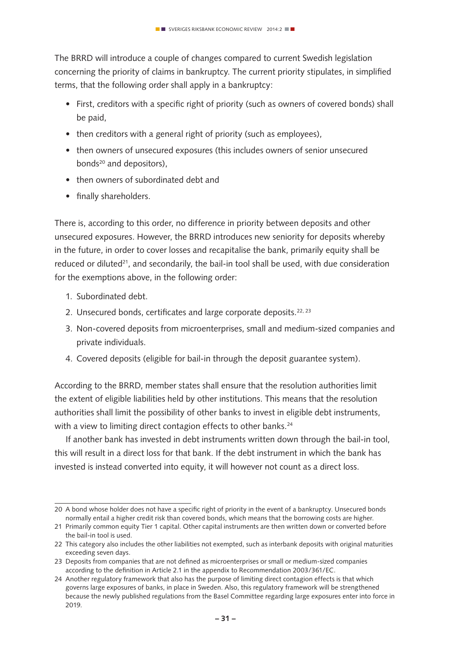The BRRD will introduce a couple of changes compared to current Swedish legislation concerning the priority of claims in bankruptcy. The current priority stipulates, in simplified terms, that the following order shall apply in a bankruptcy:

- First, creditors with a specific right of priority (such as owners of covered bonds) shall be paid,
- then creditors with a general right of priority (such as employees).
- then owners of unsecured exposures (this includes owners of senior unsecured bonds<sup>20</sup> and depositors).
- then owners of subordinated debt and
- finally shareholders.

There is, according to this order, no difference in priority between deposits and other unsecured exposures. However, the BRRD introduces new seniority for deposits whereby in the future, in order to cover losses and recapitalise the bank, primarily equity shall be reduced or diluted $21$ , and secondarily, the bail-in tool shall be used, with due consideration for the exemptions above, in the following order:

- 1. Subordinated debt.
- 2. Unsecured bonds, certificates and large corporate deposits.<sup>22, 23</sup>
- 3. Non-covered deposits from microenterprises, small and medium-sized companies and private individuals.
- 4. Covered deposits (eligible for bail-in through the deposit guarantee system).

According to the BRRD, member states shall ensure that the resolution authorities limit the extent of eligible liabilities held by other institutions. This means that the resolution authorities shall limit the possibility of other banks to invest in eligible debt instruments, with a view to limiting direct contagion effects to other banks.<sup>24</sup>

If another bank has invested in debt instruments written down through the bail-in tool, this will result in a direct loss for that bank. If the debt instrument in which the bank has invested is instead converted into equity, it will however not count as a direct loss.

<sup>20</sup> A bond whose holder does not have a specific right of priority in the event of a bankruptcy. Unsecured bonds normally entail a higher credit risk than covered bonds, which means that the borrowing costs are higher.

<sup>21</sup> Primarily common equity Tier 1 capital. Other capital instruments are then written down or converted before the bail-in tool is used.

<sup>22</sup> This category also includes the other liabilities not exempted, such as interbank deposits with original maturities exceeding seven days.

<sup>23</sup> Deposits from companies that are not defined as microenterprises or small or medium-sized companies according to the definition in Article 2.1 in the appendix to Recommendation 2003/361/EC.

<sup>24</sup> Another regulatory framework that also has the purpose of limiting direct contagion effects is that which governs large exposures of banks, in place in Sweden. Also, this regulatory framework will be strengthened because the newly published regulations from the Basel Committee regarding large exposures enter into force in 2019.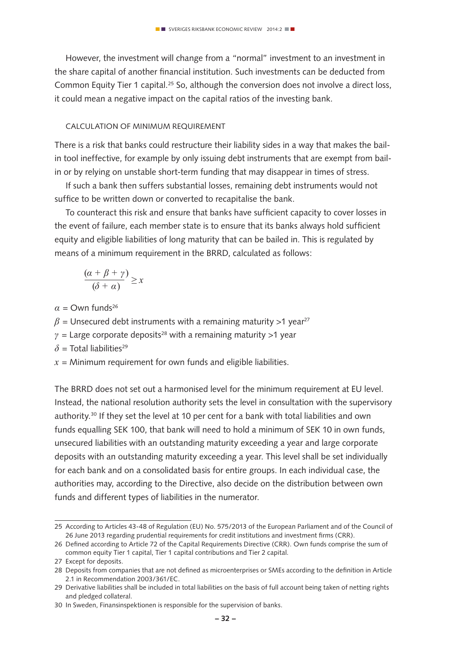However, the investment will change from a "normal" investment to an investment in the share capital of another financial institution. Such investments can be deducted from Common Equity Tier 1 capital.<sup>25</sup> So, although the conversion does not involve a direct loss, it could mean a negative impact on the capital ratios of the investing bank.

#### Calculation of minimum requirement

There is a risk that banks could restructure their liability sides in a way that makes the bailin tool ineffective, for example by only issuing debt instruments that are exempt from bailin or by relying on unstable short-term funding that may disappear in times of stress.

If such a bank then suffers substantial losses, remaining debt instruments would not suffice to be written down or converted to recapitalise the bank.

To counteract this risk and ensure that banks have sufficient capacity to cover losses in the event of failure, each member state is to ensure that its banks always hold sufficient equity and eligible liabilities of long maturity that can be bailed in. This is regulated by means of a minimum requirement in the BRRD, calculated as follows:

$$
\frac{(\alpha+\beta+\gamma)}{(\delta+\alpha)}\geq x
$$

 $\alpha$  = Own funds<sup>26</sup>

 $\beta$  = Unsecured debt instruments with a remaining maturity >1 year<sup>27</sup>

 $\gamma$  = Large corporate deposits<sup>28</sup> with a remaining maturity >1 year

 $\delta$  = Total liabilities<sup>29</sup>

 $x =$  Minimum requirement for own funds and eligible liabilities.

The BRRD does not set out a harmonised level for the minimum requirement at EU level. Instead, the national resolution authority sets the level in consultation with the supervisory authority.<sup>30</sup> If they set the level at 10 per cent for a bank with total liabilities and own funds equalling SEK 100, that bank will need to hold a minimum of SEK 10 in own funds, unsecured liabilities with an outstanding maturity exceeding a year and large corporate deposits with an outstanding maturity exceeding a year. This level shall be set individually for each bank and on a consolidated basis for entire groups. In each individual case, the authorities may, according to the Directive, also decide on the distribution between own funds and different types of liabilities in the numerator.

<sup>25</sup> According to Articles 43-48 of Regulation (EU) No. 575/2013 of the European Parliament and of the Council of 26 June 2013 regarding prudential requirements for credit institutions and investment firms (CRR).

<sup>26</sup> Defined according to Article 72 of the Capital Requirements Directive (CRR). Own funds comprise the sum of common equity Tier 1 capital, Tier 1 capital contributions and Tier 2 capital.

<sup>27</sup> Except for deposits.

<sup>28</sup> Deposits from companies that are not defined as microenterprises or SMEs according to the definition in Article 2.1 in Recommendation 2003/361/EC.

<sup>29</sup> Derivative liabilities shall be included in total liabilities on the basis of full account being taken of netting rights and pledged collateral.

<sup>30</sup> In Sweden, Finansinspektionen is responsible for the supervision of banks.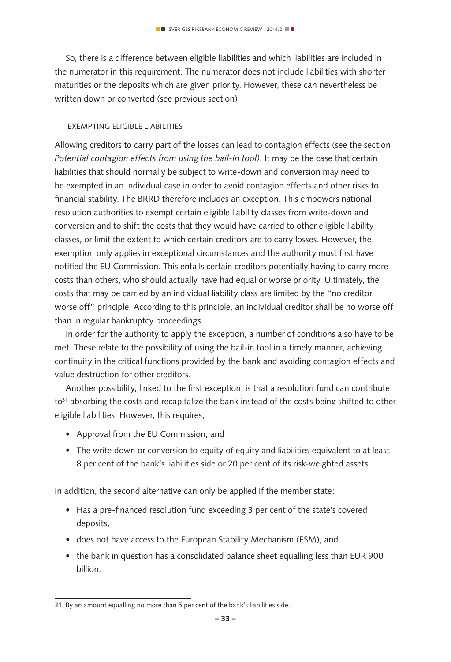So, there is a difference between eligible liabilities and which liabilities are included in the numerator in this requirement. The numerator does not include liabilities with shorter maturities or the deposits which are given priority. However, these can nevertheless be written down or converted (see previous section).

#### Exempting eligible liabilities

Allowing creditors to carry part of the losses can lead to contagion effects (see the section *Potential contagion effects from using the bail-in tool)*. It may be the case that certain liabilities that should normally be subject to write-down and conversion may need to be exempted in an individual case in order to avoid contagion effects and other risks to financial stability. The BRRD therefore includes an exception. This empowers national resolution authorities to exempt certain eligible liability classes from write-down and conversion and to shift the costs that they would have carried to other eligible liability classes, or limit the extent to which certain creditors are to carry losses. However, the exemption only applies in exceptional circumstances and the authority must first have notified the EU Commission. This entails certain creditors potentially having to carry more costs than others, who should actually have had equal or worse priority. Ultimately, the costs that may be carried by an individual liability class are limited by the "no creditor worse off" principle. According to this principle, an individual creditor shall be no worse off than in regular bankruptcy proceedings.

In order for the authority to apply the exception, a number of conditions also have to be met. These relate to the possibility of using the bail-in tool in a timely manner, achieving continuity in the critical functions provided by the bank and avoiding contagion effects and value destruction for other creditors.

Another possibility, linked to the first exception, is that a resolution fund can contribute to<sup>31</sup> absorbing the costs and recapitalize the bank instead of the costs being shifted to other eligible liabilities. However, this requires;

- Approval from the EU Commission, and
- The write down or conversion to equity of equity and liabilities equivalent to at least 8 per cent of the bank's liabilities side or 20 per cent of its risk-weighted assets.

In addition, the second alternative can only be applied if the member state:

- Has a pre-financed resolution fund exceeding 3 per cent of the state's covered deposits,
- does not have access to the European Stability Mechanism (ESM), and
- the bank in question has a consolidated balance sheet equalling less than EUR 900 billion.

<sup>31</sup> By an amount equalling no more than 5 per cent of the bank's liabilities side.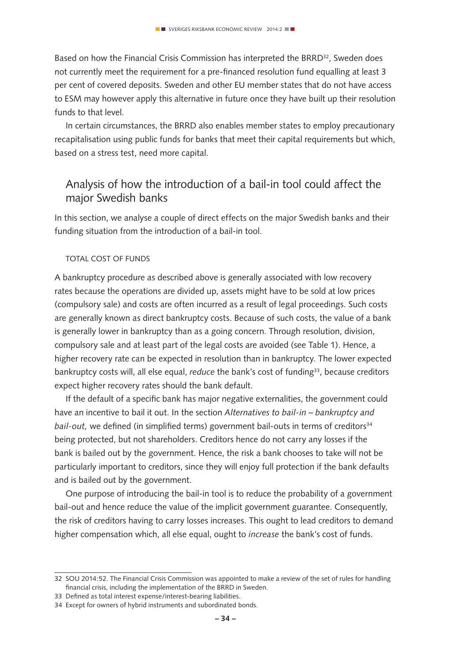Based on how the Financial Crisis Commission has interpreted the BRRD<sup>32</sup>, Sweden does not currently meet the requirement for a pre-financed resolution fund equalling at least 3 per cent of covered deposits. Sweden and other EU member states that do not have access to ESM may however apply this alternative in future once they have built up their resolution funds to that level.

In certain circumstances, the BRRD also enables member states to employ precautionary recapitalisation using public funds for banks that meet their capital requirements but which, based on a stress test, need more capital.

## Analysis of how the introduction of a bail-in tool could affect the major Swedish banks

In this section, we analyse a couple of direct effects on the major Swedish banks and their funding situation from the introduction of a bail-in tool.

#### Total cost of funds

A bankruptcy procedure as described above is generally associated with low recovery rates because the operations are divided up, assets might have to be sold at low prices (compulsory sale) and costs are often incurred as a result of legal proceedings. Such costs are generally known as direct bankruptcy costs. Because of such costs, the value of a bank is generally lower in bankruptcy than as a going concern. Through resolution, division, compulsory sale and at least part of the legal costs are avoided (see Table 1). Hence, a higher recovery rate can be expected in resolution than in bankruptcy. The lower expected bankruptcy costs will, all else equal, *reduce* the bank's cost of funding<sup>33</sup>, because creditors expect higher recovery rates should the bank default.

If the default of a specific bank has major negative externalities, the government could have an incentive to bail it out. In the section *Alternatives to bail-in – bankruptcy and bail-out,* we defined (in simplified terms) government bail-outs in terms of creditors<sup>34</sup> being protected, but not shareholders. Creditors hence do not carry any losses if the bank is bailed out by the government. Hence, the risk a bank chooses to take will not be particularly important to creditors, since they will enjoy full protection if the bank defaults and is bailed out by the government.

One purpose of introducing the bail-in tool is to reduce the probability of a government bail-out and hence reduce the value of the implicit government guarantee. Consequently, the risk of creditors having to carry losses increases. This ought to lead creditors to demand higher compensation which, all else equal, ought to *increase* the bank's cost of funds.

<sup>32</sup> SOU 2014:52. The Financial Crisis Commission was appointed to make a review of the set of rules for handling financial crisis, including the implementation of the BRRD in Sweden.

<sup>33</sup> Defined as total interest expense/interest-bearing liabilities.

<sup>34</sup> Except for owners of hybrid instruments and subordinated bonds.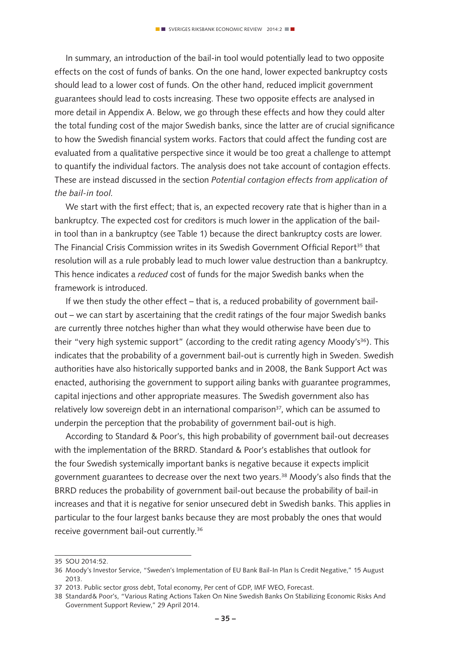In summary, an introduction of the bail-in tool would potentially lead to two opposite effects on the cost of funds of banks. On the one hand, lower expected bankruptcy costs should lead to a lower cost of funds. On the other hand, reduced implicit government guarantees should lead to costs increasing. These two opposite effects are analysed in more detail in Appendix A. Below, we go through these effects and how they could alter the total funding cost of the major Swedish banks, since the latter are of crucial significance to how the Swedish financial system works. Factors that could affect the funding cost are evaluated from a qualitative perspective since it would be too great a challenge to attempt to quantify the individual factors. The analysis does not take account of contagion effects. These are instead discussed in the section *Potential contagion effects from application of the bail-in tool.*

We start with the first effect; that is, an expected recovery rate that is higher than in a bankruptcy. The expected cost for creditors is much lower in the application of the bailin tool than in a bankruptcy (see Table 1) because the direct bankruptcy costs are lower. The Financial Crisis Commission writes in its Swedish Government Official Report<sup>35</sup> that resolution will as a rule probably lead to much lower value destruction than a bankruptcy. This hence indicates a *reduced* cost of funds for the major Swedish banks when the framework is introduced.

If we then study the other effect – that is, a reduced probability of government bailout – we can start by ascertaining that the credit ratings of the four major Swedish banks are currently three notches higher than what they would otherwise have been due to their "very high systemic support" (according to the credit rating agency Moody's<sup>36</sup>). This indicates that the probability of a government bail-out is currently high in Sweden. Swedish authorities have also historically supported banks and in 2008, the Bank Support Act was enacted, authorising the government to support ailing banks with guarantee programmes, capital injections and other appropriate measures. The Swedish government also has relatively low sovereign debt in an international comparison<sup>37</sup>, which can be assumed to underpin the perception that the probability of government bail-out is high.

According to Standard & Poor's, this high probability of government bail-out decreases with the implementation of the BRRD. Standard & Poor's establishes that outlook for the four Swedish systemically important banks is negative because it expects implicit government guarantees to decrease over the next two years.38 Moody's also finds that the BRRD reduces the probability of government bail-out because the probability of bail-in increases and that it is negative for senior unsecured debt in Swedish banks. This applies in particular to the four largest banks because they are most probably the ones that would receive government bail-out currently.36

<sup>35</sup> SOU 2014:52.

<sup>36</sup> Moody's Investor Service, "Sweden's Implementation of EU Bank Bail-In Plan Is Credit Negative," 15 August 2013.

<sup>37</sup> 2013. Public sector gross debt, Total economy, Per cent of GDP, IMF WEO, Forecast.

<sup>38</sup> Standard& Poor's, "Various Rating Actions Taken On Nine Swedish Banks On Stabilizing Economic Risks And Government Support Review," 29 April 2014.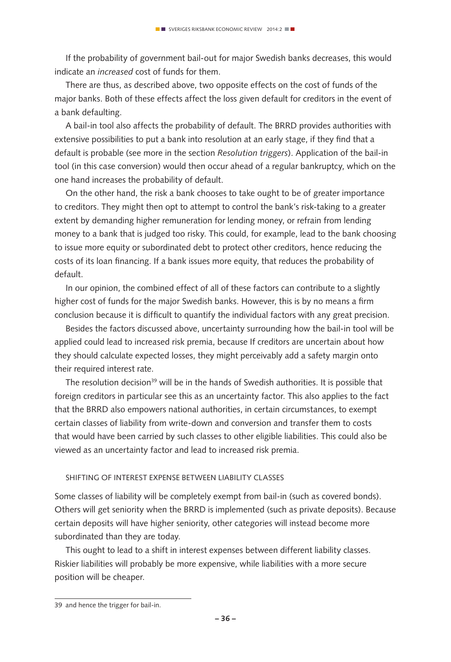If the probability of government bail-out for major Swedish banks decreases, this would indicate an *increased* cost of funds for them.

There are thus, as described above, two opposite effects on the cost of funds of the major banks. Both of these effects affect the loss given default for creditors in the event of a bank defaulting.

A bail-in tool also affects the probability of default. The BRRD provides authorities with extensive possibilities to put a bank into resolution at an early stage, if they find that a default is probable (see more in the section *Resolution triggers*). Application of the bail-in tool (in this case conversion) would then occur ahead of a regular bankruptcy, which on the one hand increases the probability of default.

On the other hand, the risk a bank chooses to take ought to be of greater importance to creditors. They might then opt to attempt to control the bank's risk-taking to a greater extent by demanding higher remuneration for lending money, or refrain from lending money to a bank that is judged too risky. This could, for example, lead to the bank choosing to issue more equity or subordinated debt to protect other creditors, hence reducing the costs of its loan financing. If a bank issues more equity, that reduces the probability of default.

In our opinion, the combined effect of all of these factors can contribute to a slightly higher cost of funds for the major Swedish banks. However, this is by no means a firm conclusion because it is difficult to quantify the individual factors with any great precision.

Besides the factors discussed above, uncertainty surrounding how the bail-in tool will be applied could lead to increased risk premia, because If creditors are uncertain about how they should calculate expected losses, they might perceivably add a safety margin onto their required interest rate.

The resolution decision<sup>39</sup> will be in the hands of Swedish authorities. It is possible that foreign creditors in particular see this as an uncertainty factor. This also applies to the fact that the BRRD also empowers national authorities, in certain circumstances, to exempt certain classes of liability from write-down and conversion and transfer them to costs that would have been carried by such classes to other eligible liabilities. This could also be viewed as an uncertainty factor and lead to increased risk premia.

#### Shifting of interest expense between liability classes

Some classes of liability will be completely exempt from bail-in (such as covered bonds). Others will get seniority when the BRRD is implemented (such as private deposits). Because certain deposits will have higher seniority, other categories will instead become more subordinated than they are today.

This ought to lead to a shift in interest expenses between different liability classes. Riskier liabilities will probably be more expensive, while liabilities with a more secure position will be cheaper.

<sup>39</sup> and hence the trigger for bail-in.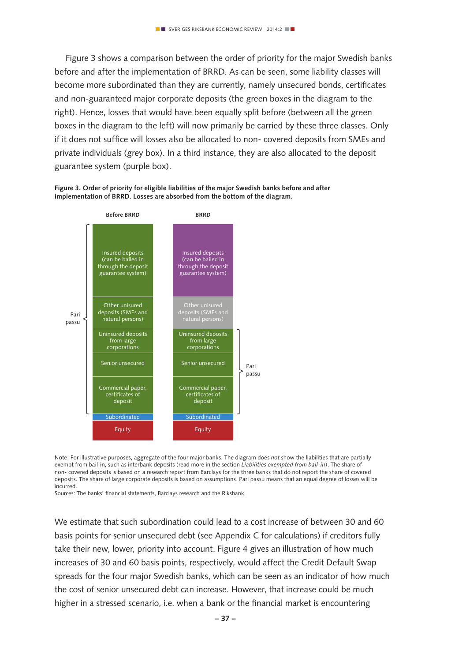Figure 3 shows a comparison between the order of priority for the major Swedish banks before and after the implementation of BRRD. As can be seen, some liability classes will become more subordinated than they are currently, namely unsecured bonds, certificates and non-guaranteed major corporate deposits (the green boxes in the diagram to the right). Hence, losses that would have been equally split before (between all the green boxes in the diagram to the left) will now primarily be carried by these three classes. Only if it does not suffice will losses also be allocated to non- covered deposits from SMEs and private individuals (grey box). In a third instance, they are also allocated to the deposit guarantee system (purple box).

**Figure 3. Order of priority for eligible liabilities of the major Swedish banks before and after implementation of BRRD. Losses are absorbed from the bottom of the diagram.**



Note: For illustrative purposes, aggregate of the four major banks. The diagram does *not* show the liabilities that are partially exempt from bail-in, such as interbank deposits (read more in the section *Liabilities exempted from bail-in*). The share of non- covered deposits is based on a research report from Barclays for the three banks that do not report the share of covered deposits. The share of large corporate deposits is based on assumptions. Pari passu means that an equal degree of losses will be incurred.

Sources: The banks' financial statements, Barclays research and the Riksbank

We estimate that such subordination could lead to a cost increase of between 30 and 60 basis points for senior unsecured debt (see Appendix C for calculations) if creditors fully take their new, lower, priority into account. Figure 4 gives an illustration of how much increases of 30 and 60 basis points, respectively, would affect the Credit Default Swap spreads for the four major Swedish banks, which can be seen as an indicator of how much the cost of senior unsecured debt can increase. However, that increase could be much higher in a stressed scenario, i.e. when a bank or the financial market is encountering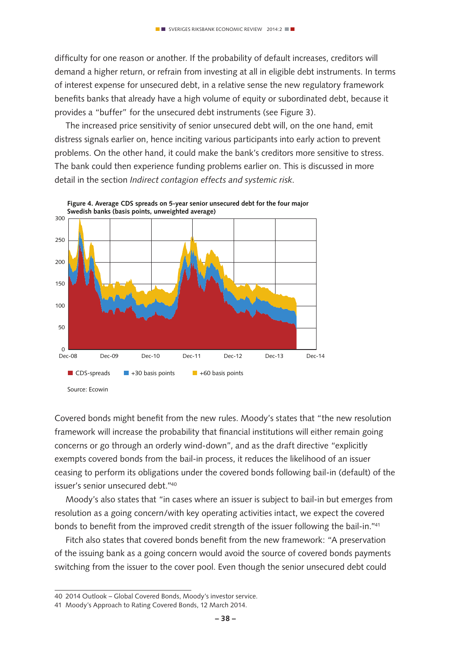difficulty for one reason or another. If the probability of default increases, creditors will demand a higher return, or refrain from investing at all in eligible debt instruments. In terms of interest expense for unsecured debt, in a relative sense the new regulatory framework benefits banks that already have a high volume of equity or subordinated debt, because it provides a "buffer" for the unsecured debt instruments (see Figure 3).

The increased price sensitivity of senior unsecured debt will, on the one hand, emit distress signals earlier on, hence inciting various participants into early action to prevent problems. On the other hand, it could make the bank's creditors more sensitive to stress. The bank could then experience funding problems earlier on. This is discussed in more detail in the section *Indirect contagion effects and systemic risk*.



**Figure 4. Average CDS spreads on 5-year senior unsecured debt for the four major** 

Covered bonds might benefit from the new rules. Moody's states that "the new resolution framework will increase the probability that financial institutions will either remain going concerns or go through an orderly wind-down", and as the draft directive "explicitly exempts covered bonds from the bail-in process, it reduces the likelihood of an issuer ceasing to perform its obligations under the covered bonds following bail-in (default) of the issuer's senior unsecured debt."40

Moody's also states that "in cases where an issuer is subject to bail-in but emerges from resolution as a going concern/with key operating activities intact, we expect the covered bonds to benefit from the improved credit strength of the issuer following the bail-in."41

Fitch also states that covered bonds benefit from the new framework: "A preservation of the issuing bank as a going concern would avoid the source of covered bonds payments switching from the issuer to the cover pool. Even though the senior unsecured debt could

<sup>40</sup> 2014 Outlook – Global Covered Bonds, Moody's investor service.

<sup>41</sup> Moody's Approach to Rating Covered Bonds, 12 March 2014.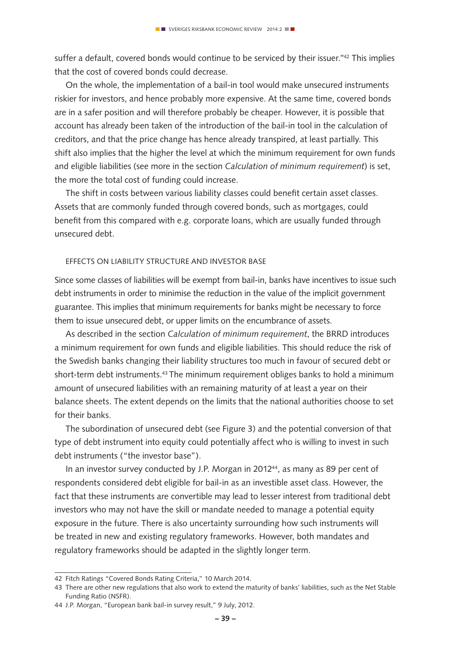suffer a default, covered bonds would continue to be serviced by their issuer."<sup>42</sup> This implies that the cost of covered bonds could decrease.

On the whole, the implementation of a bail-in tool would make unsecured instruments riskier for investors, and hence probably more expensive. At the same time, covered bonds are in a safer position and will therefore probably be cheaper. However, it is possible that account has already been taken of the introduction of the bail-in tool in the calculation of creditors, and that the price change has hence already transpired, at least partially. This shift also implies that the higher the level at which the minimum requirement for own funds and eligible liabilities (see more in the section *Calculation of minimum requirement*) is set, the more the total cost of funding could increase.

The shift in costs between various liability classes could benefit certain asset classes. Assets that are commonly funded through covered bonds, such as mortgages, could benefit from this compared with e.g. corporate loans, which are usually funded through unsecured debt.

#### Effects on liability structure and investor base

Since some classes of liabilities will be exempt from bail-in, banks have incentives to issue such debt instruments in order to minimise the reduction in the value of the implicit government guarantee. This implies that minimum requirements for banks might be necessary to force them to issue unsecured debt, or upper limits on the encumbrance of assets.

As described in the section *Calculation of minimum requirement*, the BRRD introduces a minimum requirement for own funds and eligible liabilities. This should reduce the risk of the Swedish banks changing their liability structures too much in favour of secured debt or short-term debt instruments.43 The minimum requirement obliges banks to hold a minimum amount of unsecured liabilities with an remaining maturity of at least a year on their balance sheets. The extent depends on the limits that the national authorities choose to set for their banks.

The subordination of unsecured debt (see Figure 3) and the potential conversion of that type of debt instrument into equity could potentially affect who is willing to invest in such debt instruments ("the investor base").

In an investor survey conducted by J.P. Morgan in 2012<sup>44</sup>, as many as 89 per cent of respondents considered debt eligible for bail-in as an investible asset class. However, the fact that these instruments are convertible may lead to lesser interest from traditional debt investors who may not have the skill or mandate needed to manage a potential equity exposure in the future. There is also uncertainty surrounding how such instruments will be treated in new and existing regulatory frameworks. However, both mandates and regulatory frameworks should be adapted in the slightly longer term.

<sup>42</sup> Fitch Ratings "Covered Bonds Rating Criteria," 10 March 2014.

<sup>43</sup> There are other new regulations that also work to extend the maturity of banks' liabilities, such as the Net Stable Funding Ratio (NSFR).

<sup>44</sup> J.P. Morgan, "European bank bail-in survey result," 9 July, 2012.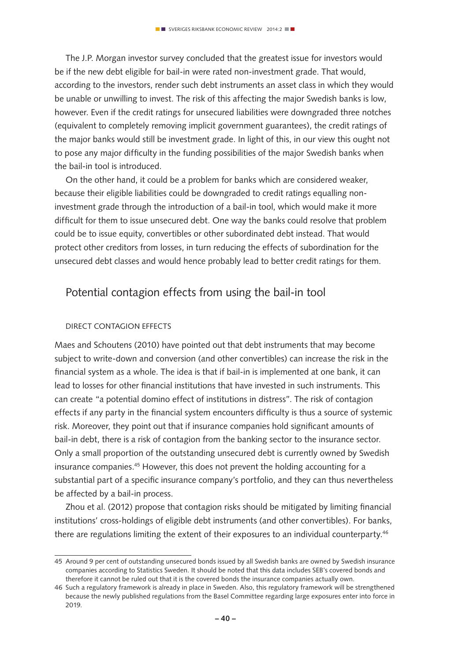The J.P. Morgan investor survey concluded that the greatest issue for investors would be if the new debt eligible for bail-in were rated non-investment grade. That would, according to the investors, render such debt instruments an asset class in which they would be unable or unwilling to invest. The risk of this affecting the major Swedish banks is low, however. Even if the credit ratings for unsecured liabilities were downgraded three notches (equivalent to completely removing implicit government guarantees), the credit ratings of the major banks would still be investment grade. In light of this, in our view this ought not to pose any major difficulty in the funding possibilities of the major Swedish banks when the bail-in tool is introduced.

On the other hand, it could be a problem for banks which are considered weaker, because their eligible liabilities could be downgraded to credit ratings equalling noninvestment grade through the introduction of a bail-in tool, which would make it more difficult for them to issue unsecured debt. One way the banks could resolve that problem could be to issue equity, convertibles or other subordinated debt instead. That would protect other creditors from losses, in turn reducing the effects of subordination for the unsecured debt classes and would hence probably lead to better credit ratings for them.

## Potential contagion effects from using the bail-in tool

#### Direct contagion effects

Maes and Schoutens (2010) have pointed out that debt instruments that may become subject to write-down and conversion (and other convertibles) can increase the risk in the financial system as a whole. The idea is that if bail-in is implemented at one bank, it can lead to losses for other financial institutions that have invested in such instruments. This can create "a potential domino effect of institutions in distress". The risk of contagion effects if any party in the financial system encounters difficulty is thus a source of systemic risk. Moreover, they point out that if insurance companies hold significant amounts of bail-in debt, there is a risk of contagion from the banking sector to the insurance sector. Only a small proportion of the outstanding unsecured debt is currently owned by Swedish insurance companies.<sup>45</sup> However, this does not prevent the holding accounting for a substantial part of a specific insurance company's portfolio, and they can thus nevertheless be affected by a bail-in process.

Zhou et al. (2012) propose that contagion risks should be mitigated by limiting financial institutions' cross-holdings of eligible debt instruments (and other convertibles). For banks, there are regulations limiting the extent of their exposures to an individual counterparty.<sup>46</sup>

<sup>45</sup> Around 9 per cent of outstanding unsecured bonds issued by all Swedish banks are owned by Swedish insurance companies according to Statistics Sweden. It should be noted that this data includes SEB's covered bonds and therefore it cannot be ruled out that it is the covered bonds the insurance companies actually own.

<sup>46</sup> Such a regulatory framework is already in place in Sweden. Also, this regulatory framework will be strengthened because the newly published regulations from the Basel Committee regarding large exposures enter into force in 2019.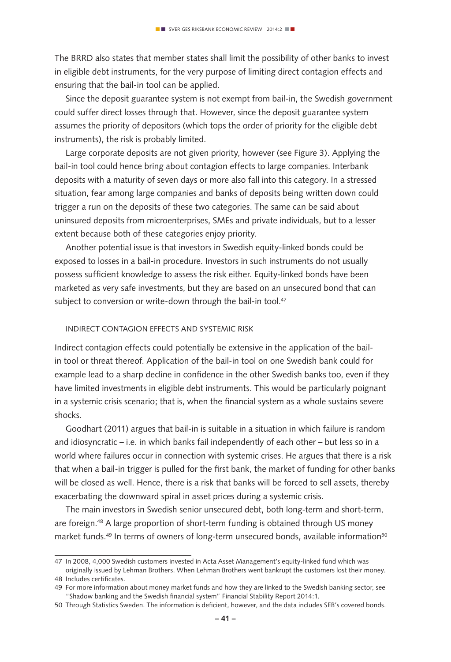The BRRD also states that member states shall limit the possibility of other banks to invest in eligible debt instruments, for the very purpose of limiting direct contagion effects and ensuring that the bail-in tool can be applied.

Since the deposit guarantee system is not exempt from bail-in, the Swedish government could suffer direct losses through that. However, since the deposit guarantee system assumes the priority of depositors (which tops the order of priority for the eligible debt instruments), the risk is probably limited.

Large corporate deposits are not given priority, however (see Figure 3). Applying the bail-in tool could hence bring about contagion effects to large companies. Interbank deposits with a maturity of seven days or more also fall into this category. In a stressed situation, fear among large companies and banks of deposits being written down could trigger a run on the deposits of these two categories. The same can be said about uninsured deposits from microenterprises, SMEs and private individuals, but to a lesser extent because both of these categories enjoy priority.

Another potential issue is that investors in Swedish equity-linked bonds could be exposed to losses in a bail-in procedure. Investors in such instruments do not usually possess sufficient knowledge to assess the risk either. Equity-linked bonds have been marketed as very safe investments, but they are based on an unsecured bond that can subject to conversion or write-down through the bail-in tool.<sup>47</sup>

#### Indirect contagion effects and systemic risk

Indirect contagion effects could potentially be extensive in the application of the bailin tool or threat thereof. Application of the bail-in tool on one Swedish bank could for example lead to a sharp decline in confidence in the other Swedish banks too, even if they have limited investments in eligible debt instruments. This would be particularly poignant in a systemic crisis scenario; that is, when the financial system as a whole sustains severe shocks.

Goodhart (2011) argues that bail-in is suitable in a situation in which failure is random and idiosyncratic – i.e. in which banks fail independently of each other – but less so in a world where failures occur in connection with systemic crises. He argues that there is a risk that when a bail-in trigger is pulled for the first bank, the market of funding for other banks will be closed as well. Hence, there is a risk that banks will be forced to sell assets, thereby exacerbating the downward spiral in asset prices during a systemic crisis.

The main investors in Swedish senior unsecured debt, both long-term and short-term, are foreign.<sup>48</sup> A large proportion of short-term funding is obtained through US money market funds.<sup>49</sup> In terms of owners of long-term unsecured bonds, available information<sup>50</sup>

48 Includes certificates.

<sup>47</sup> In 2008, 4,000 Swedish customers invested in Acta Asset Management's equity-linked fund which was originally issued by Lehman Brothers. When Lehman Brothers went bankrupt the customers lost their money.

<sup>49</sup> For more information about money market funds and how they are linked to the Swedish banking sector, see "Shadow banking and the Swedish financial system" Financial Stability Report 2014:1.

<sup>50</sup> Through Statistics Sweden. The information is deficient, however, and the data includes SEB's covered bonds.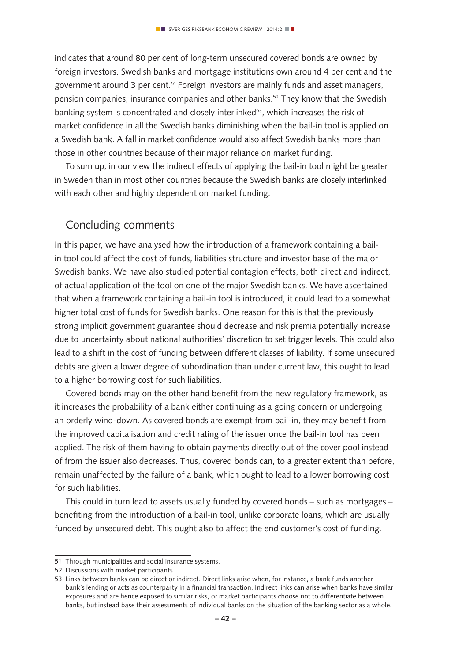indicates that around 80 per cent of long-term unsecured covered bonds are owned by foreign investors. Swedish banks and mortgage institutions own around 4 per cent and the government around 3 per cent.51 Foreign investors are mainly funds and asset managers, pension companies, insurance companies and other banks.52 They know that the Swedish banking system is concentrated and closely interlinked<sup>53</sup>, which increases the risk of market confidence in all the Swedish banks diminishing when the bail-in tool is applied on a Swedish bank. A fall in market confidence would also affect Swedish banks more than those in other countries because of their major reliance on market funding.

To sum up, in our view the indirect effects of applying the bail-in tool might be greater in Sweden than in most other countries because the Swedish banks are closely interlinked with each other and highly dependent on market funding.

## Concluding comments

In this paper, we have analysed how the introduction of a framework containing a bailin tool could affect the cost of funds, liabilities structure and investor base of the major Swedish banks. We have also studied potential contagion effects, both direct and indirect, of actual application of the tool on one of the major Swedish banks. We have ascertained that when a framework containing a bail-in tool is introduced, it could lead to a somewhat higher total cost of funds for Swedish banks. One reason for this is that the previously strong implicit government guarantee should decrease and risk premia potentially increase due to uncertainty about national authorities' discretion to set trigger levels. This could also lead to a shift in the cost of funding between different classes of liability. If some unsecured debts are given a lower degree of subordination than under current law, this ought to lead to a higher borrowing cost for such liabilities.

Covered bonds may on the other hand benefit from the new regulatory framework, as it increases the probability of a bank either continuing as a going concern or undergoing an orderly wind-down. As covered bonds are exempt from bail-in, they may benefit from the improved capitalisation and credit rating of the issuer once the bail-in tool has been applied. The risk of them having to obtain payments directly out of the cover pool instead of from the issuer also decreases. Thus, covered bonds can, to a greater extent than before, remain unaffected by the failure of a bank, which ought to lead to a lower borrowing cost for such liabilities.

This could in turn lead to assets usually funded by covered bonds – such as mortgages – benefiting from the introduction of a bail-in tool, unlike corporate loans, which are usually funded by unsecured debt. This ought also to affect the end customer's cost of funding.

<sup>51</sup> Through municipalities and social insurance systems.

<sup>52</sup> Discussions with market participants.

<sup>53</sup> Links between banks can be direct or indirect. Direct links arise when, for instance, a bank funds another bank's lending or acts as counterparty in a financial transaction. Indirect links can arise when banks have similar exposures and are hence exposed to similar risks, or market participants choose not to differentiate between banks, but instead base their assessments of individual banks on the situation of the banking sector as a whole.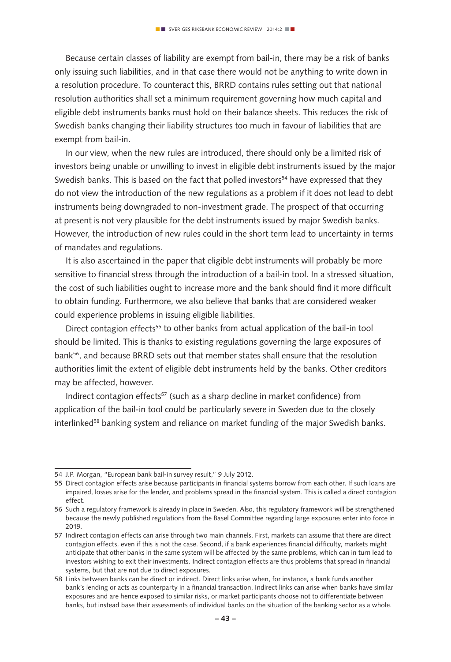Because certain classes of liability are exempt from bail-in, there may be a risk of banks only issuing such liabilities, and in that case there would not be anything to write down in a resolution procedure. To counteract this, BRRD contains rules setting out that national resolution authorities shall set a minimum requirement governing how much capital and eligible debt instruments banks must hold on their balance sheets. This reduces the risk of Swedish banks changing their liability structures too much in favour of liabilities that are exempt from bail-in.

In our view, when the new rules are introduced, there should only be a limited risk of investors being unable or unwilling to invest in eligible debt instruments issued by the major Swedish banks. This is based on the fact that polled investors<sup>54</sup> have expressed that they do not view the introduction of the new regulations as a problem if it does not lead to debt instruments being downgraded to non-investment grade. The prospect of that occurring at present is not very plausible for the debt instruments issued by major Swedish banks. However, the introduction of new rules could in the short term lead to uncertainty in terms of mandates and regulations.

It is also ascertained in the paper that eligible debt instruments will probably be more sensitive to financial stress through the introduction of a bail-in tool. In a stressed situation, the cost of such liabilities ought to increase more and the bank should find it more difficult to obtain funding. Furthermore, we also believe that banks that are considered weaker could experience problems in issuing eligible liabilities.

Direct contagion effects<sup>55</sup> to other banks from actual application of the bail-in tool should be limited. This is thanks to existing regulations governing the large exposures of bank56, and because BRRD sets out that member states shall ensure that the resolution authorities limit the extent of eligible debt instruments held by the banks. Other creditors may be affected, however.

Indirect contagion effects<sup>57</sup> (such as a sharp decline in market confidence) from application of the bail-in tool could be particularly severe in Sweden due to the closely interlinked<sup>58</sup> banking system and reliance on market funding of the major Swedish banks.

<sup>54</sup> J.P. Morgan, "European bank bail-in survey result," 9 July 2012.

<sup>55</sup> Direct contagion effects arise because participants in financial systems borrow from each other. If such loans are impaired, losses arise for the lender, and problems spread in the financial system. This is called a direct contagion effect.

<sup>56</sup> Such a regulatory framework is already in place in Sweden. Also, this regulatory framework will be strengthened because the newly published regulations from the Basel Committee regarding large exposures enter into force in 2019.

<sup>57</sup> Indirect contagion effects can arise through two main channels. First, markets can assume that there are direct contagion effects, even if this is not the case. Second, if a bank experiences financial difficulty, markets might anticipate that other banks in the same system will be affected by the same problems, which can in turn lead to investors wishing to exit their investments. Indirect contagion effects are thus problems that spread in financial systems, but that are not due to direct exposures.

<sup>58</sup> Links between banks can be direct or indirect. Direct links arise when, for instance, a bank funds another bank's lending or acts as counterparty in a financial transaction. Indirect links can arise when banks have similar exposures and are hence exposed to similar risks, or market participants choose not to differentiate between banks, but instead base their assessments of individual banks on the situation of the banking sector as a whole.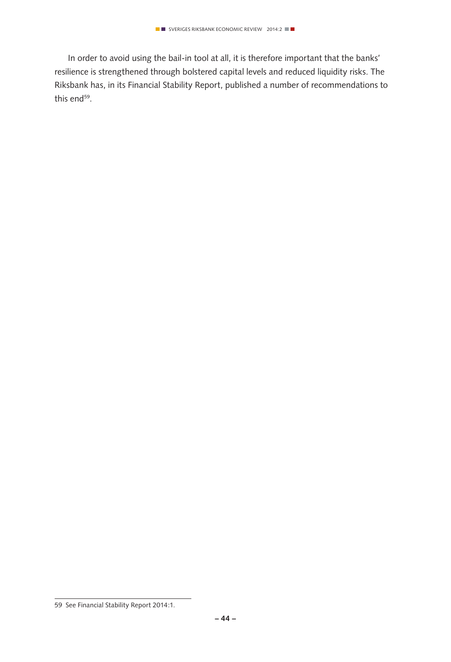In order to avoid using the bail-in tool at all, it is therefore important that the banks' resilience is strengthened through bolstered capital levels and reduced liquidity risks. The Riksbank has, in its Financial Stability Report, published a number of recommendations to this end<sup>59</sup>.

<sup>59</sup> See Financial Stability Report 2014:1.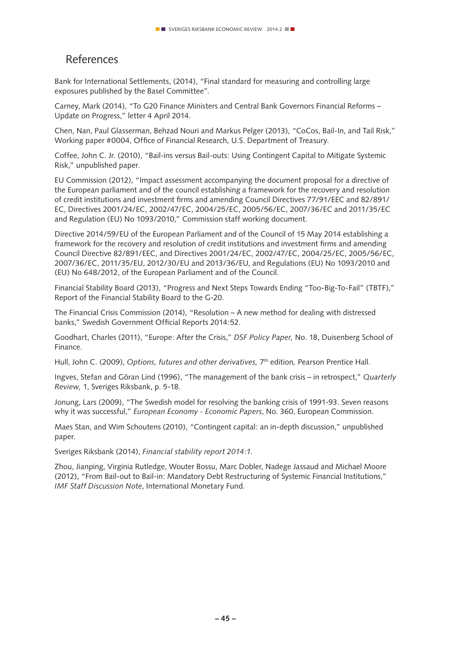# References

Bank for International Settlements, (2014), "Final standard for measuring and controlling large exposures published by the Basel Committee".

Carney, Mark (2014), "To G20 Finance Ministers and Central Bank Governors Financial Reforms – Update on Progress," letter 4 April 2014.

Chen, Nan, Paul Glasserman, Behzad Nouri and Markus Pelger (2013), "CoCos, Bail-In, and Tail Risk," Working paper #0004, Office of Financial Research, U.S. Department of Treasury.

Coffee, John C. Jr. (2010), "Bail-ins versus Bail-outs: Using Contingent Capital to Mitigate Systemic Risk," unpublished paper.

EU Commission (2012), "Impact assessment accompanying the document proposal for a directive of the European parliament and of the council establishing a framework for the recovery and resolution of credit institutions and investment firms and amending Council Directives 77/91/EEC and 82/891/ EC, Directives 2001/24/EC, 2002/47/EC, 2004/25/EC, 2005/56/EC, 2007/36/EC and 2011/35/EC and Regulation (EU) No 1093/2010," Commission staff working document.

Directive 2014/59/EU of the European Parliament and of the Council of 15 May 2014 establishing a framework for the recovery and resolution of credit institutions and investment firms and amending Council Directive 82/891/EEC, and Directives 2001/24/EC, 2002/47/EC, 2004/25/EC, 2005/56/EC, 2007/36/EC, 2011/35/EU, 2012/30/EU and 2013/36/EU, and Regulations (EU) No 1093/2010 and (EU) No 648/2012, of the European Parliament and of the Council.

Financial Stability Board (2013), "Progress and Next Steps Towards Ending "Too-Big-To-Fail" (TBTF)," Report of the Financial Stability Board to the G-20.

The Financial Crisis Commission (2014), "Resolution – A new method for dealing with distressed banks," Swedish Government Official Reports 2014:52.

Goodhart, Charles (2011), "Europe: After the Crisis," *DSF Policy Paper,* No. 18, Duisenberg School of Finance.

Hull, John C. (2009), *Options, futures and other derivatives,* 7th edition*,* Pearson Prentice Hall.

Ingves, Stefan and Göran Lind (1996), "The management of the bank crisis – in retrospect," *Quarterly Review,* 1, Sveriges Riksbank, p. 5-18.

Jonung, Lars (2009), "The Swedish model for resolving the banking crisis of 1991-93. Seven reasons why it was successful," *European Economy - Economic Papers*, No. 360, European Commission.

Maes Stan, and Wim Schoutens (2010), "Contingent capital: an in-depth discussion," unpublished paper.

Sveriges Riksbank (2014), *Financial stability report 2014:1.*

Zhou, Jianping, Virginia Rutledge, Wouter Bossu, Marc Dobler, Nadege Jassaud and Michael Moore (2012), "From Bail-out to Bail-in: Mandatory Debt Restructuring of Systemic Financial Institutions," *IMF Staff Discussion Note*, International Monetary Fund.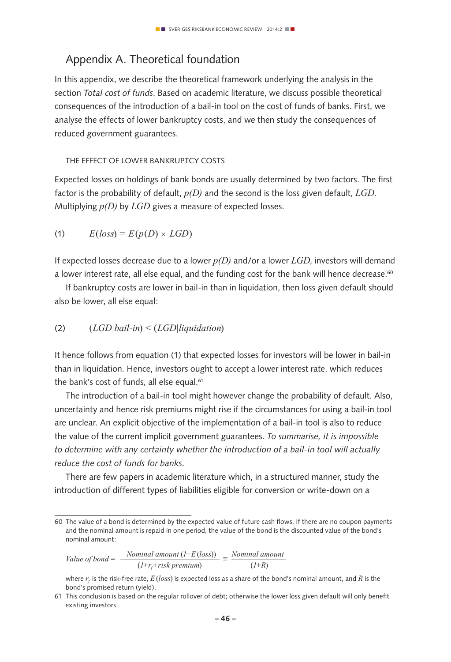# Appendix A. Theoretical foundation

In this appendix, we describe the theoretical framework underlying the analysis in the section *Total cost of funds*. Based on academic literature, we discuss possible theoretical consequences of the introduction of a bail-in tool on the cost of funds of banks. First, we analyse the effects of lower bankruptcy costs, and we then study the consequences of reduced government guarantees.

#### The effect of lower bankruptcy costs

Expected losses on holdings of bank bonds are usually determined by two factors. The first factor is the probability of default, *p(D)* and the second is the loss given default, *LGD*. Multiplying *p(D)* by *LGD* gives a measure of expected losses.

(1)  $E(logs) = E(p(D) \times LGD)$ 

If expected losses decrease due to a lower *p(D)* and/or a lower *LGD*, investors will demand a lower interest rate, all else equal, and the funding cost for the bank will hence decrease.<sup>60</sup>

If bankruptcy costs are lower in bail-in than in liquidation, then loss given default should also be lower, all else equal:

#### (2) (*LGD|bail-in*) < (*LGD|liquidation*)

It hence follows from equation (1) that expected losses for investors will be lower in bail-in than in liquidation. Hence, investors ought to accept a lower interest rate, which reduces the bank's cost of funds, all else equal.<sup>61</sup>

The introduction of a bail-in tool might however change the probability of default. Also, uncertainty and hence risk premiums might rise if the circumstances for using a bail-in tool are unclear. An explicit objective of the implementation of a bail-in tool is also to reduce the value of the current implicit government guarantees. *To summarise, it is impossible to determine with any certainty whether the introduction of a bail-in tool will actually reduce the cost of funds for banks.*

There are few papers in academic literature which, in a structured manner, study the introduction of different types of liabilities eligible for conversion or write-down on a

Value of bond = 
$$
\frac{Normal\ amount\ (l-E(\text{loss}))}{(l+r_f+risk\ premium)} = \frac{Nominal\ amount}{(l+R)}
$$

<sup>60</sup> The value of a bond is determined by the expected value of future cash flows. If there are no coupon payments and the nominal amount is repaid in one period, the value of the bond is the discounted value of the bond's nominal amount:

where *rf* is the risk-free rate, *E*(*loss*) is expected loss as a share of the bond's nominal amount, and *R* is the bond's promised return (yield).

<sup>61</sup> This conclusion is based on the regular rollover of debt; otherwise the lower loss given default will only benefit existing investors.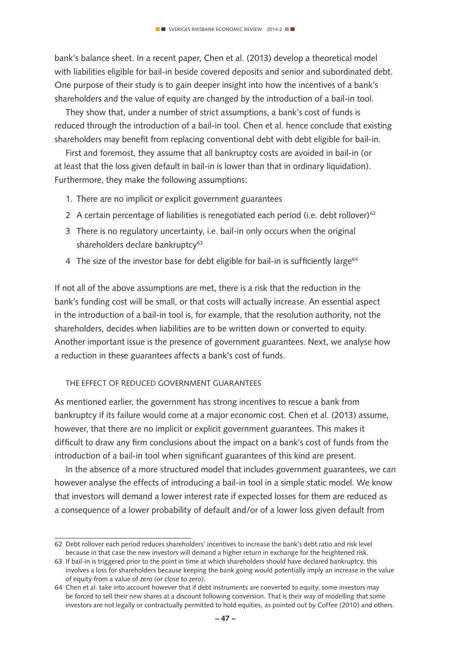bank's balance sheet. In a recent paper, Chen et al. (2013) develop a theoretical model with liabilities eligible for bail-in beside covered deposits and senior and subordinated debt. One purpose of their study is to gain deeper insight into how the incentives of a bank's shareholders and the value of equity are changed by the introduction of a bail-in tool.

They show that, under a number of strict assumptions, a bank's cost of funds is reduced through the introduction of a bail-in tool. Chen et al. hence conclude that existing shareholders may benefit from replacing conventional debt with debt eligible for bail-in.

First and foremost, they assume that all bankruptcy costs are avoided in bail-in (or at least that the loss given default in bail-in is lower than that in ordinary liquidation). Furthermore, they make the following assumptions:

- 1. There are no implicit or explicit government guarantees
- 2 A certain percentage of liabilities is renegotiated each period (i.e. debt rollover)<sup>62</sup>
- 3 There is no regulatory uncertainty, i.e. bail-in only occurs when the original shareholders declare bankruptcy<sup>63</sup>
- 4 The size of the investor base for debt eligible for bail-in is sufficiently large<sup>64</sup>

If not all of the above assumptions are met, there is a risk that the reduction in the bank's funding cost will be small, or that costs will actually increase. An essential aspect in the introduction of a bail-in tool is, for example, that the resolution authority, not the shareholders, decides when liabilities are to be written down or converted to equity. Another important issue is the presence of government guarantees. Next, we analyse how a reduction in these guarantees affects a bank's cost of funds.

#### The effect of reduced government guarantees

As mentioned earlier, the government has strong incentives to rescue a bank from bankruptcy if its failure would come at a major economic cost. Chen et al. (2013) assume, however, that there are no implicit or explicit government guarantees. This makes it difficult to draw any firm conclusions about the impact on a bank's cost of funds from the introduction of a bail-in tool when significant guarantees of this kind are present.

In the absence of a more structured model that includes government guarantees, we can however analyse the effects of introducing a bail-in tool in a simple static model. We know that investors will demand a lower interest rate if expected losses for them are reduced as a consequence of a lower probability of default and/or of a lower loss given default from

<sup>62</sup> Debt rollover each period reduces shareholders' incentives to increase the bank's debt ratio and risk level because in that case the new investors will demand a higher return in exchange for the heightened risk.

<sup>63</sup> If bail-in is triggered prior to the point in time at which shareholders should have declared bankruptcy, this involves a loss for shareholders because keeping the bank going would potentially imply an increase in the value of equity from a value of zero (or close to zero).

<sup>64</sup> Chen et al. take into account however that if debt instruments are converted to equity, some investors may be forced to sell their new shares at a discount following conversion. That is their way of modelling that some investors are not legally or contractually permitted to hold equities, as pointed out by Coffee (2010) and others.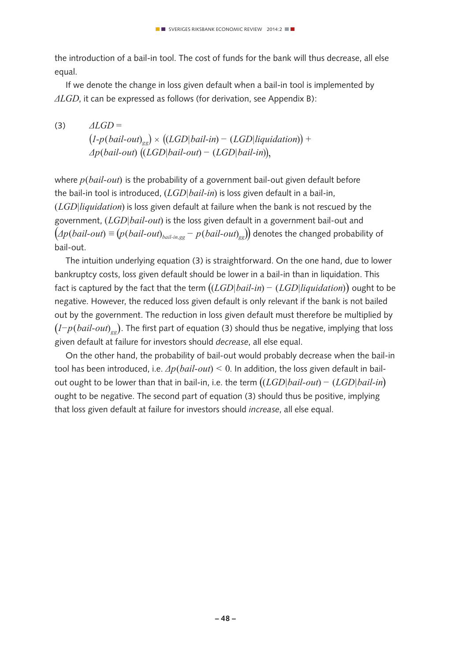the introduction of a bail-in tool. The cost of funds for the bank will thus decrease, all else equal.

If we denote the change in loss given default when a bail-in tool is implemented by *ΔLGD*, it can be expressed as follows (for derivation, see Appendix B):

 $\triangle$ (3)  $\triangle$ *LGD* =  $(I-p(bail-out)_{gg} \times ((LGD|bai1-in) - (LGD| liquidation)) +$  *Δp*(*bail-out*) ((*LGD|bail-out*) *−* (*LGD|bail-in*)),

where *p*(*bail-out*) is the probability of a government bail-out given default before the bail-in tool is introduced, (*LGD|bail-in*) is loss given default in a bail-in, (*LGD|liquidation*) is loss given default at failure when the bank is not rescued by the government, (*LGD|bail-out*) is the loss given default in a government bail-out and  $(\Delta p(bail-out) \equiv (p(bail-out)_{bail-in,og} - p(bail-out)_{og})$  denotes the changed probability of bail-out.

The intuition underlying equation (3) is straightforward. On the one hand, due to lower bankruptcy costs, loss given default should be lower in a bail-in than in liquidation. This fact is captured by the fact that the term ((*LGD|bail-in*) *−* (*LGD|liquidation*)) ought to be negative. However, the reduced loss given default is only relevant if the bank is not bailed out by the government. The reduction in loss given default must therefore be multiplied by (*1−p*(*bail-out*)*gg*). The first part of equation (3) should thus be negative, implying that loss given default at failure for investors should *decrease*, all else equal.

On the other hand, the probability of bail-out would probably decrease when the bail-in tool has been introduced, i.e. *Δp*(*bail-out*) *<* 0. In addition, the loss given default in bailout ought to be lower than that in bail-in, i.e. the term ((*LGD|bail-out*) *−* (*LGD|bail-in*) ought to be negative. The second part of equation (3) should thus be positive, implying that loss given default at failure for investors should *increase*, all else equal.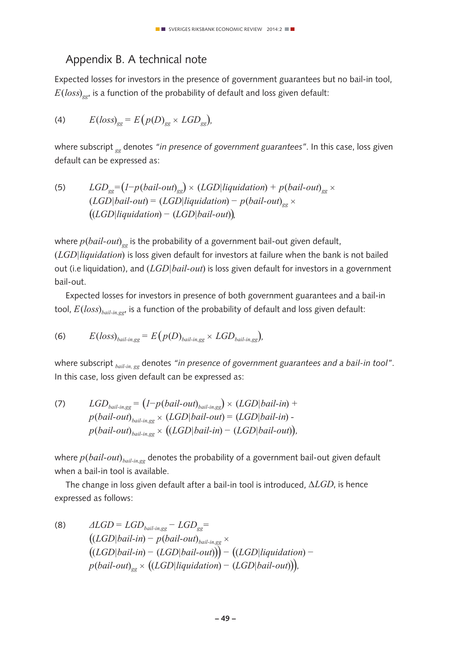# Appendix B. A technical note

Expected losses for investors in the presence of government guarantees but no bail-in tool,  $E(\text{loss})_{\text{gg}}$  is a function of the probability of default and loss given default:

$$
(4) \tE(logs)_{gg} = E\left(p(D)_{gg} \times LGD_{gg}\right),
$$

where subscript *gg* denotes *"in presence of government guarantees"*. In this case, loss given default can be expressed as:

(5) 
$$
LGD_{gg} = (1-p(bail-out)_{gg}) \times (LGD| liquidation) + p(bail-out)_{gg} \times (LGD|bail-out) = (LGD|liquidation) - p(bail-out)_{gg} \times ((LGD| liquidation) - (LGD|bail-out)),
$$

where  $p(bail-out)_{g}$  is the probability of a government bail-out given default, (*LGD|liquidation*) is loss given default for investors at failure when the bank is not bailed out (i.e liquidation), and (*LGD|bail-out*) is loss given default for investors in a government bail-out.

Expected losses for investors in presence of both government guarantees and a bail-in tool, *E*(*loss*)*bail-in,gg*, is a function of the probability of default and loss given default:

(6) 
$$
E(\text{loss})_{\text{ball-in,gg}} = E\big(p(D)_{\text{ball-in,gg}} \times LGD_{\text{ball-in,gg}}\big),
$$

where subscript *bail-in, gg* denotes *"in presence of government guarantees and a bail-in tool"*. In this case, loss given default can be expressed as:

(7) 
$$
LGD_{\text{ball-in,gg}} = (1-p(\text{ball-out})_{\text{ball-in,gg}}) \times (LGD|\text{ball-in}) + p(\text{ball-out})_{\text{ball-in,gg}} \times (LGD|\text{ball-out}) = (LGD|\text{ball-in}) - p(\text{ball-out})_{\text{ball-in,gg}} \times ((LGD|\text{ball-in}) - (LGD|\text{ball-out})),
$$

where *p*(*bail-out*)*bail-in,gg* denotes the probability of a government bail-out given default when a bail-in tool is available.

The change in loss given default after a bail-in tool is introduced, *∆LGD*, is hence expressed as follows:

(8) 
$$
\Delta LGD = LGD_{ball-in,gg} - LGD_{gg} =
$$

$$
((LGD|bai1-in) - p(bail-out)_{ball-in,gg} \times
$$

$$
((LGD|bai1-in) - (LGD|bai1-out))) - ((LGD| liquidation) - p(bail-out)_{gg} \times ((LGD| liquidation) - (LGD|bai1-out)))
$$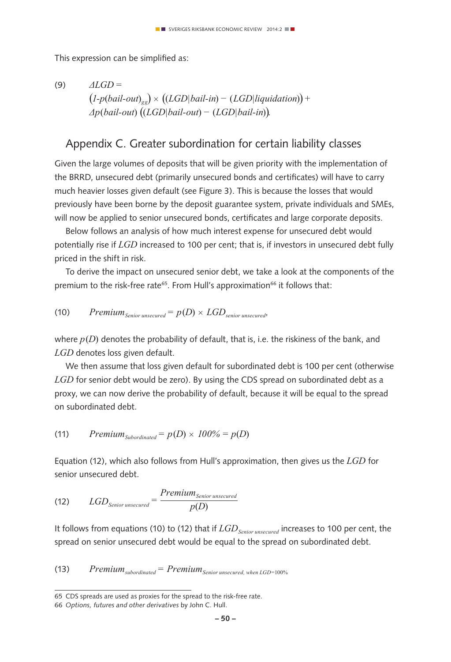This expression can be simplified as:

(9) 
$$
\triangle LGD =
$$
  
\n $(l-p(bail-out)_{gg}) \times ((LGD|bail-in) - (LGD|liquidation)) +$   
\n $\triangle p(bail-out) ((LGD|bail-out) - (LGD|bail-in)).$ 

## Appendix C. Greater subordination for certain liability classes

Given the large volumes of deposits that will be given priority with the implementation of the BRRD, unsecured debt (primarily unsecured bonds and certificates) will have to carry much heavier losses given default (see Figure 3). This is because the losses that would previously have been borne by the deposit guarantee system, private individuals and SMEs, will now be applied to senior unsecured bonds, certificates and large corporate deposits.

Below follows an analysis of how much interest expense for unsecured debt would potentially rise if *LGD* increased to 100 per cent; that is, if investors in unsecured debt fully priced in the shift in risk.

To derive the impact on unsecured senior debt, we take a look at the components of the premium to the risk-free rate<sup>65</sup>. From Hull's approximation<sup>66</sup> it follows that:

(10) *Premium*<sub>Senior unsecured</sub> = 
$$
p(D) \times LGD_{\text{senior unsecured}}
$$

where  $p(D)$  denotes the probability of default, that is, i.e. the riskiness of the bank, and *LGD* denotes loss given default.

We then assume that loss given default for subordinated debt is 100 per cent (otherwise *LGD* for senior debt would be zero). By using the CDS spread on subordinated debt as a proxy, we can now derive the probability of default, because it will be equal to the spread on subordinated debt.

(11) 
$$
PremiumSubordinated = p(D) \times 100\% = p(D)
$$

Equation (12), which also follows from Hull's approximation, then gives us the *LGD* for senior unsecured debt.

(12) 
$$
LGD_{\text{Senior unsecured}} = \frac{Premium_{\text{Senior unsecured}}}{p(D)}
$$

It follows from equations (10) to (12) that if *LGDSenior unsecured* increases to 100 per cent, the spread on senior unsecured debt would be equal to the spread on subordinated debt.

 $(13)$  *Premium*<sub>subordinated</sub> = *Premium*<sub>Senior</sub> unsecured, when LGD=100%

<sup>65</sup> CDS spreads are used as proxies for the spread to the risk-free rate.

<sup>66</sup> *Options, futures and other derivatives* by John C. Hull.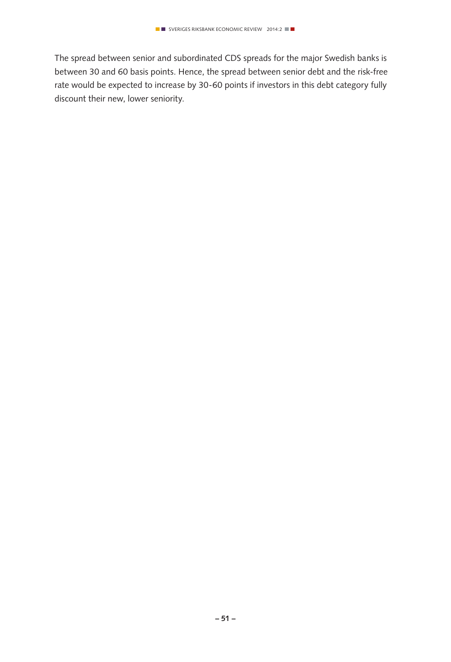The spread between senior and subordinated CDS spreads for the major Swedish banks is between 30 and 60 basis points. Hence, the spread between senior debt and the risk-free rate would be expected to increase by 30-60 points if investors in this debt category fully discount their new, lower seniority.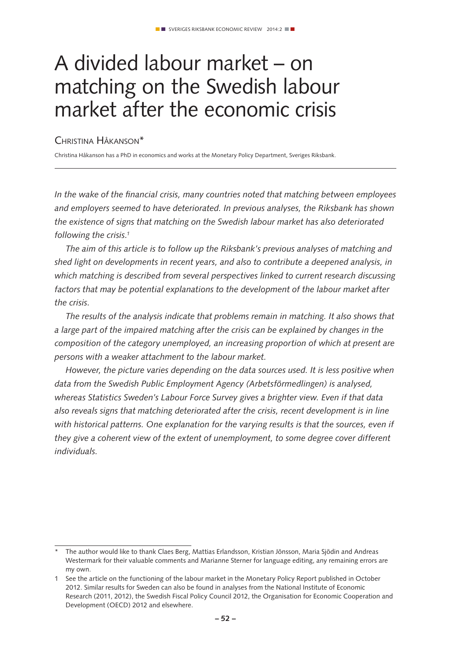# A divided labour market – on matching on the Swedish labour market after the economic crisis

Christina Håkanson\*

Christina Håkanson has a PhD in economics and works at the Monetary Policy Department, Sveriges Riksbank.

*In the wake of the financial crisis, many countries noted that matching between employees and employers seemed to have deteriorated. In previous analyses, the Riksbank has shown the existence of signs that matching on the Swedish labour market has also deteriorated following the crisis.1*

*The aim of this article is to follow up the Riksbank's previous analyses of matching and shed light on developments in recent years, and also to contribute a deepened analysis, in which matching is described from several perspectives linked to current research discussing*  factors that may be potential explanations to the development of the labour market after *the crisis.*

*The results of the analysis indicate that problems remain in matching. It also shows that a large part of the impaired matching after the crisis can be explained by changes in the composition of the category unemployed, an increasing proportion of which at present are persons with a weaker attachment to the labour market.* 

*However, the picture varies depending on the data sources used. It is less positive when data from the Swedish Public Employment Agency (Arbetsförmedlingen) is analysed, whereas Statistics Sweden's Labour Force Survey gives a brighter view. Even if that data also reveals signs that matching deteriorated after the crisis, recent development is in line with historical patterns. One explanation for the varying results is that the sources, even if they give a coherent view of the extent of unemployment, to some degree cover different individuals.*

The author would like to thank Claes Berg, Mattias Erlandsson, Kristian Jönsson, Maria Sjödin and Andreas Westermark for their valuable comments and Marianne Sterner for language editing, any remaining errors are my own.

<sup>1</sup> See the article on the functioning of the labour market in the Monetary Policy Report published in October 2012. Similar results for Sweden can also be found in analyses from the National Institute of Economic Research (2011, 2012), the Swedish Fiscal Policy Council 2012, the Organisation for Economic Cooperation and Development (OECD) 2012 and elsewhere.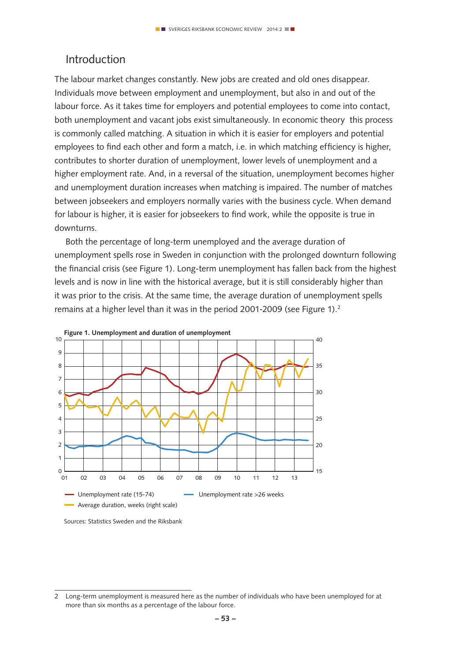## Introduction

The labour market changes constantly. New jobs are created and old ones disappear. Individuals move between employment and unemployment, but also in and out of the labour force. As it takes time for employers and potential employees to come into contact, both unemployment and vacant jobs exist simultaneously. In economic theory this process is commonly called matching. A situation in which it is easier for employers and potential employees to find each other and form a match, i.e. in which matching efficiency is higher, contributes to shorter duration of unemployment, lower levels of unemployment and a higher employment rate. And, in a reversal of the situation, unemployment becomes higher and unemployment duration increases when matching is impaired. The number of matches between jobseekers and employers normally varies with the business cycle. When demand for labour is higher, it is easier for jobseekers to find work, while the opposite is true in downturns.

Both the percentage of long-term unemployed and the average duration of unemployment spells rose in Sweden in conjunction with the prolonged downturn following the financial crisis (see Figure 1). Long-term unemployment has fallen back from the highest levels and is now in line with the historical average, but it is still considerably higher than it was prior to the crisis. At the same time, the average duration of unemployment spells remains at a higher level than it was in the period 2001-2009 (see Figure 1).<sup>2</sup>



Sources: Statistics Sweden and the Riksbank

<sup>2</sup> Long-term unemployment is measured here as the number of individuals who have been unemployed for at more than six months as a percentage of the labour force.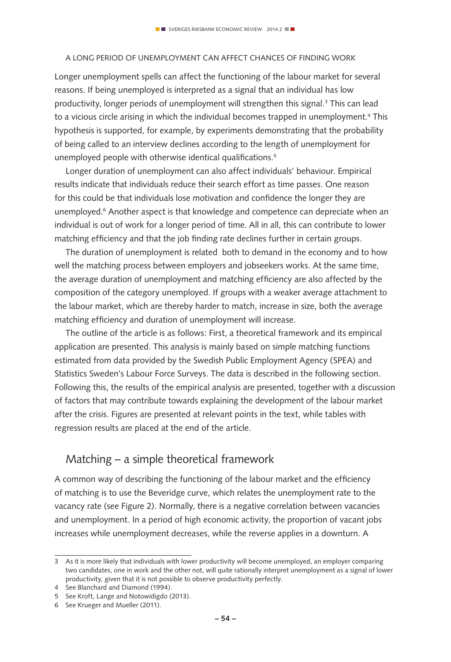#### A long period of unemployment can affect chances of finding work

Longer unemployment spells can affect the functioning of the labour market for several reasons. If being unemployed is interpreted as a signal that an individual has low productivity, longer periods of unemployment will strengthen this signal.<sup>3</sup> This can lead to a vicious circle arising in which the individual becomes trapped in unemployment.<sup>4</sup> This hypothesis is supported, for example, by experiments demonstrating that the probability of being called to an interview declines according to the length of unemployment for unemployed people with otherwise identical qualifications.<sup>5</sup>

Longer duration of unemployment can also affect individuals' behaviour. Empirical results indicate that individuals reduce their search effort as time passes. One reason for this could be that individuals lose motivation and confidence the longer they are unemployed.6 Another aspect is that knowledge and competence can depreciate when an individual is out of work for a longer period of time. All in all, this can contribute to lower matching efficiency and that the job finding rate declines further in certain groups.

The duration of unemployment is related both to demand in the economy and to how well the matching process between employers and jobseekers works. At the same time, the average duration of unemployment and matching efficiency are also affected by the composition of the category unemployed. If groups with a weaker average attachment to the labour market, which are thereby harder to match, increase in size, both the average matching efficiency and duration of unemployment will increase.

The outline of the article is as follows: First, a theoretical framework and its empirical application are presented. This analysis is mainly based on simple matching functions estimated from data provided by the Swedish Public Employment Agency (SPEA) and Statistics Sweden's Labour Force Surveys. The data is described in the following section. Following this, the results of the empirical analysis are presented, together with a discussion of factors that may contribute towards explaining the development of the labour market after the crisis. Figures are presented at relevant points in the text, while tables with regression results are placed at the end of the article.

## Matching – a simple theoretical framework

A common way of describing the functioning of the labour market and the efficiency of matching is to use the Beveridge curve, which relates the unemployment rate to the vacancy rate (see Figure 2). Normally, there is a negative correlation between vacancies and unemployment. In a period of high economic activity, the proportion of vacant jobs increases while unemployment decreases, while the reverse applies in a downturn. A

<sup>3</sup> As it is more likely that individuals with lower productivity will become unemployed, an employer comparing two candidates, one in work and the other not, will quite rationally interpret unemployment as a signal of lower productivity, given that it is not possible to observe productivity perfectly.

<sup>4</sup> See Blanchard and Diamond (1994).

<sup>5</sup> See Kroft, Lange and Notowidigdo (2013).

<sup>6</sup> See Krueger and Mueller (2011).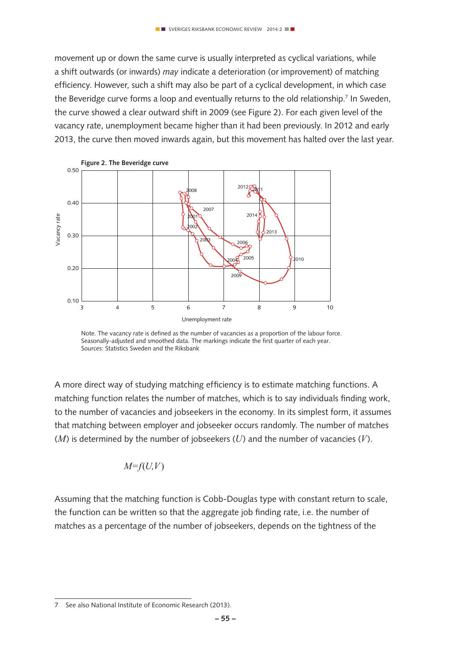movement up or down the same curve is usually interpreted as cyclical variations, while a shift outwards (or inwards) *may* indicate a deterioration (or improvement) of matching efficiency. However, such a shift may also be part of a cyclical development, in which case the Beveridge curve forms a loop and eventually returns to the old relationship.<sup>7</sup> In Sweden, the curve showed a clear outward shift in 2009 (see Figure 2). For each given level of the vacancy rate, unemployment became higher than it had been previously. In 2012 and early 2013, the curve then moved inwards again, but this movement has halted over the last year.



Note. The vacancy rate is defined as the number of vacancies as a proportion of the labour force. Seasonally-adjusted and smoothed data. The markings indicate the first quarter of each year. Sources: Statistics Sweden and the Riksbank

A more direct way of studying matching efficiency is to estimate matching functions. A matching function relates the number of matches, which is to say individuals finding work, to the number of vacancies and jobseekers in the economy. In its simplest form, it assumes that matching between employer and jobseeker occurs randomly. The number of matches (*M*) is determined by the number of jobseekers (*U*) and the number of vacancies (*V*).

$$
M = f(U, V)
$$

Assuming that the matching function is Cobb-Douglas type with constant return to scale, the function can be written so that the aggregate job finding rate, i.e. the number of matches as a percentage of the number of jobseekers, depends on the tightness of the

See also National Institute of Economic Research (2013).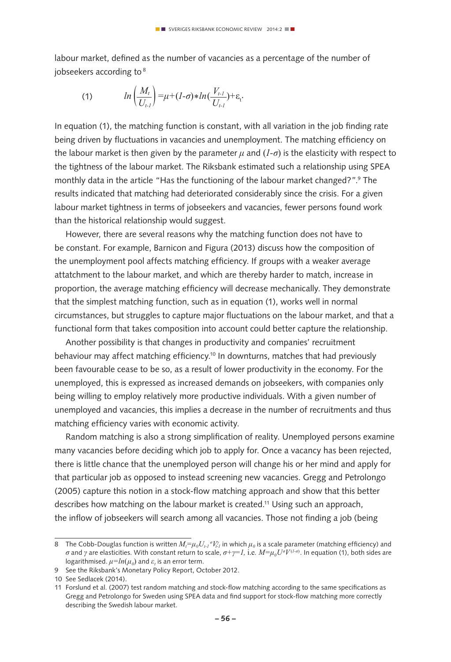labour market, defined as the number of vacancies as a percentage of the number of jobseekers according to 8

(1) 
$$
ln\left(\frac{M_t}{U_{t-1}}\right) = \mu + (1-\sigma) * ln(\frac{V_{t-1}}{U_{t-1}}) + \varepsilon_t.
$$

In equation (1), the matching function is constant, with all variation in the job finding rate being driven by fluctuations in vacancies and unemployment. The matching efficiency on the labour market is then given by the parameter  $\mu$  and  $(I-\sigma)$  is the elasticity with respect to the tightness of the labour market. The Riksbank estimated such a relationship using SPEA monthly data in the article "Has the functioning of the labour market changed?".<sup>9</sup> The results indicated that matching had deteriorated considerably since the crisis. For a given labour market tightness in terms of jobseekers and vacancies, fewer persons found work than the historical relationship would suggest.

However, there are several reasons why the matching function does not have to be constant. For example, Barnicon and Figura (2013) discuss how the composition of the unemployment pool affects matching efficiency. If groups with a weaker average attatchment to the labour market, and which are thereby harder to match, increase in proportion, the average matching efficiency will decrease mechanically. They demonstrate that the simplest matching function, such as in equation (1), works well in normal circumstances, but struggles to capture major fluctuations on the labour market, and that a functional form that takes composition into account could better capture the relationship.

Another possibility is that changes in productivity and companies' recruitment behaviour may affect matching efficiency.10 In downturns, matches that had previously been favourable cease to be so, as a result of lower productivity in the economy. For the unemployed, this is expressed as increased demands on jobseekers, with companies only being willing to employ relatively more productive individuals. With a given number of unemployed and vacancies, this implies a decrease in the number of recruitments and thus matching efficiency varies with economic activity.

Random matching is also a strong simplification of reality. Unemployed persons examine many vacancies before deciding which job to apply for. Once a vacancy has been rejected, there is little chance that the unemployed person will change his or her mind and apply for that particular job as opposed to instead screening new vacancies. Gregg and Petrolongo (2005) capture this notion in a stock-flow matching approach and show that this better describes how matching on the labour market is created.<sup>11</sup> Using such an approach, the inflow of jobseekers will search among all vacancies. Those not finding a job (being

<sup>8</sup> The Cobb-Douglas function is written  $M_i = \mu_\theta U_{i\cdot l}$   $^\sigma V_{i\cdot l}^\gamma$  in which  $\mu_\theta$  is a scale parameter (matching efficiency) and *σ* and  $γ$  are elasticities. With constant return to scale,  $σ + γ = I$ , i.e.  $M = μ_oU^{\sigma}V^{(1-o)}$ . In equation (1), both sides are logarithmised.  $\mu = ln(\mu_{\it 0})$  and  $\varepsilon_{\it t}$  is an error term.

<sup>9</sup> See the Riksbank's Monetary Policy Report, October 2012.

<sup>10</sup> See Sedlacek (2014).

<sup>11</sup> Forslund et al. (2007) test random matching and stock-flow matching according to the same specifications as Gregg and Petrolongo for Sweden using SPEA data and find support for stock-flow matching more correctly describing the Swedish labour market.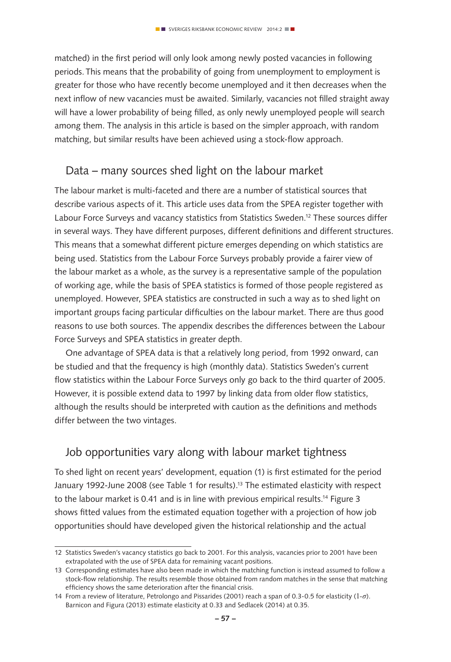matched) in the first period will only look among newly posted vacancies in following periods. This means that the probability of going from unemployment to employment is greater for those who have recently become unemployed and it then decreases when the next inflow of new vacancies must be awaited. Similarly, vacancies not filled straight away will have a lower probability of being filled, as only newly unemployed people will search among them. The analysis in this article is based on the simpler approach, with random matching, but similar results have been achieved using a stock-flow approach.

## Data – many sources shed light on the labour market

The labour market is multi-faceted and there are a number of statistical sources that describe various aspects of it. This article uses data from the SPEA register together with Labour Force Surveys and vacancy statistics from Statistics Sweden.<sup>12</sup> These sources differ in several ways. They have different purposes, different definitions and different structures. This means that a somewhat different picture emerges depending on which statistics are being used. Statistics from the Labour Force Surveys probably provide a fairer view of the labour market as a whole, as the survey is a representative sample of the population of working age, while the basis of SPEA statistics is formed of those people registered as unemployed. However, SPEA statistics are constructed in such a way as to shed light on important groups facing particular difficulties on the labour market. There are thus good reasons to use both sources. The appendix describes the differences between the Labour Force Surveys and SPEA statistics in greater depth.

One advantage of SPEA data is that a relatively long period, from 1992 onward, can be studied and that the frequency is high (monthly data). Statistics Sweden's current flow statistics within the Labour Force Surveys only go back to the third quarter of 2005. However, it is possible extend data to 1997 by linking data from older flow statistics, although the results should be interpreted with caution as the definitions and methods differ between the two vintages.

# Job opportunities vary along with labour market tightness

To shed light on recent years' development, equation (1) is first estimated for the period January 1992-June 2008 (see Table 1 for results).<sup>13</sup> The estimated elasticity with respect to the labour market is 0.41 and is in line with previous empirical results.<sup>14</sup> Figure 3 shows fitted values from the estimated equation together with a projection of how job opportunities should have developed given the historical relationship and the actual

<sup>12</sup> Statistics Sweden's vacancy statistics go back to 2001. For this analysis, vacancies prior to 2001 have been extrapolated with the use of SPEA data for remaining vacant positions.

<sup>13</sup> Corresponding estimates have also been made in which the matching function is instead assumed to follow a stock-flow relationship. The results resemble those obtained from random matches in the sense that matching efficiency shows the same deterioration after the financial crisis.

<sup>14</sup> From a review of literature, Petrolongo and Pissarides (2001) reach a span of 0.3-0.5 for elasticity (1*-σ*). Barnicon and Figura (2013) estimate elasticity at 0.33 and Sedlacek (2014) at 0.35.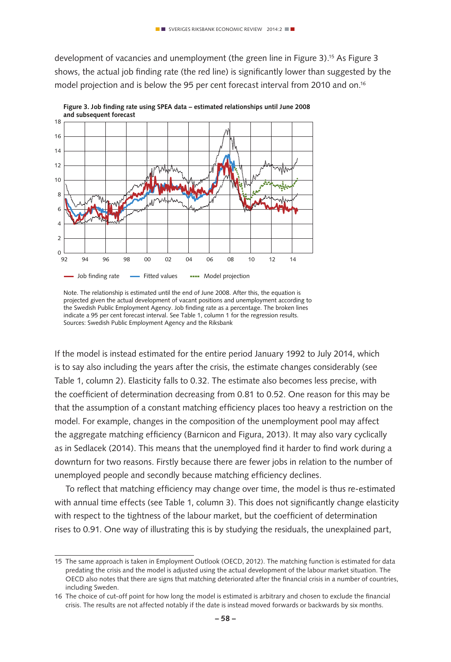development of vacancies and unemployment (the green line in Figure 3).15 As Figure 3 shows, the actual job finding rate (the red line) is significantly lower than suggested by the model projection and is below the 95 per cent forecast interval from 2010 and on.16



**Figure 3. Job finding rate using SPEA data – estimated relationships until June 2008 and subsequent forecast**

If the model is instead estimated for the entire period January 1992 to July 2014, which is to say also including the years after the crisis, the estimate changes considerably (see Table 1, column 2). Elasticity falls to 0.32. The estimate also becomes less precise, with the coefficient of determination decreasing from 0.81 to 0.52. One reason for this may be that the assumption of a constant matching efficiency places too heavy a restriction on the model. For example, changes in the composition of the unemployment pool may affect the aggregate matching efficiency (Barnicon and Figura, 2013). It may also vary cyclically as in Sedlacek (2014). This means that the unemployed find it harder to find work during a downturn for two reasons. Firstly because there are fewer jobs in relation to the number of unemployed people and secondly because matching efficiency declines.

To reflect that matching efficiency may change over time, the model is thus re-estimated with annual time effects (see Table 1, column 3). This does not significantly change elasticity with respect to the tightness of the labour market, but the coefficient of determination rises to 0.91. One way of illustrating this is by studying the residuals, the unexplained part,

Note. The relationship is estimated until the end of June 2008. After this, the equation is projected given the actual development of vacant positions and unemployment according to the Swedish Public Employment Agency. Job finding rate as a percentage. The broken lines indicate a 95 per cent forecast interval. See Table 1, column 1 for the regression results. Sources: Swedish Public Employment Agency and the Riksbank

<sup>15</sup> The same approach is taken in Employment Outlook (OECD, 2012). The matching function is estimated for data predating the crisis and the model is adjusted using the actual development of the labour market situation. The OECD also notes that there are signs that matching deteriorated after the financial crisis in a number of countries, including Sweden.

<sup>16</sup> The choice of cut-off point for how long the model is estimated is arbitrary and chosen to exclude the financial crisis. The results are not affected notably if the date is instead moved forwards or backwards by six months.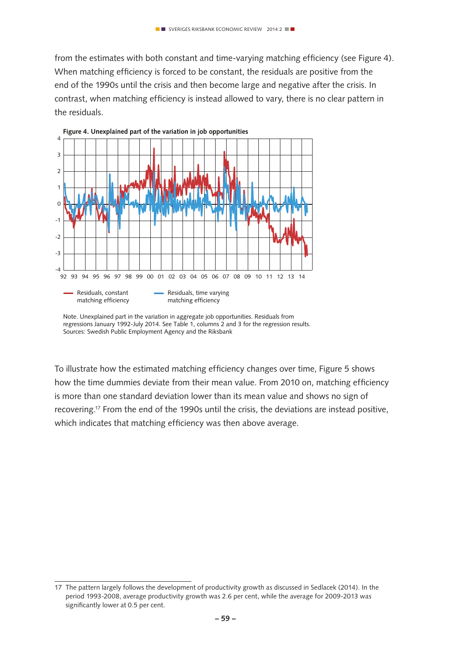from the estimates with both constant and time-varying matching efficiency (see Figure 4). When matching efficiency is forced to be constant, the residuals are positive from the end of the 1990s until the crisis and then become large and negative after the crisis. In contrast, when matching efficiency is instead allowed to vary, there is no clear pattern in the residuals.



regressions January 1992-July 2014. See Table 1, columns 2 and 3 for the regression results. Sources: Swedish Public Employment Agency and the Riksbank

To illustrate how the estimated matching efficiency changes over time, Figure 5 shows how the time dummies deviate from their mean value. From 2010 on, matching efficiency is more than one standard deviation lower than its mean value and shows no sign of recovering.17 From the end of the 1990s until the crisis, the deviations are instead positive, which indicates that matching efficiency was then above average.

<sup>17</sup> The pattern largely follows the development of productivity growth as discussed in Sedlacek (2014). In the period 1993-2008, average productivity growth was 2.6 per cent, while the average for 2009-2013 was significantly lower at 0.5 per cent.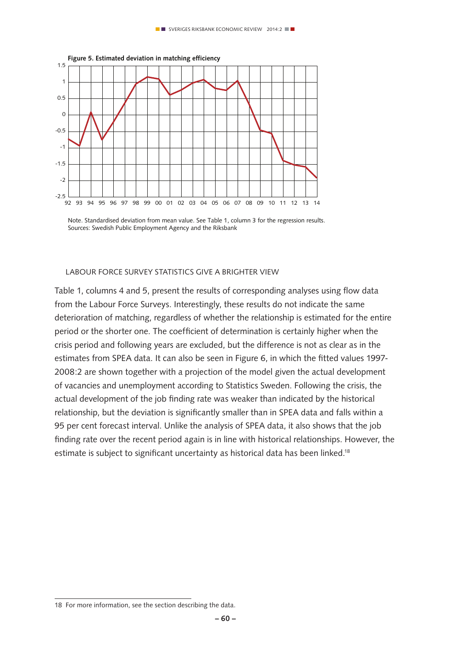

Note. Standardised deviation from mean value. See Table 1, column 3 for the regression results. Sources: Swedish Public Employment Agency and the Riksbank

#### Labour Force Survey statistics give a brighter view

Table 1, columns 4 and 5, present the results of corresponding analyses using flow data from the Labour Force Surveys. Interestingly, these results do not indicate the same deterioration of matching, regardless of whether the relationship is estimated for the entire period or the shorter one. The coefficient of determination is certainly higher when the crisis period and following years are excluded, but the difference is not as clear as in the estimates from SPEA data. It can also be seen in Figure 6, in which the fitted values 1997- 2008:2 are shown together with a projection of the model given the actual development of vacancies and unemployment according to Statistics Sweden. Following the crisis, the actual development of the job finding rate was weaker than indicated by the historical relationship, but the deviation is significantly smaller than in SPEA data and falls within a 95 per cent forecast interval. Unlike the analysis of SPEA data, it also shows that the job finding rate over the recent period again is in line with historical relationships. However, the estimate is subject to significant uncertainty as historical data has been linked.<sup>18</sup>

<sup>18</sup> For more information, see the section describing the data.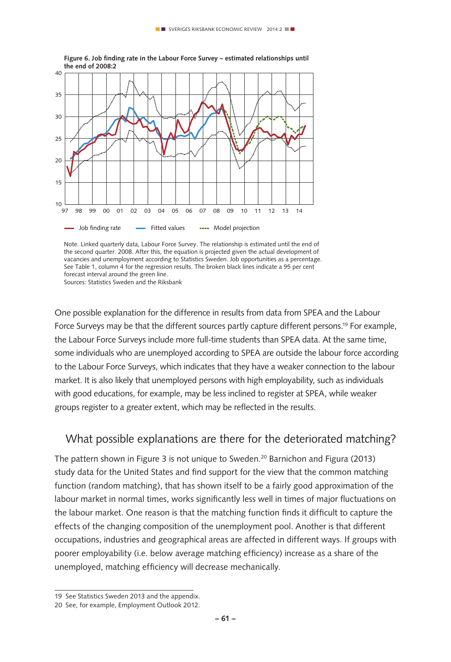

**Figure 6. Job finding rate in the Labour Force Survey – estimated relationships until** 

Note. Linked quarterly data, Labour Force Survey. The relationship is estimated until the end of the second quarter. 2008. After this, the equation is projected given the actual development of vacancies and unemployment according to Statistics Sweden. Job opportunities as a percentage. See Table 1, column 4 for the regression results. The broken black lines indicate a 95 per cent forecast interval around the green line. Sources: Statistics Sweden and the Riksbank

One possible explanation for the difference in results from data from SPEA and the Labour Force Surveys may be that the different sources partly capture different persons.19 For example, the Labour Force Surveys include more full-time students than SPEA data. At the same time, some individuals who are unemployed according to SPEA are outside the labour force according to the Labour Force Surveys, which indicates that they have a weaker connection to the labour market. It is also likely that unemployed persons with high employability, such as individuals with good educations, for example, may be less inclined to register at SPEA, while weaker groups register to a greater extent, which may be reflected in the results.

## What possible explanations are there for the deteriorated matching?

The pattern shown in Figure 3 is not unique to Sweden.<sup>20</sup> Barnichon and Figura (2013) study data for the United States and find support for the view that the common matching function (random matching), that has shown itself to be a fairly good approximation of the labour market in normal times, works significantly less well in times of major fluctuations on the labour market. One reason is that the matching function finds it difficult to capture the effects of the changing composition of the unemployment pool. Another is that different occupations, industries and geographical areas are affected in different ways. If groups with poorer employability (i.e. below average matching efficiency) increase as a share of the unemployed, matching efficiency will decrease mechanically.

<sup>19</sup> See Statistics Sweden 2013 and the appendix.

<sup>20</sup> See, for example, Employment Outlook 2012.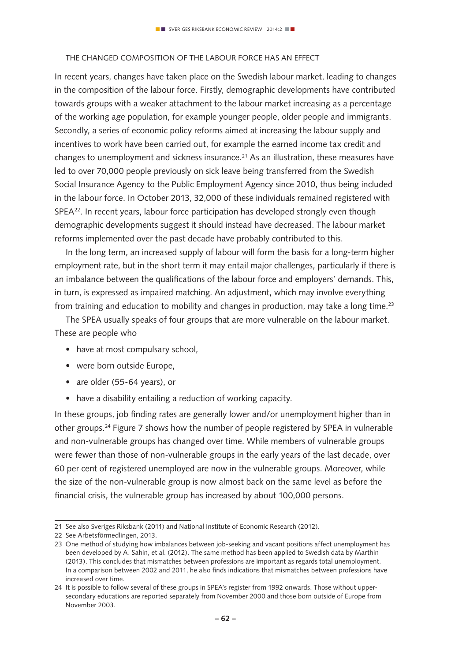#### The changed composition of the labour force has an effect

In recent years, changes have taken place on the Swedish labour market, leading to changes in the composition of the labour force. Firstly, demographic developments have contributed towards groups with a weaker attachment to the labour market increasing as a percentage of the working age population, for example younger people, older people and immigrants. Secondly, a series of economic policy reforms aimed at increasing the labour supply and incentives to work have been carried out, for example the earned income tax credit and changes to unemployment and sickness insurance.<sup>21</sup> As an illustration, these measures have led to over 70,000 people previously on sick leave being transferred from the Swedish Social Insurance Agency to the Public Employment Agency since 2010, thus being included in the labour force. In October 2013, 32,000 of these individuals remained registered with SPEA<sup>22</sup>. In recent years, labour force participation has developed strongly even though demographic developments suggest it should instead have decreased. The labour market reforms implemented over the past decade have probably contributed to this.

In the long term, an increased supply of labour will form the basis for a long-term higher employment rate, but in the short term it may entail major challenges, particularly if there is an imbalance between the qualifications of the labour force and employers' demands. This, in turn, is expressed as impaired matching. An adjustment, which may involve everything from training and education to mobility and changes in production, may take a long time.<sup>23</sup>

The SPEA usually speaks of four groups that are more vulnerable on the labour market. These are people who

- have at most compulsary school,
- were born outside Europe,
- are older (55-64 years), or
- have a disability entailing a reduction of working capacity.

In these groups, job finding rates are generally lower and/or unemployment higher than in other groups.24 Figure 7 shows how the number of people registered by SPEA in vulnerable and non-vulnerable groups has changed over time. While members of vulnerable groups were fewer than those of non-vulnerable groups in the early years of the last decade, over 60 per cent of registered unemployed are now in the vulnerable groups. Moreover, while the size of the non-vulnerable group is now almost back on the same level as before the financial crisis, the vulnerable group has increased by about 100,000 persons.

<sup>21</sup> See also Sveriges Riksbank (2011) and National Institute of Economic Research (2012).

<sup>22</sup> See Arbetsförmedlingen, 2013.

<sup>23</sup> One method of studying how imbalances between job-seeking and vacant positions affect unemployment has been developed by A. Sahin, et al. (2012). The same method has been applied to Swedish data by Marthin (2013). This concludes that mismatches between professions are important as regards total unemployment. In a comparison between 2002 and 2011, he also finds indications that mismatches between professions have increased over time.

<sup>24</sup> It is possible to follow several of these groups in SPEA's register from 1992 onwards. Those without uppersecondary educations are reported separately from November 2000 and those born outside of Europe from November 2003.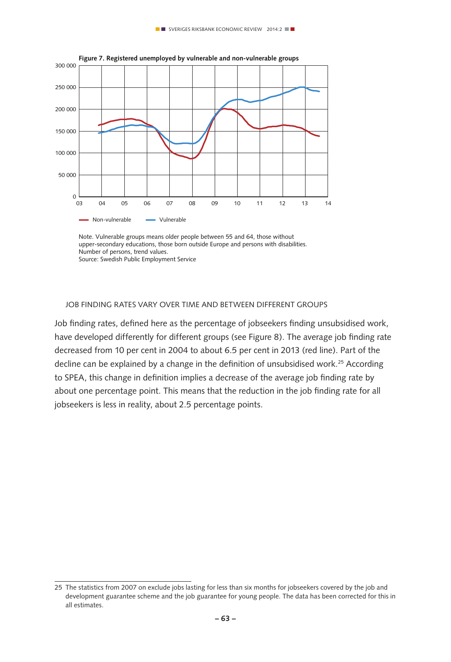

Note. Vulnerable groups means older people between 55 and 64, those without upper-secondary educations, those born outside Europe and persons with disabilities. Number of persons, trend values. Source: Swedish Public Employment Service

#### Job finding rates vary over time and between different groups

Job finding rates, defined here as the percentage of jobseekers finding unsubsidised work, have developed differently for different groups (see Figure 8). The average job finding rate decreased from 10 per cent in 2004 to about 6.5 per cent in 2013 (red line). Part of the decline can be explained by a change in the definition of unsubsidised work.<sup>25</sup> According to SPEA, this change in definition implies a decrease of the average job finding rate by about one percentage point. This means that the reduction in the job finding rate for all jobseekers is less in reality, about 2.5 percentage points.

<sup>25</sup> The statistics from 2007 on exclude jobs lasting for less than six months for jobseekers covered by the job and development guarantee scheme and the job guarantee for young people. The data has been corrected for this in all estimates.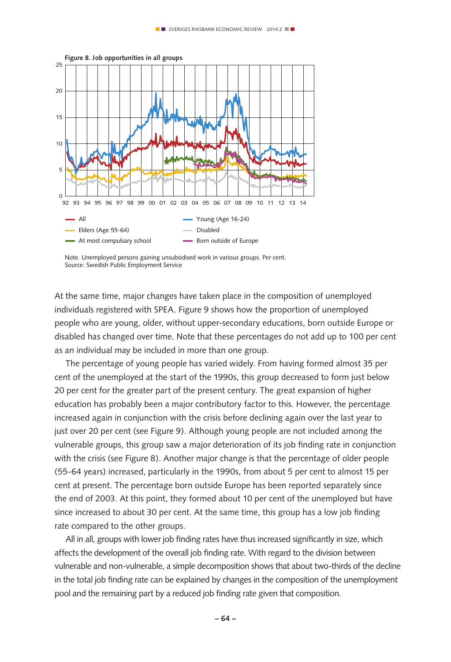

Note. Unemployed persons gaining unsubsidised work in various groups. Per cent. Source: Swedish Public Employment Service

At the same time, major changes have taken place in the composition of unemployed individuals registered with SPEA. Figure 9 shows how the proportion of unemployed people who are young, older, without upper-secondary educations, born outside Europe or disabled has changed over time. Note that these percentages do not add up to 100 per cent as an individual may be included in more than one group.

The percentage of young people has varied widely. From having formed almost 35 per cent of the unemployed at the start of the 1990s, this group decreased to form just below 20 per cent for the greater part of the present century. The great expansion of higher education has probably been a major contributory factor to this. However, the percentage increased again in conjunction with the crisis before declining again over the last year to just over 20 per cent (see Figure 9). Although young people are not included among the vulnerable groups, this group saw a major deterioration of its job finding rate in conjunction with the crisis (see Figure 8). Another major change is that the percentage of older people (55-64 years) increased, particularly in the 1990s, from about 5 per cent to almost 15 per cent at present. The percentage born outside Europe has been reported separately since the end of 2003. At this point, they formed about 10 per cent of the unemployed but have since increased to about 30 per cent. At the same time, this group has a low job finding rate compared to the other groups.

All in all, groups with lower job finding rates have thus increased significantly in size, which affects the development of the overall job finding rate. With regard to the division between vulnerable and non-vulnerable, a simple decomposition shows that about two-thirds of the decline in the total job finding rate can be explained by changes in the composition of the unemployment pool and the remaining part by a reduced job finding rate given that composition.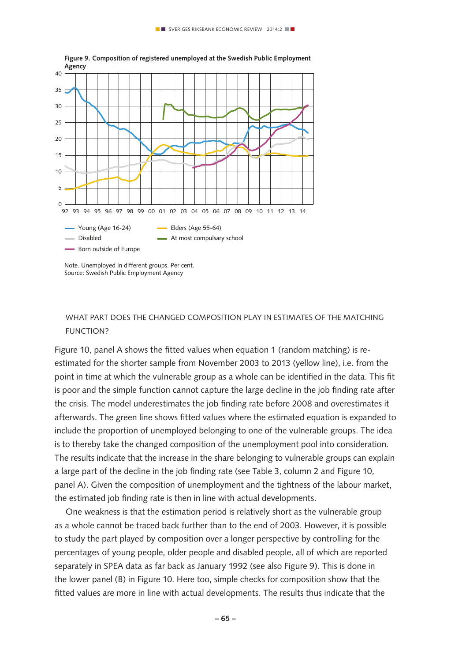

Note. Unemployed in different groups. Per cent. Source: Swedish Public Employment Agency

#### What part does the changed composition play in estimates of the matching function?

Figure 10, panel A shows the fitted values when equation 1 (random matching) is reestimated for the shorter sample from November 2003 to 2013 (yellow line), i.e. from the point in time at which the vulnerable group as a whole can be identified in the data. This fit is poor and the simple function cannot capture the large decline in the job finding rate after the crisis. The model underestimates the job finding rate before 2008 and overestimates it afterwards. The green line shows fitted values where the estimated equation is expanded to include the proportion of unemployed belonging to one of the vulnerable groups. The idea is to thereby take the changed composition of the unemployment pool into consideration. The results indicate that the increase in the share belonging to vulnerable groups can explain a large part of the decline in the job finding rate (see Table 3, column 2 and Figure 10, panel A). Given the composition of unemployment and the tightness of the labour market, the estimated job finding rate is then in line with actual developments.

One weakness is that the estimation period is relatively short as the vulnerable group as a whole cannot be traced back further than to the end of 2003. However, it is possible to study the part played by composition over a longer perspective by controlling for the percentages of young people, older people and disabled people, all of which are reported separately in SPEA data as far back as January 1992 (see also Figure 9). This is done in the lower panel (B) in Figure 10. Here too, simple checks for composition show that the fitted values are more in line with actual developments. The results thus indicate that the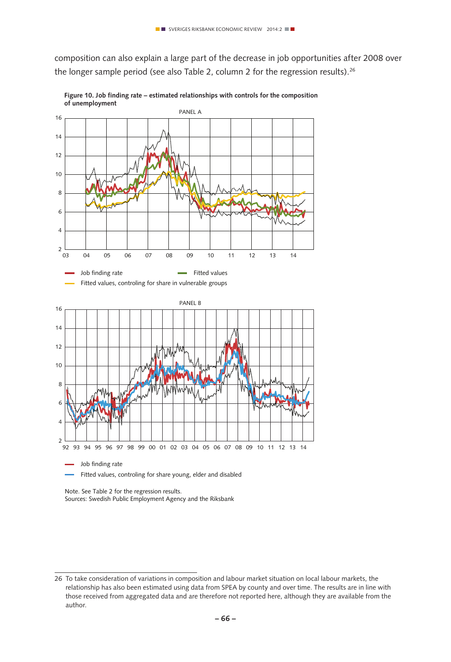composition can also explain a large part of the decrease in job opportunities after 2008 over the longer sample period (see also Table 2, column 2 for the regression results).<sup>26</sup>



**Figure 10. Job finding rate – estimated relationships with controls for the composition of unemployment**

Note. See Table 2 for the regression results. Sources: Swedish Public Employment Agency and the Riksbank

<sup>26</sup> To take consideration of variations in composition and labour market situation on local labour markets, the relationship has also been estimated using data from SPEA by county and over time. The results are in line with those received from aggregated data and are therefore not reported here, although they are available from the author.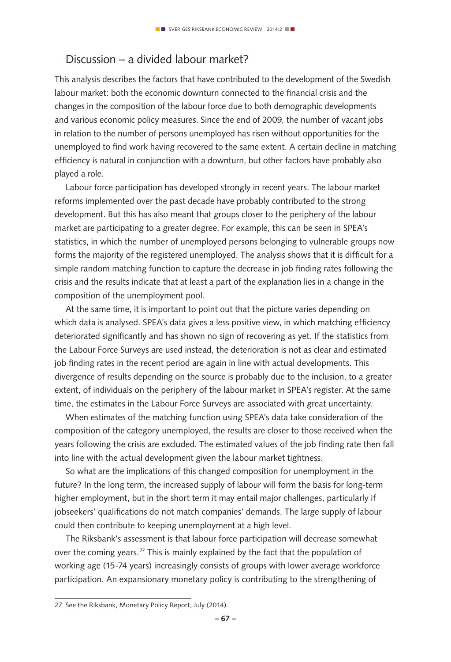## Discussion – a divided labour market?

This analysis describes the factors that have contributed to the development of the Swedish labour market: both the economic downturn connected to the financial crisis and the changes in the composition of the labour force due to both demographic developments and various economic policy measures. Since the end of 2009, the number of vacant jobs in relation to the number of persons unemployed has risen without opportunities for the unemployed to find work having recovered to the same extent. A certain decline in matching efficiency is natural in conjunction with a downturn, but other factors have probably also played a role.

Labour force participation has developed strongly in recent years. The labour market reforms implemented over the past decade have probably contributed to the strong development. But this has also meant that groups closer to the periphery of the labour market are participating to a greater degree. For example, this can be seen in SPEA's statistics, in which the number of unemployed persons belonging to vulnerable groups now forms the majority of the registered unemployed. The analysis shows that it is difficult for a simple random matching function to capture the decrease in job finding rates following the crisis and the results indicate that at least a part of the explanation lies in a change in the composition of the unemployment pool.

At the same time, it is important to point out that the picture varies depending on which data is analysed. SPEA's data gives a less positive view, in which matching efficiency deteriorated significantly and has shown no sign of recovering as yet. If the statistics from the Labour Force Surveys are used instead, the deterioration is not as clear and estimated job finding rates in the recent period are again in line with actual developments. This divergence of results depending on the source is probably due to the inclusion, to a greater extent, of individuals on the periphery of the labour market in SPEA's register. At the same time, the estimates in the Labour Force Surveys are associated with great uncertainty.

When estimates of the matching function using SPEA's data take consideration of the composition of the category unemployed, the results are closer to those received when the years following the crisis are excluded. The estimated values of the job finding rate then fall into line with the actual development given the labour market tightness.

So what are the implications of this changed composition for unemployment in the future? In the long term, the increased supply of labour will form the basis for long-term higher employment, but in the short term it may entail major challenges, particularly if jobseekers' qualifications do not match companies' demands. The large supply of labour could then contribute to keeping unemployment at a high level.

The Riksbank's assessment is that labour force participation will decrease somewhat over the coming years.<sup>27</sup> This is mainly explained by the fact that the population of working age (15-74 years) increasingly consists of groups with lower average workforce participation. An expansionary monetary policy is contributing to the strengthening of

<sup>27</sup> See the Riksbank, Monetary Policy Report, July (2014).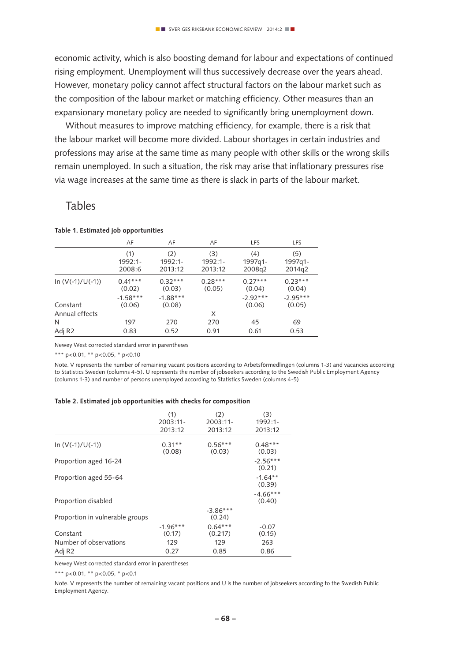economic activity, which is also boosting demand for labour and expectations of continued rising employment. Unemployment will thus successively decrease over the years ahead. However, monetary policy cannot affect structural factors on the labour market such as the composition of the labour market or matching efficiency. Other measures than an expansionary monetary policy are needed to significantly bring unemployment down.

Without measures to improve matching efficiency, for example, there is a risk that the labour market will become more divided. Labour shortages in certain industries and professions may arise at the same time as many people with other skills or the wrong skills remain unemployed. In such a situation, the risk may arise that inflationary pressures rise via wage increases at the same time as there is slack in parts of the labour market.

### Tables

| AF                   | AF                   | AF                  | <b>LFS</b>           | <b>LFS</b>           |
|----------------------|----------------------|---------------------|----------------------|----------------------|
| (1)                  | (2)                  | (3)                 | (4)                  | (5)                  |
| 1992:1-              | 1992:1-              | 1992:1-             | 1997q1-              | 1997q1-              |
| 2008:6               | 2013:12              | 2013:12             | 2008q2               | 2014q2               |
| $0.41***$<br>(0.02)  | $0.32***$<br>(0.03)  | $0.28***$<br>(0.05) | $0.27***$<br>(0.04)  | $0.23***$<br>(0.04)  |
| $-1.58***$<br>(0.06) | $-1.88***$<br>(0.08) |                     | $-2.92***$<br>(0.06) | $-2.95***$<br>(0.05) |
|                      |                      | X                   |                      |                      |
| 197                  | 270                  | 270                 | 45                   | 69                   |
| 0.83                 | 0.52                 | 0.91                | 0.61                 | 0.53                 |
|                      |                      |                     |                      |                      |

#### **Table 1. Estimated job opportunities**

Newey West corrected standard error in parentheses

\*\*\* p<0.01, \*\* p<0.05, \* p<0.10

Note. V represents the number of remaining vacant positions according to Arbetsförmedlingen (columns 1-3) and vacancies according to Statistics Sweden (columns 4-5). U represents the number of jobseekers according to the Swedish Public Employment Agency (columns 1-3) and number of persons unemployed according to Statistics Sweden (columns 4-5)

#### **Table 2. Estimated job opportunities with checks for composition**

|                                 | (1)                  | (2)                  | (3)                  |
|---------------------------------|----------------------|----------------------|----------------------|
|                                 | $2003:11-$           | 2003:11-             | $1992:1-$            |
|                                 | 2013:12              | 2013:12              | 2013:12              |
| In $(V(-1)/U(-1))$              | $0.31**$<br>(0.08)   | $0.56***$<br>(0.03)  | $0.48***$<br>(0.03)  |
| Proportion aged 16-24           |                      |                      | $-2.56***$<br>(0.21) |
| Proportion aged 55-64           |                      |                      | $-1.64**$<br>(0.39)  |
| Proportion disabled             |                      |                      | $-4.66***$<br>(0.40) |
| Proportion in vulnerable groups |                      | $-3.86***$<br>(0.24) |                      |
| Constant                        | $-1.96***$<br>(0.17) | $0.64***$<br>(0.217) | $-0.07$<br>(0.15)    |
| Number of observations          | 129                  | 129                  | 263                  |
| Adj R <sub>2</sub>              | 0.27                 | 0.85                 | 0.86                 |

Newey West corrected standard error in parentheses

\*\*\* p<0.01, \*\* p<0.05, \* p<0.1

Note. V represents the number of remaining vacant positions and U is the number of jobseekers according to the Swedish Public Employment Agency.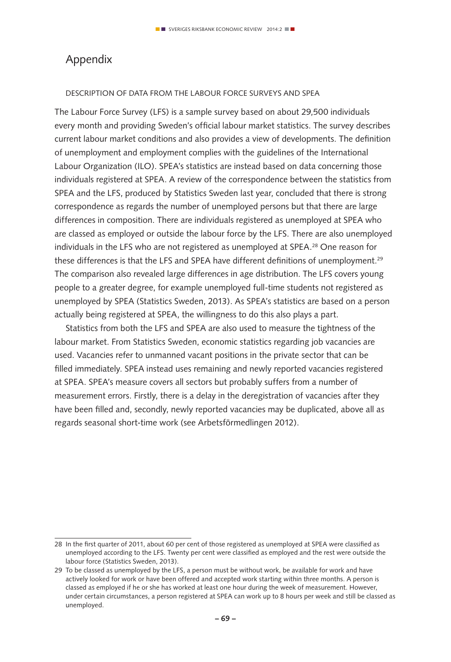# Appendix

#### Description of data from the Labour Force Surveys and SPEA

The Labour Force Survey (LFS) is a sample survey based on about 29,500 individuals every month and providing Sweden's official labour market statistics. The survey describes current labour market conditions and also provides a view of developments. The definition of unemployment and employment complies with the guidelines of the International Labour Organization (ILO). SPEA's statistics are instead based on data concerning those individuals registered at SPEA. A review of the correspondence between the statistics from SPEA and the LFS, produced by Statistics Sweden last year, concluded that there is strong correspondence as regards the number of unemployed persons but that there are large differences in composition. There are individuals registered as unemployed at SPEA who are classed as employed or outside the labour force by the LFS. There are also unemployed individuals in the LFS who are not registered as unemployed at SPEA.28 One reason for these differences is that the LFS and SPEA have different definitions of unemployment.<sup>29</sup> The comparison also revealed large differences in age distribution. The LFS covers young people to a greater degree, for example unemployed full-time students not registered as unemployed by SPEA (Statistics Sweden, 2013). As SPEA's statistics are based on a person actually being registered at SPEA, the willingness to do this also plays a part.

Statistics from both the LFS and SPEA are also used to measure the tightness of the labour market. From Statistics Sweden, economic statistics regarding job vacancies are used. Vacancies refer to unmanned vacant positions in the private sector that can be filled immediately. SPEA instead uses remaining and newly reported vacancies registered at SPEA. SPEA's measure covers all sectors but probably suffers from a number of measurement errors. Firstly, there is a delay in the deregistration of vacancies after they have been filled and, secondly, newly reported vacancies may be duplicated, above all as regards seasonal short-time work (see Arbetsförmedlingen 2012).

<sup>28</sup> In the first quarter of 2011, about 60 per cent of those registered as unemployed at SPEA were classified as unemployed according to the LFS. Twenty per cent were classified as employed and the rest were outside the labour force (Statistics Sweden, 2013).

<sup>29</sup> To be classed as unemployed by the LFS, a person must be without work, be available for work and have actively looked for work or have been offered and accepted work starting within three months. A person is classed as employed if he or she has worked at least one hour during the week of measurement. However, under certain circumstances, a person registered at SPEA can work up to 8 hours per week and still be classed as unemployed.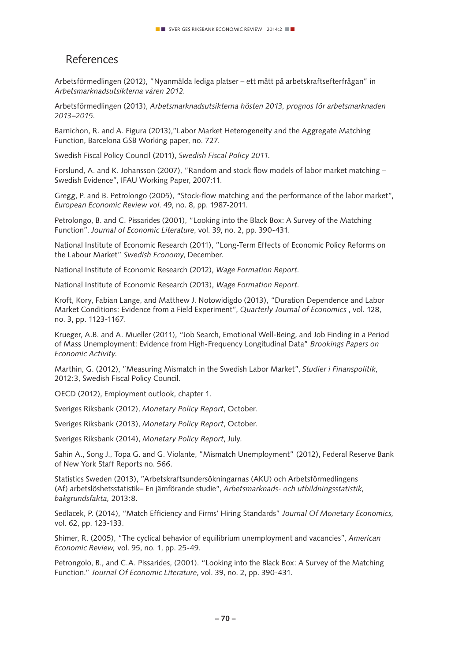## References

Arbetsförmedlingen (2012), "Nyanmälda lediga platser – ett mått på arbetskraftsefterfrågan" in *Arbetsmarknadsutsikterna våren 2012.*

Arbetsförmedlingen (2013), *Arbetsmarknadsutsikterna hösten 2013, prognos för arbetsmarknaden 2013–2015.*

Barnichon, R. and A. Figura (2013),"Labor Market Heterogeneity and the Aggregate Matching Function, Barcelona GSB Working paper, no. 727.

Swedish Fiscal Policy Council (2011), *Swedish Fiscal Policy 2011.*

Forslund, A. and K. Johansson (2007), "Random and stock flow models of labor market matching – Swedish Evidence", IFAU Working Paper, 2007:11.

Gregg, P. and B. Petrolongo (2005), "Stock-flow matching and the performance of the labor market", *European Economic Review vol*. 49, no. 8, pp. 1987-2011.

Petrolongo, B. and C. Pissarides (2001), "Looking into the Black Box: A Survey of the Matching Function", *Journal of Economic Literature*, vol. 39, no. 2, pp. 390-431.

National Institute of Economic Research (2011), "Long-Term Effects of Economic Policy Reforms on the Labour Market" *Swedish Economy*, December.

National Institute of Economic Research (2012), *Wage Formation Report*.

National Institute of Economic Research (2013), *Wage Formation Report.*

Kroft, Kory, Fabian Lange, and Matthew J. Notowidigdo (2013), "Duration Dependence and Labor Market Conditions: Evidence from a Field Experiment", *Quarterly Journal of Economics* , vol. 128, no. 3, pp. 1123-1167.

Krueger, A.B. and A. Mueller (2011), "Job Search, Emotional Well-Being, and Job Finding in a Period of Mass Unemployment: Evidence from High-Frequency Longitudinal Data" *Brookings Papers on Economic Activity.*

Marthin, G. (2012), "Measuring Mismatch in the Swedish Labor Market", *Studier i Finanspolitik*, 2012:3, Swedish Fiscal Policy Council.

OECD (2012), Employment outlook, chapter 1.

Sveriges Riksbank (2012), *Monetary Policy Report*, October.

Sveriges Riksbank (2013), *Monetary Policy Report*, October.

Sveriges Riksbank (2014), *Monetary Policy Report*, July.

Sahin A., Song J., Topa G. and G. Violante, "Mismatch Unemployment" (2012), Federal Reserve Bank of New York Staff Reports no. 566.

Statistics Sweden (2013), "Arbetskraftsundersökningarnas (AKU) och Arbetsförmedlingens (Af) arbetslöshetsstatistik– En jämförande studie", *Arbetsmarknads- och utbildningsstatistik, bakgrundsfakta,* 2013:8.

Sedlacek, P. (2014), "Match Efficiency and Firms' Hiring Standards" *Journal Of Monetary Economics,* vol. 62, pp. 123-133.

Shimer, R. (2005), "The cyclical behavior of equilibrium unemployment and vacancies", *American Economic Review,* vol. 95, no. 1, pp. 25-49.

Petrongolo, B., and C.A. Pissarides, (2001). "Looking into the Black Box: A Survey of the Matching Function." *Journal Of Economic Literature*, vol. 39, no. 2, pp. 390-431.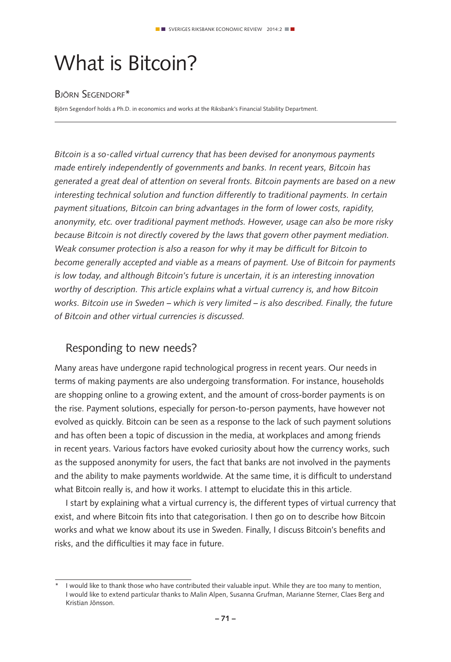# What is Bitcoin?

## Björn Segendorf\*

Björn Segendorf holds a Ph.D. in economics and works at the Riksbank's Financial Stability Department.

*Bitcoin is a so-called virtual currency that has been devised for anonymous payments made entirely independently of governments and banks. In recent years, Bitcoin has generated a great deal of attention on several fronts. Bitcoin payments are based on a new interesting technical solution and function differently to traditional payments. In certain payment situations, Bitcoin can bring advantages in the form of lower costs, rapidity, anonymity, etc. over traditional payment methods. However, usage can also be more risky because Bitcoin is not directly covered by the laws that govern other payment mediation. Weak consumer protection is also a reason for why it may be difficult for Bitcoin to become generally accepted and viable as a means of payment. Use of Bitcoin for payments is low today, and although Bitcoin's future is uncertain, it is an interesting innovation worthy of description. This article explains what a virtual currency is, and how Bitcoin works. Bitcoin use in Sweden – which is very limited – is also described. Finally, the future of Bitcoin and other virtual currencies is discussed.* 

# Responding to new needs?

Many areas have undergone rapid technological progress in recent years. Our needs in terms of making payments are also undergoing transformation. For instance, households are shopping online to a growing extent, and the amount of cross-border payments is on the rise. Payment solutions, especially for person-to-person payments, have however not evolved as quickly. Bitcoin can be seen as a response to the lack of such payment solutions and has often been a topic of discussion in the media, at workplaces and among friends in recent years. Various factors have evoked curiosity about how the currency works, such as the supposed anonymity for users, the fact that banks are not involved in the payments and the ability to make payments worldwide. At the same time, it is difficult to understand what Bitcoin really is, and how it works. I attempt to elucidate this in this article.

I start by explaining what a virtual currency is, the different types of virtual currency that exist, and where Bitcoin fits into that categorisation. I then go on to describe how Bitcoin works and what we know about its use in Sweden. Finally, I discuss Bitcoin's benefits and risks, and the difficulties it may face in future.

<sup>\*</sup> I would like to thank those who have contributed their valuable input. While they are too many to mention, I would like to extend particular thanks to Malin Alpen, Susanna Grufman, Marianne Sterner, Claes Berg and Kristian Jönsson.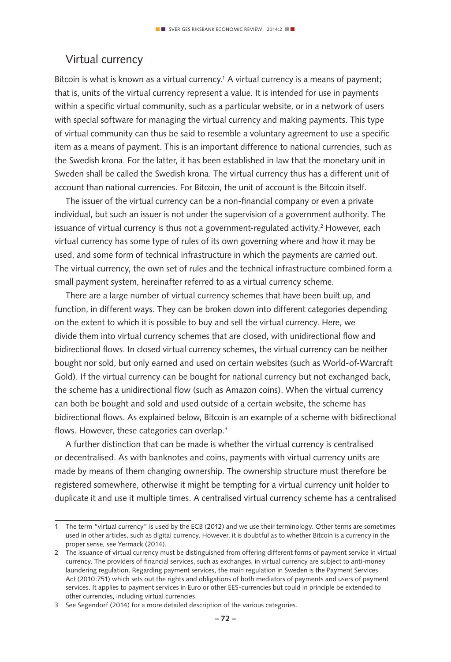## Virtual currency

Bitcoin is what is known as a virtual currency.<sup>1</sup> A virtual currency is a means of payment; that is, units of the virtual currency represent a value. It is intended for use in payments within a specific virtual community, such as a particular website, or in a network of users with special software for managing the virtual currency and making payments. This type of virtual community can thus be said to resemble a voluntary agreement to use a specific item as a means of payment. This is an important difference to national currencies, such as the Swedish krona. For the latter, it has been established in law that the monetary unit in Sweden shall be called the Swedish krona. The virtual currency thus has a different unit of account than national currencies. For Bitcoin, the unit of account is the Bitcoin itself.

The issuer of the virtual currency can be a non-financial company or even a private individual, but such an issuer is not under the supervision of a government authority. The issuance of virtual currency is thus not a government-regulated activity. $^2$  However, each virtual currency has some type of rules of its own governing where and how it may be used, and some form of technical infrastructure in which the payments are carried out. The virtual currency, the own set of rules and the technical infrastructure combined form a small payment system, hereinafter referred to as a virtual currency scheme.

There are a large number of virtual currency schemes that have been built up, and function, in different ways. They can be broken down into different categories depending on the extent to which it is possible to buy and sell the virtual currency. Here, we divide them into virtual currency schemes that are closed, with unidirectional flow and bidirectional flows. In closed virtual currency schemes, the virtual currency can be neither bought nor sold, but only earned and used on certain websites (such as World-of-Warcraft Gold). If the virtual currency can be bought for national currency but not exchanged back, the scheme has a unidirectional flow (such as Amazon coins). When the virtual currency can both be bought and sold and used outside of a certain website, the scheme has bidirectional flows. As explained below, Bitcoin is an example of a scheme with bidirectional flows. However, these categories can overlap.<sup>3</sup>

A further distinction that can be made is whether the virtual currency is centralised or decentralised. As with banknotes and coins, payments with virtual currency units are made by means of them changing ownership. The ownership structure must therefore be registered somewhere, otherwise it might be tempting for a virtual currency unit holder to duplicate it and use it multiple times. A centralised virtual currency scheme has a centralised

<sup>1</sup> The term "virtual currency" is used by the ECB (2012) and we use their terminology. Other terms are sometimes used in other articles, such as digital currency. However, it is doubtful as to whether Bitcoin is a currency in the proper sense, see Yermack (2014).

<sup>2</sup> The issuance of virtual currency must be distinguished from offering different forms of payment service in virtual currency. The providers of financial services, such as exchanges, in virtual currency are subject to anti-money laundering regulation. Regarding payment services, the main regulation in Sweden is the Payment Services Act (2010:751) which sets out the rights and obligations of both mediators of payments and users of payment services. It applies to payment services in Euro or other EES-currencies but could in principle be extended to other currencies, including virtual currencies.

<sup>3</sup> See Segendorf (2014) for a more detailed description of the various categories.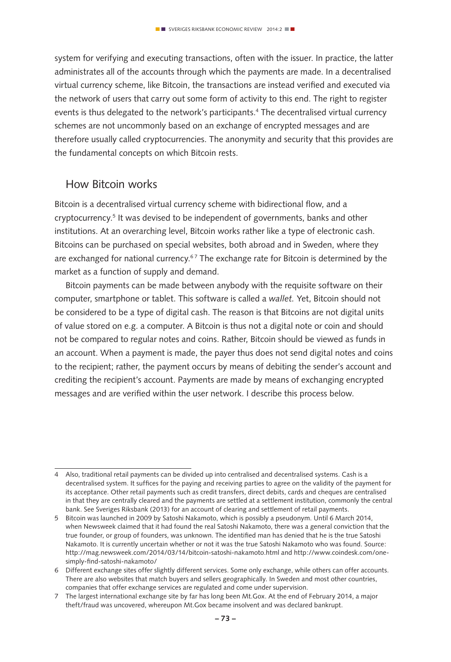system for verifying and executing transactions, often with the issuer. In practice, the latter administrates all of the accounts through which the payments are made. In a decentralised virtual currency scheme, like Bitcoin, the transactions are instead verified and executed via the network of users that carry out some form of activity to this end. The right to register events is thus delegated to the network's participants.4 The decentralised virtual currency schemes are not uncommonly based on an exchange of encrypted messages and are therefore usually called cryptocurrencies. The anonymity and security that this provides are the fundamental concepts on which Bitcoin rests.

## How Bitcoin works

Bitcoin is a decentralised virtual currency scheme with bidirectional flow, and a cryptocurrency.5 It was devised to be independent of governments, banks and other institutions. At an overarching level, Bitcoin works rather like a type of electronic cash. Bitcoins can be purchased on special websites, both abroad and in Sweden, where they are exchanged for national currency.<sup>67</sup> The exchange rate for Bitcoin is determined by the market as a function of supply and demand.

Bitcoin payments can be made between anybody with the requisite software on their computer, smartphone or tablet. This software is called a *wallet.* Yet, Bitcoin should not be considered to be a type of digital cash. The reason is that Bitcoins are not digital units of value stored on e.g. a computer. A Bitcoin is thus not a digital note or coin and should not be compared to regular notes and coins. Rather, Bitcoin should be viewed as funds in an account. When a payment is made, the payer thus does not send digital notes and coins to the recipient; rather, the payment occurs by means of debiting the sender's account and crediting the recipient's account. Payments are made by means of exchanging encrypted messages and are verified within the user network. I describe this process below.

<sup>4</sup> Also, traditional retail payments can be divided up into centralised and decentralised systems. Cash is a decentralised system. It suffices for the paying and receiving parties to agree on the validity of the payment for its acceptance. Other retail payments such as credit transfers, direct debits, cards and cheques are centralised in that they are centrally cleared and the payments are settled at a settlement institution, commonly the central bank. See Sveriges Riksbank (2013) for an account of clearing and settlement of retail payments.

<sup>5</sup> Bitcoin was launched in 2009 by Satoshi Nakamoto, which is possibly a pseudonym. Until 6 March 2014, when Newsweek claimed that it had found the real Satoshi Nakamoto, there was a general conviction that the true founder, or group of founders, was unknown. The identified man has denied that he is the true Satoshi Nakamoto. It is currently uncertain whether or not it was the true Satoshi Nakamoto who was found. Source: http://mag.newsweek.com/2014/03/14/bitcoin-satoshi-nakamoto.html and http://www.coindesk.com/onesimply-find-satoshi-nakamoto/

<sup>6</sup> Different exchange sites offer slightly different services. Some only exchange, while others can offer accounts. There are also websites that match buyers and sellers geographically. In Sweden and most other countries, companies that offer exchange services are regulated and come under supervision.

<sup>7</sup> The largest international exchange site by far has long been Mt.Gox. At the end of February 2014, a major theft/fraud was uncovered, whereupon Mt.Gox became insolvent and was declared bankrupt.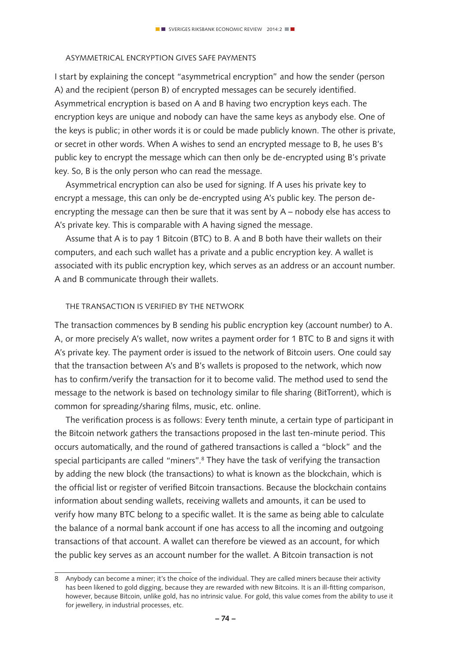## Asymmetrical encryption gives safe payments

I start by explaining the concept "asymmetrical encryption" and how the sender (person A) and the recipient (person B) of encrypted messages can be securely identified. Asymmetrical encryption is based on A and B having two encryption keys each. The encryption keys are unique and nobody can have the same keys as anybody else. One of the keys is public; in other words it is or could be made publicly known. The other is private, or secret in other words. When A wishes to send an encrypted message to B, he uses B's public key to encrypt the message which can then only be de-encrypted using B's private key. So, B is the only person who can read the message.

Asymmetrical encryption can also be used for signing. If A uses his private key to encrypt a message, this can only be de-encrypted using A's public key. The person deencrypting the message can then be sure that it was sent by A – nobody else has access to A's private key. This is comparable with A having signed the message.

Assume that A is to pay 1 Bitcoin (BTC) to B. A and B both have their wallets on their computers, and each such wallet has a private and a public encryption key. A wallet is associated with its public encryption key, which serves as an address or an account number. A and B communicate through their wallets.

#### The transaction is verified by the network

The transaction commences by B sending his public encryption key (account number) to A. A, or more precisely A's wallet, now writes a payment order for 1 BTC to B and signs it with A's private key. The payment order is issued to the network of Bitcoin users. One could say that the transaction between A's and B's wallets is proposed to the network, which now has to confirm/verify the transaction for it to become valid. The method used to send the message to the network is based on technology similar to file sharing (BitTorrent), which is common for spreading/sharing films, music, etc. online.

The verification process is as follows: Every tenth minute, a certain type of participant in the Bitcoin network gathers the transactions proposed in the last ten-minute period. This occurs automatically, and the round of gathered transactions is called a "block" and the special participants are called "miners".<sup>8</sup> They have the task of verifying the transaction by adding the new block (the transactions) to what is known as the blockchain, which is the official list or register of verified Bitcoin transactions. Because the blockchain contains information about sending wallets, receiving wallets and amounts, it can be used to verify how many BTC belong to a specific wallet. It is the same as being able to calculate the balance of a normal bank account if one has access to all the incoming and outgoing transactions of that account. A wallet can therefore be viewed as an account, for which the public key serves as an account number for the wallet. A Bitcoin transaction is not

<sup>8</sup> Anybody can become a miner; it's the choice of the individual. They are called miners because their activity has been likened to gold digging, because they are rewarded with new Bitcoins. It is an ill-fitting comparison, however, because Bitcoin, unlike gold, has no intrinsic value. For gold, this value comes from the ability to use it for jewellery, in industrial processes, etc.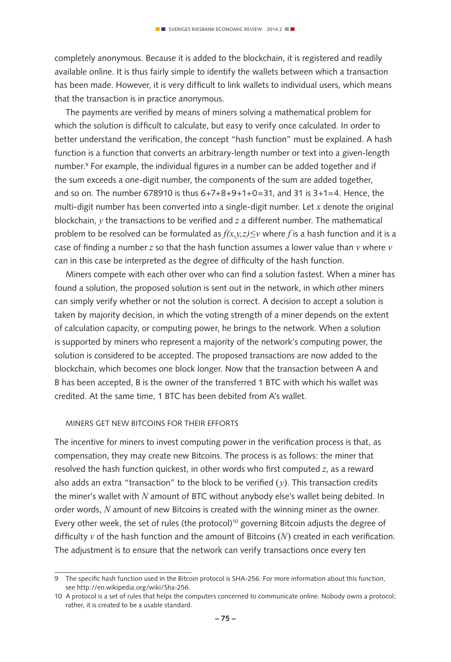completely anonymous. Because it is added to the blockchain, it is registered and readily available online. It is thus fairly simple to identify the wallets between which a transaction has been made. However, it is very difficult to link wallets to individual users, which means that the transaction is in practice anonymous.

The payments are verified by means of miners solving a mathematical problem for which the solution is difficult to calculate, but easy to verify once calculated. In order to better understand the verification, the concept "hash function" must be explained. A hash function is a function that converts an arbitrary-length number or text into a given-length number.<sup>9</sup> For example, the individual figures in a number can be added together and if the sum exceeds a one-digit number, the components of the sum are added together, and so on. The number 678910 is thus  $6+7+8+9+1+0=31$ , and 31 is  $3+1=4$ . Hence, the multi-digit number has been converted into a single-digit number. Let *x* denote the original blockchain, *y* the transactions to be verified and *z* a different number. The mathematical problem to be resolved can be formulated as  $f(x,y,z) \leq v$  where f is a hash function and it is a case of finding a number *z* so that the hash function assumes a lower value than *v* where *v* can in this case be interpreted as the degree of difficulty of the hash function.

Miners compete with each other over who can find a solution fastest. When a miner has found a solution, the proposed solution is sent out in the network, in which other miners can simply verify whether or not the solution is correct. A decision to accept a solution is taken by majority decision, in which the voting strength of a miner depends on the extent of calculation capacity, or computing power, he brings to the network. When a solution is supported by miners who represent a majority of the network's computing power, the solution is considered to be accepted. The proposed transactions are now added to the blockchain, which becomes one block longer. Now that the transaction between A and B has been accepted, B is the owner of the transferred 1 BTC with which his wallet was credited. At the same time, 1 BTC has been debited from A's wallet.

#### Miners get new Bitcoins for their efforts

The incentive for miners to invest computing power in the verification process is that, as compensation, they may create new Bitcoins. The process is as follows: the miner that resolved the hash function quickest, in other words who first computed *z*, as a reward also adds an extra "transaction" to the block to be verified  $(v)$ . This transaction credits the miner's wallet with *N* amount of BTC without anybody else's wallet being debited. In order words, *N* amount of new Bitcoins is created with the winning miner as the owner. Every other week, the set of rules (the protocol)<sup>10</sup> governing Bitcoin adjusts the degree of difficulty *v* of the hash function and the amount of Bitcoins (*N*) created in each verification. The adjustment is to ensure that the network can verify transactions once every ten

<sup>9</sup> The specific hash function used in the Bitcoin protocol is SHA-256. For more information about this function, see http://en.wikipedia.org/wiki/Sha-256.

<sup>10</sup> A protocol is a set of rules that helps the computers concerned to communicate online. Nobody owns a protocol; rather, it is created to be a usable standard.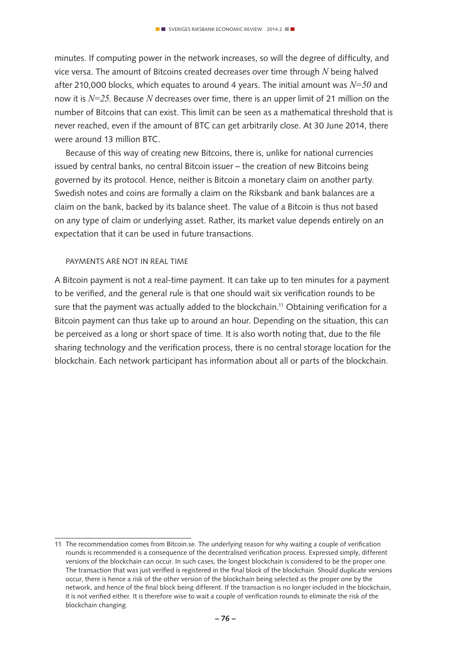minutes. If computing power in the network increases, so will the degree of difficulty, and vice versa. The amount of Bitcoins created decreases over time through *N* being halved after 210,000 blocks, which equates to around 4 years. The initial amount was *N=50* and now it is *N=25*. Because *N* decreases over time, there is an upper limit of 21 million on the number of Bitcoins that can exist. This limit can be seen as a mathematical threshold that is never reached, even if the amount of BTC can get arbitrarily close. At 30 June 2014, there were around 13 million BTC.

Because of this way of creating new Bitcoins, there is, unlike for national currencies issued by central banks, no central Bitcoin issuer – the creation of new Bitcoins being governed by its protocol. Hence, neither is Bitcoin a monetary claim on another party. Swedish notes and coins are formally a claim on the Riksbank and bank balances are a claim on the bank, backed by its balance sheet. The value of a Bitcoin is thus not based on any type of claim or underlying asset. Rather, its market value depends entirely on an expectation that it can be used in future transactions.

#### Payments are not in real time

A Bitcoin payment is not a real-time payment. It can take up to ten minutes for a payment to be verified, and the general rule is that one should wait six verification rounds to be sure that the payment was actually added to the blockchain.<sup>11</sup> Obtaining verification for a Bitcoin payment can thus take up to around an hour. Depending on the situation, this can be perceived as a long or short space of time. It is also worth noting that, due to the file sharing technology and the verification process, there is no central storage location for the blockchain. Each network participant has information about all or parts of the blockchain.

<sup>11</sup> The recommendation comes from Bitcoin.se. The underlying reason for why waiting a couple of verification rounds is recommended is a consequence of the decentralised verification process. Expressed simply, different versions of the blockchain can occur. In such cases, the longest blockchain is considered to be the proper one. The transaction that was just verified is registered in the final block of the blockchain. Should duplicate versions occur, there is hence a risk of the other version of the blockchain being selected as the proper one by the network, and hence of the final block being different. If the transaction is no longer included in the blockchain, it is not verified either. It is therefore wise to wait a couple of verification rounds to eliminate the risk of the blockchain changing.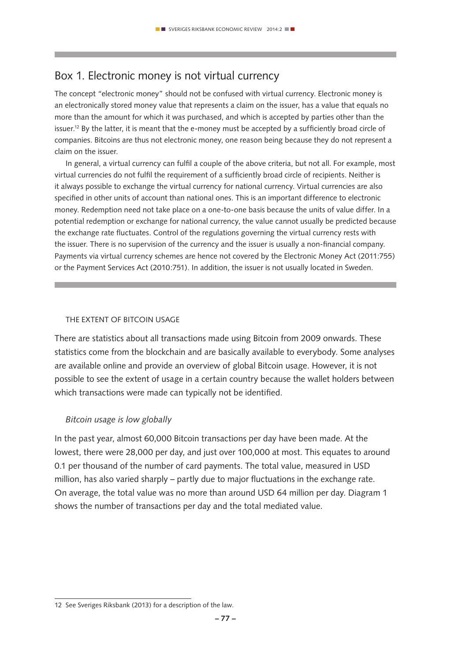# Box 1. Electronic money is not virtual currency

The concept "electronic money" should not be confused with virtual currency. Electronic money is an electronically stored money value that represents a claim on the issuer, has a value that equals no more than the amount for which it was purchased, and which is accepted by parties other than the issuer.<sup>12</sup> By the latter, it is meant that the e-money must be accepted by a sufficiently broad circle of companies. Bitcoins are thus not electronic money, one reason being because they do not represent a claim on the issuer.

In general, a virtual currency can fulfil a couple of the above criteria, but not all. For example, most virtual currencies do not fulfil the requirement of a sufficiently broad circle of recipients. Neither is it always possible to exchange the virtual currency for national currency. Virtual currencies are also specified in other units of account than national ones. This is an important difference to electronic money. Redemption need not take place on a one-to-one basis because the units of value differ. In a potential redemption or exchange for national currency, the value cannot usually be predicted because the exchange rate fluctuates. Control of the regulations governing the virtual currency rests with the issuer. There is no supervision of the currency and the issuer is usually a non-financial company. Payments via virtual currency schemes are hence not covered by the Electronic Money Act (2011:755) or the Payment Services Act (2010:751). In addition, the issuer is not usually located in Sweden.

#### THE EXTENT OF BITCOIN USAGE

There are statistics about all transactions made using Bitcoin from 2009 onwards. These statistics come from the blockchain and are basically available to everybody. Some analyses are available online and provide an overview of global Bitcoin usage. However, it is not possible to see the extent of usage in a certain country because the wallet holders between which transactions were made can typically not be identified.

#### *Bitcoin usage is low globally*

In the past year, almost 60,000 Bitcoin transactions per day have been made. At the lowest, there were 28,000 per day, and just over 100,000 at most. This equates to around 0.1 per thousand of the number of card payments. The total value, measured in USD million, has also varied sharply – partly due to major fluctuations in the exchange rate. On average, the total value was no more than around USD 64 million per day. Diagram 1 shows the number of transactions per day and the total mediated value.

<sup>12</sup> See Sveriges Riksbank (2013) for a description of the law.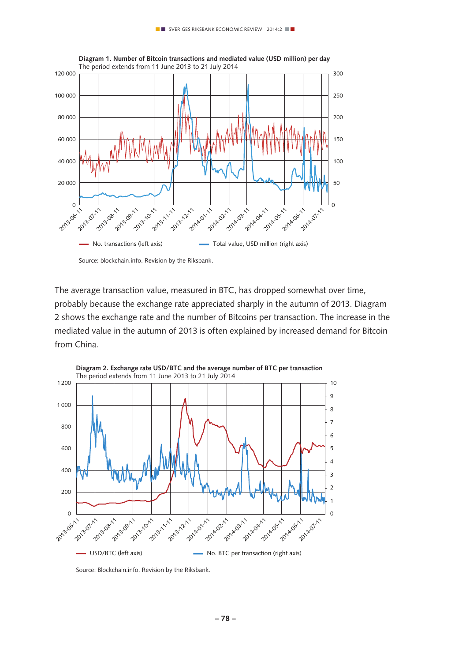

Source: blockchain.info. Revision by the Riksbank.

The average transaction value, measured in BTC, has dropped somewhat over time, probably because the exchange rate appreciated sharply in the autumn of 2013. Diagram 2 shows the exchange rate and the number of Bitcoins per transaction. The increase in the mediated value in the autumn of 2013 is often explained by increased demand for Bitcoin from China.



**Diagram 2. Exchange rate USD/BTC and the average number of BTC per transaction** 

Source: Blockchain.info. Revision by the Riksbank.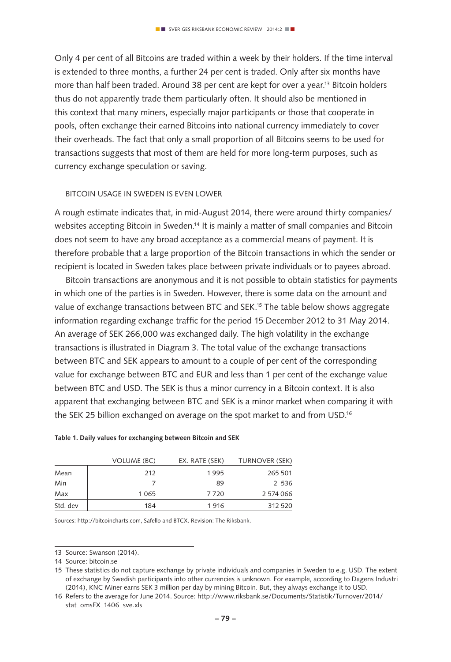Only 4 per cent of all Bitcoins are traded within a week by their holders. If the time interval is extended to three months, a further 24 per cent is traded. Only after six months have more than half been traded. Around 38 per cent are kept for over a year.13 Bitcoin holders thus do not apparently trade them particularly often. It should also be mentioned in this context that many miners, especially major participants or those that cooperate in pools, often exchange their earned Bitcoins into national currency immediately to cover their overheads. The fact that only a small proportion of all Bitcoins seems to be used for transactions suggests that most of them are held for more long-term purposes, such as currency exchange speculation or saving.

#### Bitcoin usage in Sweden is even lower

A rough estimate indicates that, in mid-August 2014, there were around thirty companies/ websites accepting Bitcoin in Sweden.14 It is mainly a matter of small companies and Bitcoin does not seem to have any broad acceptance as a commercial means of payment. It is therefore probable that a large proportion of the Bitcoin transactions in which the sender or recipient is located in Sweden takes place between private individuals or to payees abroad.

Bitcoin transactions are anonymous and it is not possible to obtain statistics for payments in which one of the parties is in Sweden. However, there is some data on the amount and value of exchange transactions between BTC and SEK.15 The table below shows aggregate information regarding exchange traffic for the period 15 December 2012 to 31 May 2014. An average of SEK 266,000 was exchanged daily. The high volatility in the exchange transactions is illustrated in Diagram 3. The total value of the exchange transactions between BTC and SEK appears to amount to a couple of per cent of the corresponding value for exchange between BTC and EUR and less than 1 per cent of the exchange value between BTC and USD. The SEK is thus a minor currency in a Bitcoin context. It is also apparent that exchanging between BTC and SEK is a minor market when comparing it with the SEK 25 billion exchanged on average on the spot market to and from USD.16

|          | <b>VOLUME (BC)</b> | EX. RATE (SEK) | <b>TURNOVER (SEK)</b> |
|----------|--------------------|----------------|-----------------------|
| Mean     | 212                | 1995           | 265 501               |
| Min      |                    | 89             | 2 536                 |
| Max      | 1065               | 7720           | 2 574 066             |
| Std. dev | 184                | 1916           | 312 520               |

#### **Table 1. Daily values for exchanging between Bitcoin and SEK**

Sources: http://bitcoincharts.com, Safello and BTCX. Revision: The Riksbank.

<sup>13</sup> Source: Swanson (2014).

<sup>14</sup> Source: bitcoin.se

<sup>15</sup> These statistics do not capture exchange by private individuals and companies in Sweden to e.g. USD. The extent of exchange by Swedish participants into other currencies is unknown. For example, according to Dagens Industri (2014), KNC Miner earns SEK 3 million per day by mining Bitcoin. But, they always exchange it to USD.

<sup>16</sup> Refers to the average for June 2014. Source: http://www.riksbank.se/Documents/Statistik/Turnover/2014/ stat\_omsFX\_1406\_sve.xls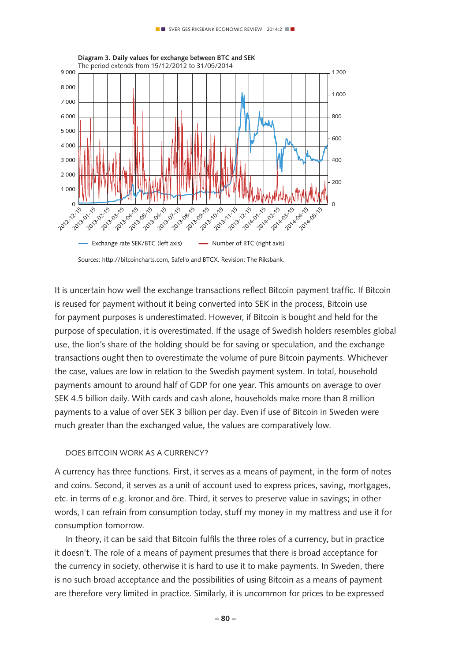

Sources: http://bitcoincharts.com, Safello and BTCX. Revision: The Riksbank.

It is uncertain how well the exchange transactions reflect Bitcoin payment traffic. If Bitcoin is reused for payment without it being converted into SEK in the process, Bitcoin use for payment purposes is underestimated. However, if Bitcoin is bought and held for the purpose of speculation, it is overestimated. If the usage of Swedish holders resembles global use, the lion's share of the holding should be for saving or speculation, and the exchange transactions ought then to overestimate the volume of pure Bitcoin payments. Whichever the case, values are low in relation to the Swedish payment system. In total, household payments amount to around half of GDP for one year. This amounts on average to over SEK 4.5 billion daily. With cards and cash alone, households make more than 8 million payments to a value of over SEK 3 billion per day. Even if use of Bitcoin in Sweden were much greater than the exchanged value, the values are comparatively low.

#### Does Bitcoin work as a currency?

A currency has three functions. First, it serves as a means of payment, in the form of notes and coins. Second, it serves as a unit of account used to express prices, saving, mortgages, etc. in terms of e.g. kronor and öre. Third, it serves to preserve value in savings; in other words, I can refrain from consumption today, stuff my money in my mattress and use it for consumption tomorrow.

In theory, it can be said that Bitcoin fulfils the three roles of a currency, but in practice it doesn't. The role of a means of payment presumes that there is broad acceptance for the currency in society, otherwise it is hard to use it to make payments. In Sweden, there is no such broad acceptance and the possibilities of using Bitcoin as a means of payment are therefore very limited in practice. Similarly, it is uncommon for prices to be expressed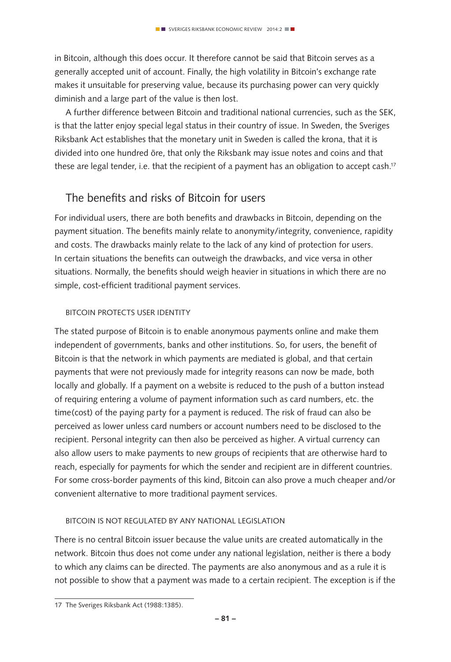in Bitcoin, although this does occur. It therefore cannot be said that Bitcoin serves as a generally accepted unit of account. Finally, the high volatility in Bitcoin's exchange rate makes it unsuitable for preserving value, because its purchasing power can very quickly diminish and a large part of the value is then lost.

A further difference between Bitcoin and traditional national currencies, such as the SEK, is that the latter enjoy special legal status in their country of issue. In Sweden, the Sveriges Riksbank Act establishes that the monetary unit in Sweden is called the krona, that it is divided into one hundred öre, that only the Riksbank may issue notes and coins and that these are legal tender, i.e. that the recipient of a payment has an obligation to accept cash.<sup>17</sup>

## The benefits and risks of Bitcoin for users

For individual users, there are both benefits and drawbacks in Bitcoin, depending on the payment situation. The benefits mainly relate to anonymity/integrity, convenience, rapidity and costs. The drawbacks mainly relate to the lack of any kind of protection for users. In certain situations the benefits can outweigh the drawbacks, and vice versa in other situations. Normally, the benefits should weigh heavier in situations in which there are no simple, cost-efficient traditional payment services.

## Bitcoin protects user identity

The stated purpose of Bitcoin is to enable anonymous payments online and make them independent of governments, banks and other institutions. So, for users, the benefit of Bitcoin is that the network in which payments are mediated is global, and that certain payments that were not previously made for integrity reasons can now be made, both locally and globally. If a payment on a website is reduced to the push of a button instead of requiring entering a volume of payment information such as card numbers, etc. the time(cost) of the paying party for a payment is reduced. The risk of fraud can also be perceived as lower unless card numbers or account numbers need to be disclosed to the recipient. Personal integrity can then also be perceived as higher. A virtual currency can also allow users to make payments to new groups of recipients that are otherwise hard to reach, especially for payments for which the sender and recipient are in different countries. For some cross-border payments of this kind, Bitcoin can also prove a much cheaper and/or convenient alternative to more traditional payment services.

#### Bitcoin is not regulated by any national legislation

There is no central Bitcoin issuer because the value units are created automatically in the network. Bitcoin thus does not come under any national legislation, neither is there a body to which any claims can be directed. The payments are also anonymous and as a rule it is not possible to show that a payment was made to a certain recipient. The exception is if the

<sup>17</sup> The Sveriges Riksbank Act (1988:1385).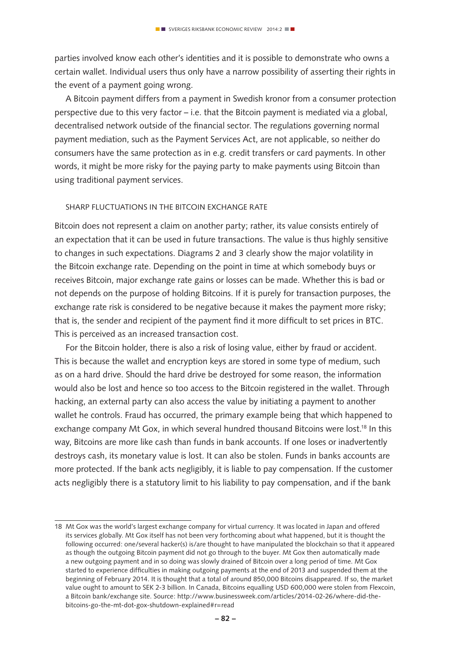parties involved know each other's identities and it is possible to demonstrate who owns a certain wallet. Individual users thus only have a narrow possibility of asserting their rights in the event of a payment going wrong.

A Bitcoin payment differs from a payment in Swedish kronor from a consumer protection perspective due to this very factor – i.e. that the Bitcoin payment is mediated via a global, decentralised network outside of the financial sector. The regulations governing normal payment mediation, such as the Payment Services Act, are not applicable, so neither do consumers have the same protection as in e.g. credit transfers or card payments. In other words, it might be more risky for the paying party to make payments using Bitcoin than using traditional payment services.

#### SHARP FLUCTUATIONS IN THE BITCOIN EXCHANGE RATE

Bitcoin does not represent a claim on another party; rather, its value consists entirely of an expectation that it can be used in future transactions. The value is thus highly sensitive to changes in such expectations. Diagrams 2 and 3 clearly show the major volatility in the Bitcoin exchange rate. Depending on the point in time at which somebody buys or receives Bitcoin, major exchange rate gains or losses can be made. Whether this is bad or not depends on the purpose of holding Bitcoins. If it is purely for transaction purposes, the exchange rate risk is considered to be negative because it makes the payment more risky; that is, the sender and recipient of the payment find it more difficult to set prices in BTC. This is perceived as an increased transaction cost.

For the Bitcoin holder, there is also a risk of losing value, either by fraud or accident. This is because the wallet and encryption keys are stored in some type of medium, such as on a hard drive. Should the hard drive be destroyed for some reason, the information would also be lost and hence so too access to the Bitcoin registered in the wallet. Through hacking, an external party can also access the value by initiating a payment to another wallet he controls. Fraud has occurred, the primary example being that which happened to exchange company Mt Gox, in which several hundred thousand Bitcoins were lost.<sup>18</sup> In this way, Bitcoins are more like cash than funds in bank accounts. If one loses or inadvertently destroys cash, its monetary value is lost. It can also be stolen. Funds in banks accounts are more protected. If the bank acts negligibly, it is liable to pay compensation. If the customer acts negligibly there is a statutory limit to his liability to pay compensation, and if the bank

<sup>18</sup> Mt Gox was the world's largest exchange company for virtual currency. It was located in Japan and offered its services globally. Mt Gox itself has not been very forthcoming about what happened, but it is thought the following occurred: one/several hacker(s) is/are thought to have manipulated the blockchain so that it appeared as though the outgoing Bitcoin payment did not go through to the buyer. Mt Gox then automatically made a new outgoing payment and in so doing was slowly drained of Bitcoin over a long period of time. Mt Gox started to experience difficulties in making outgoing payments at the end of 2013 and suspended them at the beginning of February 2014. It is thought that a total of around 850,000 Bitcoins disappeared. If so, the market value ought to amount to SEK 2-3 billion. In Canada, Bitcoins equalling USD 600,000 were stolen from Flexcoin, a Bitcoin bank/exchange site. Source: http://www.businessweek.com/articles/2014-02-26/where-did-thebitcoins-go-the-mt-dot-gox-shutdown-explained#r=read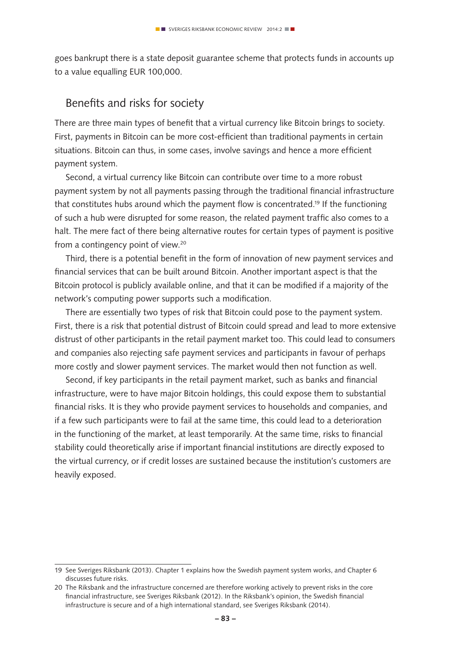goes bankrupt there is a state deposit guarantee scheme that protects funds in accounts up to a value equalling EUR 100,000.

## Benefits and risks for society

There are three main types of benefit that a virtual currency like Bitcoin brings to society. First, payments in Bitcoin can be more cost-efficient than traditional payments in certain situations. Bitcoin can thus, in some cases, involve savings and hence a more efficient payment system.

Second, a virtual currency like Bitcoin can contribute over time to a more robust payment system by not all payments passing through the traditional financial infrastructure that constitutes hubs around which the payment flow is concentrated.<sup>19</sup> If the functioning of such a hub were disrupted for some reason, the related payment traffic also comes to a halt. The mere fact of there being alternative routes for certain types of payment is positive from a contingency point of view.20

Third, there is a potential benefit in the form of innovation of new payment services and financial services that can be built around Bitcoin. Another important aspect is that the Bitcoin protocol is publicly available online, and that it can be modified if a majority of the network's computing power supports such a modification.

There are essentially two types of risk that Bitcoin could pose to the payment system. First, there is a risk that potential distrust of Bitcoin could spread and lead to more extensive distrust of other participants in the retail payment market too. This could lead to consumers and companies also rejecting safe payment services and participants in favour of perhaps more costly and slower payment services. The market would then not function as well.

Second, if key participants in the retail payment market, such as banks and financial infrastructure, were to have major Bitcoin holdings, this could expose them to substantial financial risks. It is they who provide payment services to households and companies, and if a few such participants were to fail at the same time, this could lead to a deterioration in the functioning of the market, at least temporarily. At the same time, risks to financial stability could theoretically arise if important financial institutions are directly exposed to the virtual currency, or if credit losses are sustained because the institution's customers are heavily exposed.

<sup>19</sup> See Sveriges Riksbank (2013). Chapter 1 explains how the Swedish payment system works, and Chapter 6 discusses future risks.

<sup>20</sup> The Riksbank and the infrastructure concerned are therefore working actively to prevent risks in the core financial infrastructure, see Sveriges Riksbank (2012). In the Riksbank's opinion, the Swedish financial infrastructure is secure and of a high international standard, see Sveriges Riksbank (2014).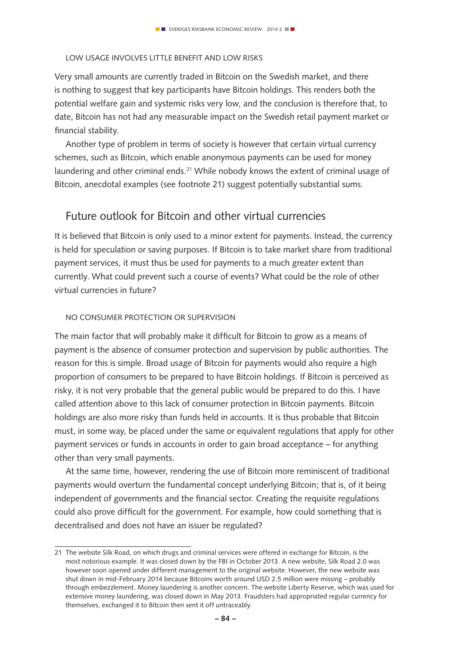## Low usage involves little benefit and low risks

Very small amounts are currently traded in Bitcoin on the Swedish market, and there is nothing to suggest that key participants have Bitcoin holdings. This renders both the potential welfare gain and systemic risks very low, and the conclusion is therefore that, to date, Bitcoin has not had any measurable impact on the Swedish retail payment market or financial stability.

Another type of problem in terms of society is however that certain virtual currency schemes, such as Bitcoin, which enable anonymous payments can be used for money laundering and other criminal ends.<sup>21</sup> While nobody knows the extent of criminal usage of Bitcoin, anecdotal examples (see footnote 21) suggest potentially substantial sums.

## Future outlook for Bitcoin and other virtual currencies

It is believed that Bitcoin is only used to a minor extent for payments. Instead, the currency is held for speculation or saving purposes. If Bitcoin is to take market share from traditional payment services, it must thus be used for payments to a much greater extent than currently. What could prevent such a course of events? What could be the role of other virtual currencies in future?

#### No consumer protection or supervision

The main factor that will probably make it difficult for Bitcoin to grow as a means of payment is the absence of consumer protection and supervision by public authorities. The reason for this is simple. Broad usage of Bitcoin for payments would also require a high proportion of consumers to be prepared to have Bitcoin holdings. If Bitcoin is perceived as risky, it is not very probable that the general public would be prepared to do this. I have called attention above to this lack of consumer protection in Bitcoin payments. Bitcoin holdings are also more risky than funds held in accounts. It is thus probable that Bitcoin must, in some way, be placed under the same or equivalent regulations that apply for other payment services or funds in accounts in order to gain broad acceptance – for anything other than very small payments.

At the same time, however, rendering the use of Bitcoin more reminiscent of traditional payments would overturn the fundamental concept underlying Bitcoin; that is, of it being independent of governments and the financial sector. Creating the requisite regulations could also prove difficult for the government. For example, how could something that is decentralised and does not have an issuer be regulated?

<sup>21</sup> The website Silk Road, on which drugs and criminal services were offered in exchange for Bitcoin, is the most notorious example. It was closed down by the FBI in October 2013. A new website, Silk Road 2.0 was however soon opened under different management to the original website. However, the new website was shut down in mid-February 2014 because Bitcoins worth around USD 2.5 million were missing – probably through embezzlement. Money laundering is another concern. The website Liberty Reserve, which was used for extensive money laundering, was closed down in May 2013. Fraudsters had appropriated regular currency for themselves, exchanged it to Bitcoin then sent it off untraceably.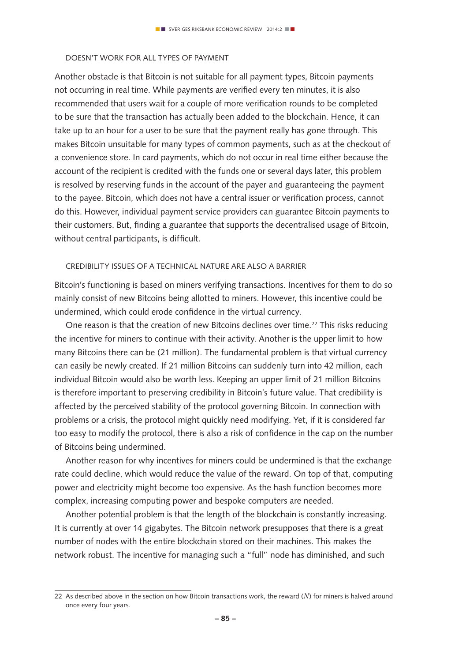#### Doesn't work for all types of payment

Another obstacle is that Bitcoin is not suitable for all payment types, Bitcoin payments not occurring in real time. While payments are verified every ten minutes, it is also recommended that users wait for a couple of more verification rounds to be completed to be sure that the transaction has actually been added to the blockchain. Hence, it can take up to an hour for a user to be sure that the payment really has gone through. This makes Bitcoin unsuitable for many types of common payments, such as at the checkout of a convenience store. In card payments, which do not occur in real time either because the account of the recipient is credited with the funds one or several days later, this problem is resolved by reserving funds in the account of the payer and guaranteeing the payment to the payee. Bitcoin, which does not have a central issuer or verification process, cannot do this. However, individual payment service providers can guarantee Bitcoin payments to their customers. But, finding a guarantee that supports the decentralised usage of Bitcoin, without central participants, is difficult.

#### Credibility issues of a technical nature are also a barrier

Bitcoin's functioning is based on miners verifying transactions. Incentives for them to do so mainly consist of new Bitcoins being allotted to miners. However, this incentive could be undermined, which could erode confidence in the virtual currency.

One reason is that the creation of new Bitcoins declines over time.<sup>22</sup> This risks reducing the incentive for miners to continue with their activity. Another is the upper limit to how many Bitcoins there can be (21 million). The fundamental problem is that virtual currency can easily be newly created. If 21 million Bitcoins can suddenly turn into 42 million, each individual Bitcoin would also be worth less. Keeping an upper limit of 21 million Bitcoins is therefore important to preserving credibility in Bitcoin's future value. That credibility is affected by the perceived stability of the protocol governing Bitcoin. In connection with problems or a crisis, the protocol might quickly need modifying. Yet, if it is considered far too easy to modify the protocol, there is also a risk of confidence in the cap on the number of Bitcoins being undermined.

Another reason for why incentives for miners could be undermined is that the exchange rate could decline, which would reduce the value of the reward. On top of that, computing power and electricity might become too expensive. As the hash function becomes more complex, increasing computing power and bespoke computers are needed.

Another potential problem is that the length of the blockchain is constantly increasing. It is currently at over 14 gigabytes. The Bitcoin network presupposes that there is a great number of nodes with the entire blockchain stored on their machines. This makes the network robust. The incentive for managing such a "full" node has diminished, and such

<sup>22</sup> As described above in the section on how Bitcoin transactions work, the reward (*N*) for miners is halved around once every four years.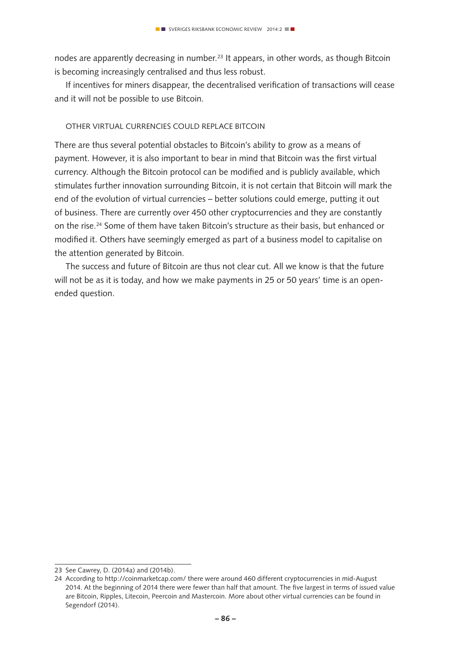nodes are apparently decreasing in number.23 It appears, in other words, as though Bitcoin is becoming increasingly centralised and thus less robust.

If incentives for miners disappear, the decentralised verification of transactions will cease and it will not be possible to use Bitcoin.

#### Other virtual currencies could replace Bitcoin

There are thus several potential obstacles to Bitcoin's ability to grow as a means of payment. However, it is also important to bear in mind that Bitcoin was the first virtual currency. Although the Bitcoin protocol can be modified and is publicly available, which stimulates further innovation surrounding Bitcoin, it is not certain that Bitcoin will mark the end of the evolution of virtual currencies – better solutions could emerge, putting it out of business. There are currently over 450 other cryptocurrencies and they are constantly on the rise.24 Some of them have taken Bitcoin's structure as their basis, but enhanced or modified it. Others have seemingly emerged as part of a business model to capitalise on the attention generated by Bitcoin.

The success and future of Bitcoin are thus not clear cut. All we know is that the future will not be as it is today, and how we make payments in 25 or 50 years' time is an openended question.

<sup>23</sup> See Cawrey, D. (2014a) and (2014b).

<sup>24</sup> According to http://coinmarketcap.com/ there were around 460 different cryptocurrencies in mid-August 2014. At the beginning of 2014 there were fewer than half that amount. The five largest in terms of issued value are Bitcoin, Ripples, Litecoin, Peercoin and Mastercoin. More about other virtual currencies can be found in Segendorf (2014).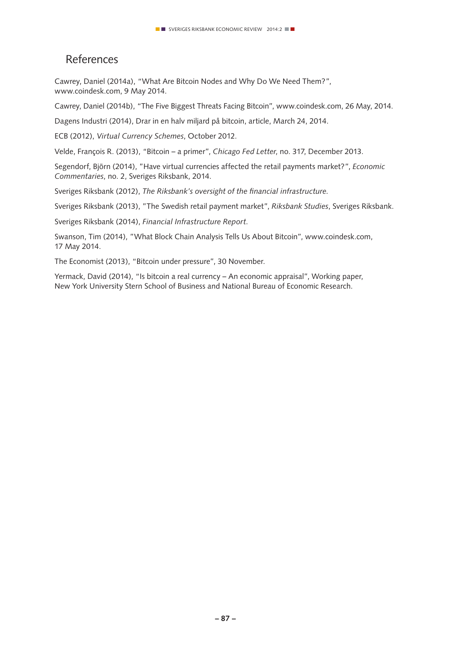# References

Cawrey, Daniel (2014a), "What Are Bitcoin Nodes and Why Do We Need Them?", www.coindesk.com, 9 May 2014.

Cawrey, Daniel (2014b), "The Five Biggest Threats Facing Bitcoin", www.coindesk.com, 26 May, 2014.

Dagens Industri (2014), Drar in en halv miljard på bitcoin, article, March 24, 2014.

ECB (2012), *Virtual Currency Schemes*, October 2012.

Velde, François R. (2013), "Bitcoin – a primer", *Chicago Fed Letter*, no. 317, December 2013.

Segendorf, Björn (2014), "Have virtual currencies affected the retail payments market?", *Economic Commentaries*, no. 2, Sveriges Riksbank, 2014.

Sveriges Riksbank (2012), *The Riksbank's oversight of the financial infrastructure.*

Sveriges Riksbank (2013), "The Swedish retail payment market", *Riksbank Studies*, Sveriges Riksbank.

Sveriges Riksbank (2014), *Financial Infrastructure Report*.

Swanson, Tim (2014), "What Block Chain Analysis Tells Us About Bitcoin", www.coindesk.com, 17 May 2014.

The Economist (2013), "Bitcoin under pressure", 30 November.

Yermack, David (2014), "Is bitcoin a real currency – An economic appraisal", Working paper, New York University Stern School of Business and National Bureau of Economic Research.